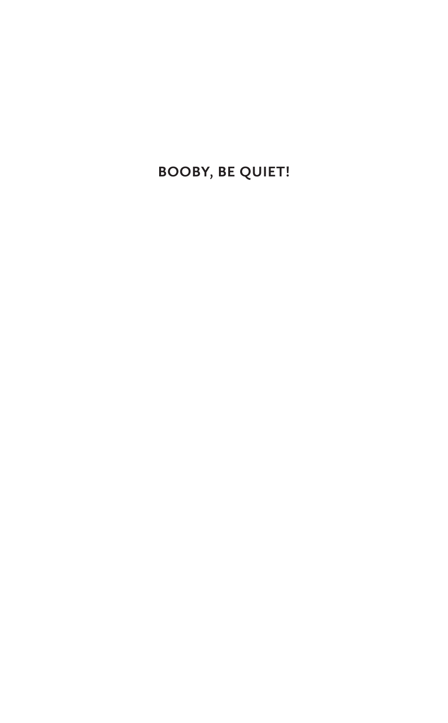**Booby, Be Quiet!**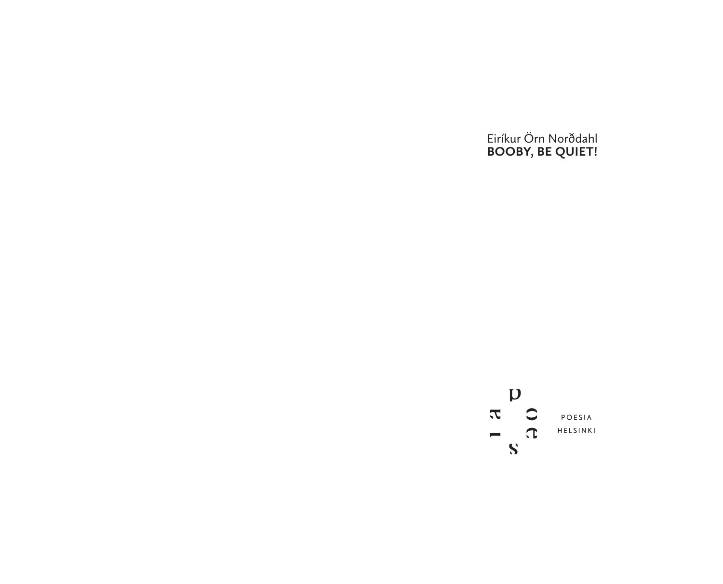Eiríkur Örn Norðdahl **Booby, Be Quiet!**

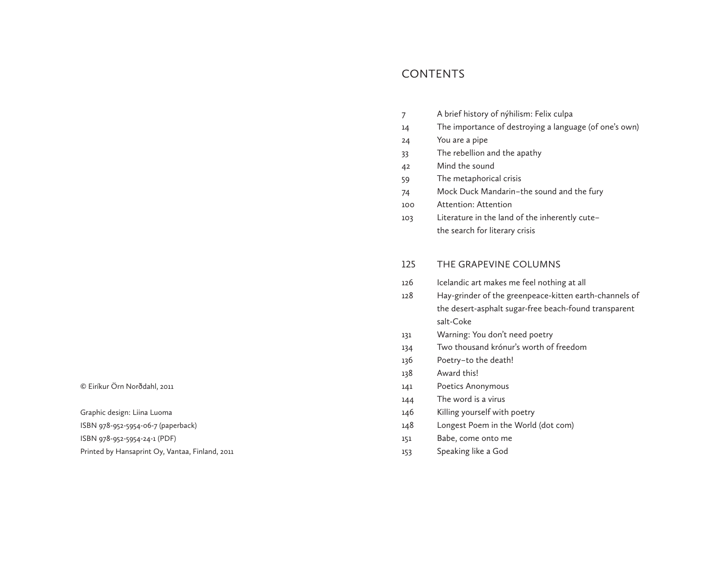# **CONTENTS**

| 7   | A brief history of nýhilism: Felix culpa               |
|-----|--------------------------------------------------------|
| 14  | The importance of destroying a language (of one's own) |
| 24  | You are a pipe                                         |
| 33  | The rebellion and the apathy                           |
| 42  | Mind the sound                                         |
| 59  | The metaphorical crisis                                |
| 74  | Mock Duck Mandarin-the sound and the fury              |
| 100 | Attention: Attention                                   |
| 103 | Literature in the land of the inherently cute-         |
|     | the search for literary crisis                         |
|     |                                                        |
| 125 | THE GRAPEVINE COLUMNS                                  |
| 126 | Icelandic art makes me feel nothing at all             |
| 128 | Hay-grinder of the greenpeace-kitten earth-channels of |
|     | the desert-asphalt sugar-free beach-found transparent  |
|     | salt-Coke                                              |
| 131 | Warning: You don't need poetry                         |
| 134 | Two thousand krónur's worth of freedom                 |
| 136 | Poetry-to the death!                                   |
| 138 | Award this!                                            |
| 141 | Poetics Anonymous                                      |
| 144 | The word is a virus                                    |
| 146 | Killing yourself with poetry                           |
| 148 | Longest Poem in the World (dot com)                    |
| 151 | Babe, come onto me                                     |
| 153 | Speaking like a God                                    |
|     |                                                        |

© Eiríkur Örn Norðdahl, 2011

Graphic design: Liina Luoma

ISBN 978-952-5954-06-7 (paperback)

ISBN 978-952-5954-24-1 (PDF)

Printed by Hansaprint Oy, Vantaa, Finland, 2011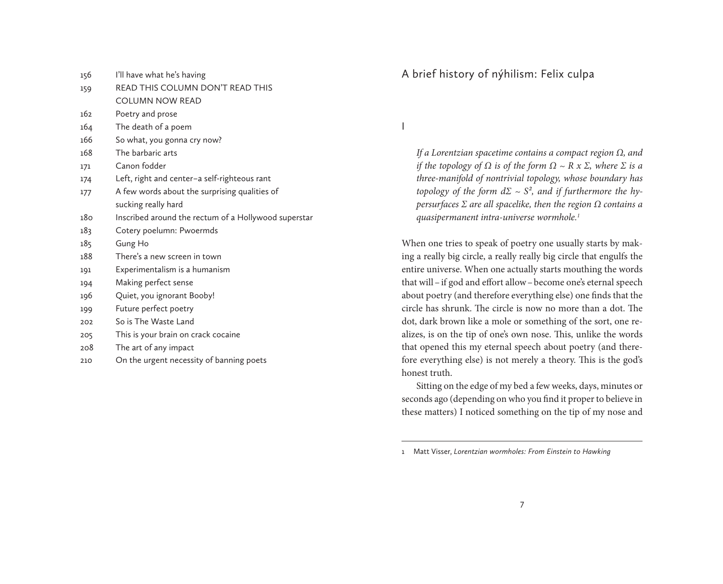- 156 I'll have what he's having
- 159 READ THIS COLUMN DON'T READ THIS COLUMN NOW READ
- 162 Poetry and prose
- 164 The death of a poem
- 166 So what, you gonna cry now?
- 168 The barbaric arts
- 171 Canon fodder
- 174 Left, right and center – a self-righteous rant
- 177 A few words about the surprising qualities of sucking really hard
- 180 Inscribed around the rectum of a Hollywood superstar
- 183 Cotery poelumn: Pwoermds
- 185 Gung Ho
- 188 There's a new screen in town
- 191 Experimentalism is a humanism
- 194 Making perfect sense
- 196 Quiet, you ignorant Booby!
- 199 Future perfect poetry
- 202 So is The Waste Land
- 205 This is your brain on crack cocaine
- 208 The art of any impact
- 210 On the urgent necessity of banning poets

# A brief history of nýhilism: Felix culpa

I

*If a Lorentzian spacetime contains a compact region Ω, and if the topology of*  $\Omega$  *is of the form*  $\Omega \sim R \times \Sigma$ *, where*  $\Sigma$  *is a three-manifold of nontrivial topology, whose boundary has topology of the form*  $d\Sigma \sim S^2$ *, and if furthermore the hypersurfaces Σ are all spacelike, then the region Ω contains a quasipermanent intra-universe wormhole.1*

When one tries to speak of poetry one usually starts by making a really big circle, a really really big circle that engulfs the entire universe. When one actually starts mouthing the words that will–if god and effort allow–become one's eternal speech about poetry (and therefore everything else) one finds that the circle has shrunk. The circle is now no more than a dot. The dot, dark brown like a mole or something of the sort, one realizes, is on the tip of one's own nose. This, unlike the words that opened this my eternal speech about poetry (and therefore everything else) is not merely a theory. This is the god's honest truth.

Sitting on the edge of my bed a few weeks, days, minutes or seconds ago (depending on who you find it proper to believe in these matters) I noticed something on the tip of my nose and

<sup>1</sup> Matt Visser, *Lorentzian wormholes: From Einstein to Hawking*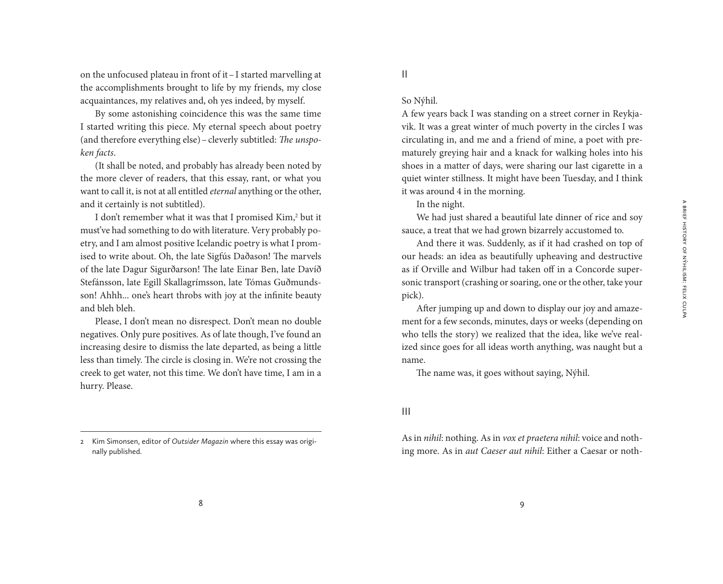on the unfocused plateau in front of it–I started marvelling at the accomplishments brought to life by my friends, my close acquaintances, my relatives and, oh yes indeed, by myself.

By some astonishing coincidence this was the same time I started writing this piece. My eternal speech about poetry (and therefore everything else)–cleverly subtitled: *The unspoken facts*.

(It shall be noted, and probably has already been noted by the more clever of readers, that this essay, rant, or what you want to call it, is not at all entitled *eternal* anything or the other, and it certainly is not subtitled).

I don't remember what it was that I promised Kim,<sup>2</sup> but it must've had something to do with literature. Very probably poetry, and I am almost positive Icelandic poetry is what I promised to write about. Oh, the late Sigfús Daðason! The marvels of the late Dagur Sigurðarson! The late Einar Ben, late Davíð Stefánsson, late Egill Skallagrímsson, late Tómas Guðmundsson! Ahhh... one's heart throbs with joy at the infinite beauty and bleh bleh.

Please, I don't mean no disrespect. Don't mean no double negatives. Only pure positives. As of late though, I've found an increasing desire to dismiss the late departed, as being a little less than timely. The circle is closing in. We're not crossing the creek to get water, not this time. We don't have time, I am in a hurry. Please.

2 Kim Simonsen, editor of *Outsider Magazin* where this essay was originally published.

II

#### So Nýhil.

A few years back I was standing on a street corner in Reykjavik. It was a great winter of much poverty in the circles I was circulating in, and me and a friend of mine, a poet with prematurely greying hair and a knack for walking holes into his shoes in a matter of days, were sharing our last cigarette in a quiet winter stillness. It might have been Tuesday, and I think it was around 4 in the morning.

In the night.

We had just shared a beautiful late dinner of rice and soy sauce, a treat that we had grown bizarrely accustomed to.

And there it was. Suddenly, as if it had crashed on top of our heads: an idea as beautifully upheaving and destructive as if Orville and Wilbur had taken off in a Concorde supersonic transport (crashing or soaring, one or the other, take your pick).

After jumping up and down to display our joy and amazement for a few seconds, minutes, days or weeks (depending on who tells the story) we realized that the idea, like we've realized since goes for all ideas worth anything, was naught but a name.

The name was, it goes without saying, Nýhil.

#### III

As in *nihil*: nothing. As in *vox et praetera nihil*: voice and nothing more. As in *aut Caeser aut nihil*: Either a Caesar or noth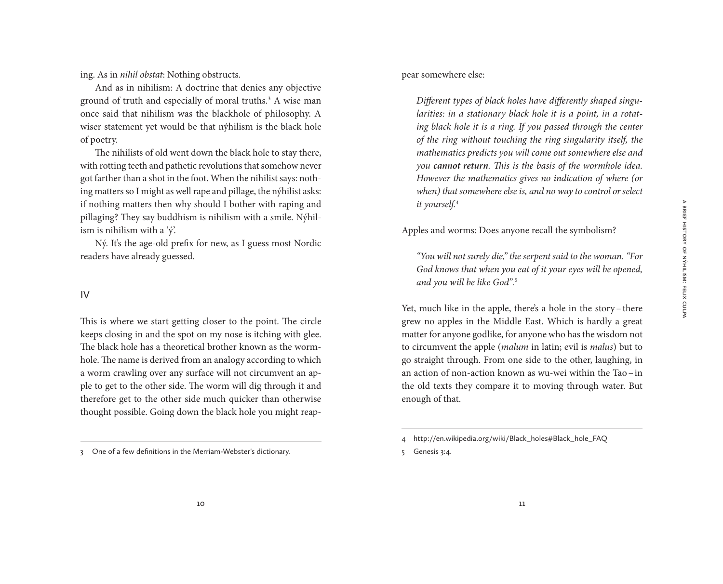ing. As in *nihil obstat*: Nothing obstructs.

And as in nihilism: A doctrine that denies any objective ground of truth and especially of moral truths.3 A wise man once said that nihilism was the blackhole of philosophy. A wiser statement yet would be that nýhilism is the black hole of poetry.

The nihilists of old went down the black hole to stay there, with rotting teeth and pathetic revolutions that somehow never got farther than a shot in the foot. When the nihilist says: nothing matters so I might as well rape and pillage, the nýhilist asks: if nothing matters then why should I bother with raping and pillaging? They say buddhism is nihilism with a smile. Nýhilism is nihilism with a 'ý'.

Ný. It's the age-old prefix for new, as I guess most Nordic readers have already guessed.

#### IV

This is where we start getting closer to the point. The circle keeps closing in and the spot on my nose is itching with glee. The black hole has a theoretical brother known as the wormhole. The name is derived from an analogy according to which a worm crawling over any surface will not circumvent an apple to get to the other side. The worm will dig through it and therefore get to the other side much quicker than otherwise thought possible. Going down the black hole you might reap-

#### pear somewhere else:

*Different types of black holes have differently shaped singularities: in a stationary black hole it is a point, in a rotat*ing black hole it is a ring. If you passed through the center *of the ring without touching the ring singularity itself, the mathematics predicts you will come out somewhere else and you cannot return. This is the basis of the wormhole idea. However the mathematics gives no indication of where (or when) that somewhere else is, and no way to control or select it yourself.*<sup>4</sup>

#### Apples and worms: Does anyone recall the symbolism?

*"You will not surely die," the serpent said to the woman. "For God knows that when you eat of it your eyes will be opened, and you will be like God".*<sup>5</sup>

Yet, much like in the apple, there's a hole in the story-there grew no apples in the Middle East. Which is hardly a great matter for anyone godlike, for anyone who has the wisdom not to circumvent the apple (*malum* in latin; evil is *malus*) but to go straight through. From one side to the other, laughing, in an action of non-action known as wu-wei within the Tao–in the old texts they compare it to moving through water. But enough of that.

<sup>3</sup> One of a few definitions in the Merriam-Webster's dictionary.

<sup>4</sup> http://en.wikipedia.org/wiki/Black\_holes#Black\_hole\_FAQ

<sup>5</sup> Genesis 3:4.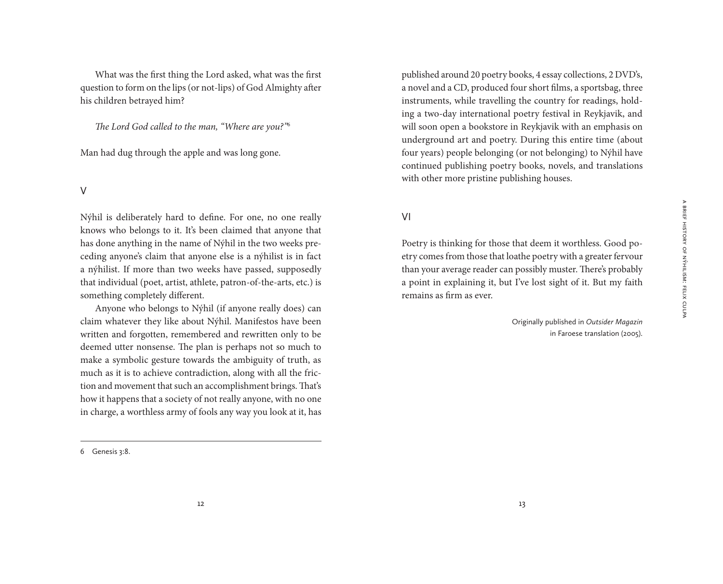What was the first thing the Lord asked, what was the first question to form on the lips (or not-lips) of God Almighty after his children betrayed him?

*The Lord God called to the man, "Where are you?"*<sup>6</sup>

Man had dug through the apple and was long gone.

#### V

Nýhil is deliberately hard to define. For one, no one really knows who belongs to it. It's been claimed that anyone that has done anything in the name of Nýhil in the two weeks preceding anyone's claim that anyone else is a nýhilist is in fact a nýhilist. If more than two weeks have passed, supposedly that individual (poet, artist, athlete, patron-of-the-arts, etc.) is something completely different.

Anyone who belongs to Nýhil (if anyone really does) can claim whatever they like about Nýhil. Manifestos have been written and forgotten, remembered and rewritten only to be deemed utter nonsense. The plan is perhaps not so much to make a symbolic gesture towards the ambiguity of truth, as much as it is to achieve contradiction, along with all the friction and movement that such an accomplishment brings. That's how it happens that a society of not really anyone, with no one in charge, a worthless army of fools any way you look at it, has published around 20 poetry books, 4 essay collections, 2 DVD's, a novel and a CD, produced four short films, a sportsbag, three instruments, while travelling the country for readings, holding a two-day international poetry festival in Reykjavik, and will soon open a bookstore in Reykjavik with an emphasis on underground art and poetry. During this entire time (about four years) people belonging (or not belonging) to Nýhil have continued publishing poetry books, novels, and translations with other more pristine publishing houses.

### VI

Poetry is thinking for those that deem it worthless. Good poetry comes from those that loathe poetry with a greater fervour than your average reader can possibly muster. There's probably a point in explaining it, but I've lost sight of it. But my faith remains as firm as ever.

> Originally published in *Outsider Magazin*  in Faroese translation (2005).

<sup>6</sup> Genesis 3:8.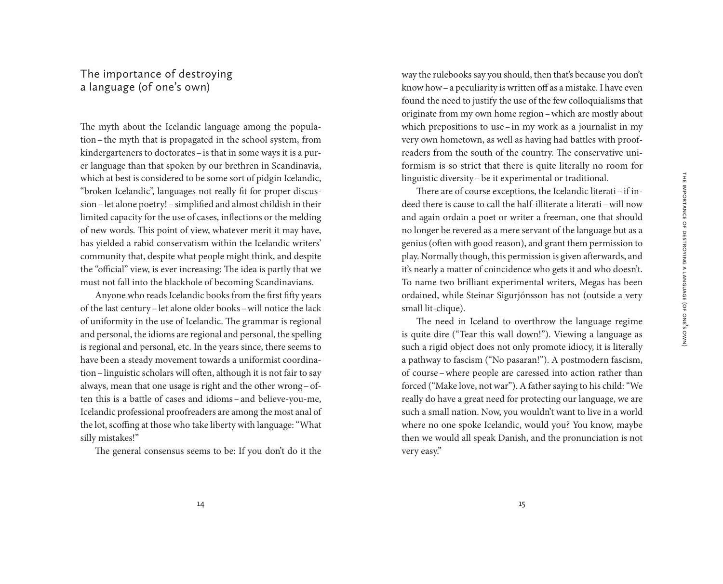# The importance of destroying a language (of one's own)

The myth about the Icelandic language among the population–the myth that is propagated in the school system, from kindergarteners to doctorates–is that in some ways it is a purer language than that spoken by our brethren in Scandinavia, which at best is considered to be some sort of pidgin Icelandic, "broken Icelandic", languages not really fit for proper discussion – let alone poetry! – simplified and almost childish in their limited capacity for the use of cases, inflections or the melding of new words. This point of view, whatever merit it may have, has yielded a rabid conservatism within the Icelandic writers' community that, despite what people might think, and despite the "official" view, is ever increasing: The idea is partly that we must not fall into the blackhole of becoming Scandinavians.

Anyone who reads Icelandic books from the first fifty years of the last century–let alone older books–will notice the lack of uniformity in the use of Icelandic. The grammar is regional and personal, the idioms are regional and personal, the spelling is regional and personal, etc. In the years since, there seems to have been a steady movement towards a uniformist coordination–linguistic scholars will often, although it is not fair to say always, mean that one usage is right and the other wrong–often this is a battle of cases and idioms-and believe-you-me, Icelandic professional proofreaders are among the most anal of the lot, scoffing at those who take liberty with language: "What silly mistakes!"

The general consensus seems to be: If you don't do it the

way the rulebooks say you should, then that's because you don't know how–a peculiarity is written off as a mistake. I have even found the need to justify the use of the few colloquialisms that originate from my own home region–which are mostly about which prepositions to use–in my work as a journalist in my very own hometown, as well as having had battles with proofreaders from the south of the country. The conservative uniformism is so strict that there is quite literally no room for linguistic diversity–be it experimental or traditional.

There are of course exceptions, the Icelandic literati–if indeed there is cause to call the half-illiterate a literati–will now and again ordain a poet or writer a freeman, one that should no longer be revered as a mere servant of the language but as a genius (often with good reason), and grant them permission to play. Normally though, this permission is given afterwards, and it's nearly a matter of coincidence who gets it and who doesn't. To name two brilliant experimental writers, Megas has been ordained, while Steinar Sigurjónsson has not (outside a very small lit-clique).

The need in Iceland to overthrow the language regime is quite dire ("Tear this wall down!"). Viewing a language as such a rigid object does not only promote idiocy, it is literally a pathway to fascism ("No pasaran!"). A postmodern fascism, of course–where people are caressed into action rather than forced ("Make love, not war"). A father saying to his child: "We really do have a great need for protecting our language, we are such a small nation. Now, you wouldn't want to live in a world where no one spoke Icelandic, would you? You know, maybe then we would all speak Danish, and the pronunciation is not very easy."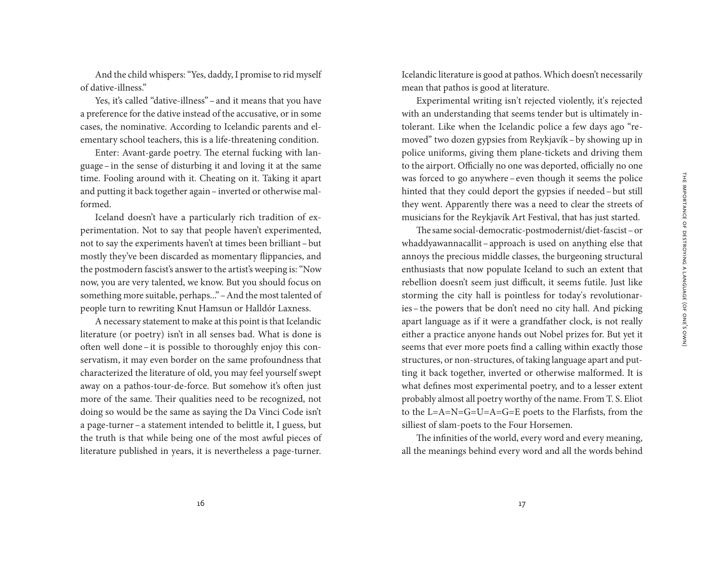And the child whispers: "Yes, daddy, I promise to rid myself of dative-illness."

Yes, it's called "dative-illness"–and it means that you have a preference for the dative instead of the accusative, or in some cases, the nominative. According to Icelandic parents and elementary school teachers, this is a life-threatening condition.

Enter: Avant-garde poetry. The eternal fucking with language–in the sense of disturbing it and loving it at the same time. Fooling around with it. Cheating on it. Taking it apart and putting it back together again–inverted or otherwise malformed.

Iceland doesn't have a particularly rich tradition of experimentation. Not to say that people haven't experimented, not to say the experiments haven't at times been brilliant–but mostly they've been discarded as momentary flippancies, and the postmodern fascist's answer to the artist's weeping is: "Now now, you are very talented, we know. But you should focus on something more suitable, perhaps..."–And the most talented of people turn to rewriting Knut Hamsun or Halldór Laxness.

A necessary statement to make at this point is that Icelandic literature (or poetry) isn't in all senses bad. What is done is often well done–it is possible to thoroughly enjoy this conservatism, it may even border on the same profoundness that characterized the literature of old, you may feel yourself swept away on a pathos-tour-de-force. But somehow it's often just more of the same. Their qualities need to be recognized, not doing so would be the same as saying the Da Vinci Code isn't a page-turner–a statement intended to belittle it, I guess, but the truth is that while being one of the most awful pieces of literature published in years, it is nevertheless a page-turner.

Icelandic literature is good at pathos. Which doesn't necessarily mean that pathos is good at literature.

Experimental writing isn't rejected violently, it's rejected with an understanding that seems tender but is ultimately intolerant. Like when the Icelandic police a few days ago "removed" two dozen gypsies from Reykjavík–by showing up in police uniforms, giving them plane-tickets and driving them to the airport. Officially no one was deported, officially no one was forced to go anywhere –even though it seems the police hinted that they could deport the gypsies if needed–but still they went. Apparently there was a need to clear the streets of musicians for the Reykjavík Art Festival, that has just started.

The same social-democratic-postmodernist/diet-fascist–or whaddyawannacallit–approach is used on anything else that annoys the precious middle classes, the burgeoning structural enthusiasts that now populate Iceland to such an extent that rebellion doesn't seem just difficult, it seems futile. Just like storming the city hall is pointless for today's revolutionaries–the powers that be don't need no city hall. And picking apart language as if it were a grandfather clock, is not really either a practice anyone hands out Nobel prizes for. But yet it seems that ever more poets find a calling within exactly those structures, or non-structures, of taking language apart and putting it back together, inverted or otherwise malformed. It is what defines most experimental poetry, and to a lesser extent probably almost all poetry worthy of the name. From T. S. Eliot to the L=A=N=G=U=A=G=E poets to the Flarfists, from the silliest of slam-poets to the Four Horsemen.

The infinities of the world, every word and every meaning, all the meanings behind every word and all the words behind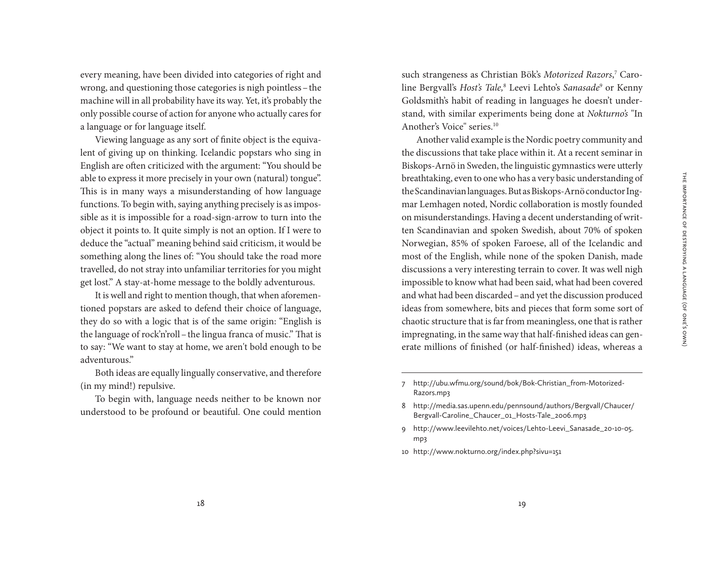every meaning, have been divided into categories of right and wrong, and questioning those categories is nigh pointless–the machine will in all probability have its way. Yet, it's probably the only possible course of action for anyone who actually cares for a language or for language itself.

Viewing language as any sort of finite object is the equivalent of giving up on thinking. Icelandic popstars who sing in English are often criticized with the argument: "You should be able to express it more precisely in your own (natural) tongue". This is in many ways a misunderstanding of how language functions. To begin with, saying anything precisely is as impossible as it is impossible for a road-sign-arrow to turn into the object it points to. It quite simply is not an option. If I were to deduce the "actual" meaning behind said criticism, it would be something along the lines of: "You should take the road more travelled, do not stray into unfamiliar territories for you might get lost." A stay-at-home message to the boldly adventurous.

It is well and right to mention though, that when aforementioned popstars are asked to defend their choice of language, they do so with a logic that is of the same origin: "English is the language of rock'n'roll–the lingua franca of music." That is to say: "We want to stay at home, we aren't bold enough to be adventurous."

Both ideas are equally lingually conservative, and therefore (in my mind!) repulsive.

To begin with, language needs neither to be known nor understood to be profound or beautiful. One could mention

such strangeness as Christian Bök's *Motorized Razors*, 7 Caroline Bergvall's *Host's Tale,*<sup>8</sup> Leevi Lehto's *Sanasade*<sup>9</sup> or Kenny Goldsmith's habit of reading in languages he doesn't understand, with similar experiments being done at *Nokturno's* "In Another's Voice" series.10

Another valid example is the Nordic poetry community and the discussions that take place within it. At a recent seminar in Biskops-Arnö in Sweden, the linguistic gymnastics were utterly breathtaking, even to one who has a very basic understanding of the Scandinavian languages. But as Biskops-Arnö conductor Ingmar Lemhagen noted, Nordic collaboration is mostly founded on misunderstandings. Having a decent understanding of written Scandinavian and spoken Swedish, about 70% of spoken Norwegian, 85% of spoken Faroese, all of the Icelandic and most of the English, while none of the spoken Danish, made discussions a very interesting terrain to cover. It was well nigh impossible to know what had been said, what had been covered and what had been discarded–and yet the discussion produced ideas from somewhere, bits and pieces that form some sort of chaotic structure that is far from meaningless, one that is rather impregnating, in the same way that half-finished ideas can generate millions of finished (or half-finished) ideas, whereas a

- 9 http://www.leevilehto.net/voices/Lehto-Leevi\_Sanasade\_20-10-05. mp3
- 10 http://www.nokturno.org/index.php?sivu=151

<sup>7</sup> http://ubu.wfmu.org/sound/bok/Bok-Christian\_from-Motorized-Razors.mp3

<sup>8</sup> http://media.sas.upenn.edu/pennsound/authors/Bergvall/Chaucer/ Bergvall-Caroline\_Chaucer\_01\_Hosts-Tale\_2006.mp3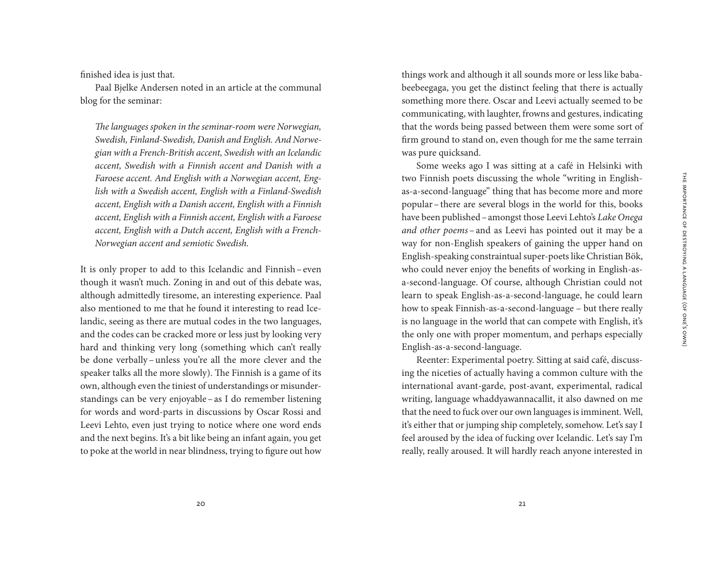finished idea is just that.

Paal Bjelke Andersen noted in an article at the communal blog for the seminar:

*The languages spoken in the seminar-room were Norwegian, Swedish, Finland-Swedish, Danish and English. And Norwegian with a French-British accent, Swedish with an Icelandic accent, Swedish with a Finnish accent and Danish with a Faroese accent. And English with a Norwegian accent, English with a Swedish accent, English with a Finland-Swedish accent, English with a Danish accent, English with a Finnish accent, English with a Finnish accent, English with a Faroese accent, English with a Dutch accent, English with a French-Norwegian accent and semiotic Swedish.*

It is only proper to add to this Icelandic and Finnish– even though it wasn't much. Zoning in and out of this debate was, although admittedly tiresome, an interesting experience. Paal also mentioned to me that he found it interesting to read Icelandic, seeing as there are mutual codes in the two languages, and the codes can be cracked more or less just by looking very hard and thinking very long (something which can't really be done verbally– unless you're all the more clever and the speaker talks all the more slowly). The Finnish is a game of its own, although even the tiniest of understandings or misunderstandings can be very enjoyable–as I do remember listening for words and word-parts in discussions by Oscar Rossi and Leevi Lehto, even just trying to notice where one word ends and the next begins. It's a bit like being an infant again, you get to poke at the world in near blindness, trying to figure out how

things work and although it all sounds more or less like bababeebeegaga, you get the distinct feeling that there is actually something more there. Oscar and Leevi actually seemed to be communicating, with laughter, frowns and gestures, indicating that the words being passed between them were some sort of firm ground to stand on, even though for me the same terrain was pure quicksand.

Some weeks ago I was sitting at a café in Helsinki with two Finnish poets discussing the whole "writing in Englishas-a-second-language" thing that has become more and more popular–there are several blogs in the world for this, books have been published–amongst those Leevi Lehto's *Lake Onega and other poems* – and as Leevi has pointed out it may be a way for non-English speakers of gaining the upper hand on English-speaking constraintual super-poets like Christian Bök, who could never enjoy the benefits of working in English-asa-second-language. Of course, although Christian could not learn to speak English-as-a-second-language, he could learn how to speak Finnish-as-a-second-language – but there really is no language in the world that can compete with English, it's the only one with proper momentum, and perhaps especially English-as-a-second-language.

Reenter: Experimental poetry. Sitting at said café, discussing the niceties of actually having a common culture with the international avant-garde, post-avant, experimental, radical writing, language whaddyawannacallit, it also dawned on me that the need to fuck over our own languages is imminent. Well, it's either that or jumping ship completely, somehow. Let's say I feel aroused by the idea of fucking over Icelandic. Let's say I'm really, really aroused. It will hardly reach anyone interested in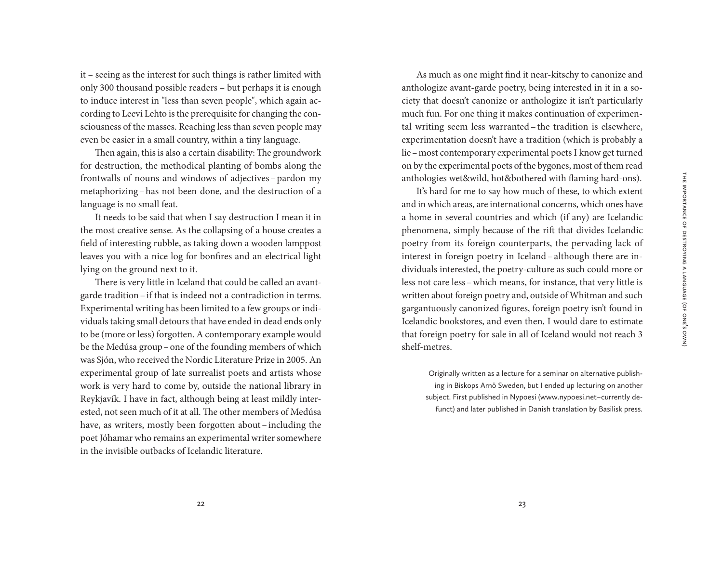it – seeing as the interest for such things is rather limited with only 300 thousand possible readers – but perhaps it is enough to induce interest in "less than seven people", which again according to Leevi Lehto is the prerequisite for changing the consciousness of the masses. Reaching less than seven people may even be easier in a small country, within a tiny language.

Then again, this is also a certain disability: The groundwork for destruction, the methodical planting of bombs along the frontwalls of nouns and windows of adjectives–pardon my metaphorizing–has not been done, and the destruction of a language is no small feat.

It needs to be said that when I say destruction I mean it in the most creative sense. As the collapsing of a house creates a field of interesting rubble, as taking down a wooden lamppost leaves you with a nice log for bonfires and an electrical light lying on the ground next to it.

There is very little in Iceland that could be called an avantgarde tradition–if that is indeed not a contradiction in terms. Experimental writing has been limited to a few groups or individuals taking small detours that have ended in dead ends only to be (more or less) forgotten. A contemporary example would be the Medúsa group–one of the founding members of which was Sjón, who received the Nordic Literature Prize in 2005. An experimental group of late surrealist poets and artists whose work is very hard to come by, outside the national library in Reykjavík. I have in fact, although being at least mildly interested, not seen much of it at all. The other members of Medúsa have, as writers, mostly been forgotten about–including the poet Jóhamar who remains an experimental writer somewhere in the invisible outbacks of Icelandic literature.

As much as one might find it near-kitschy to canonize and anthologize avant-garde poetry, being interested in it in a society that doesn't canonize or anthologize it isn't particularly much fun. For one thing it makes continuation of experimental writing seem less warranted – the tradition is elsewhere, experimentation doesn't have a tradition (which is probably a lie–most contemporary experimental poets I know get turned on by the experimental poets of the bygones, most of them read anthologies wet&wild, hot&bothered with flaming hard-ons).

It's hard for me to say how much of these, to which extent and in which areas, are international concerns, which ones have a home in several countries and which (if any) are Icelandic phenomena, simply because of the rift that divides Icelandic poetry from its foreign counterparts, the pervading lack of interest in foreign poetry in Iceland –although there are individuals interested, the poetry-culture as such could more or less not care less–which means, for instance, that very little is written about foreign poetry and, outside of Whitman and such gargantuously canonized figures, foreign poetry isn't found in Icelandic bookstores, and even then, I would dare to estimate that foreign poetry for sale in all of Iceland would not reach 3 shelf-metres.

Originally written as a lecture for a seminar on alternative publishing in Biskops Arnö Sweden, but I ended up lecturing on another subject. First published in Nypoesi (www.nypoesi.net – currently defunct) and later published in Danish translation by Basilisk press.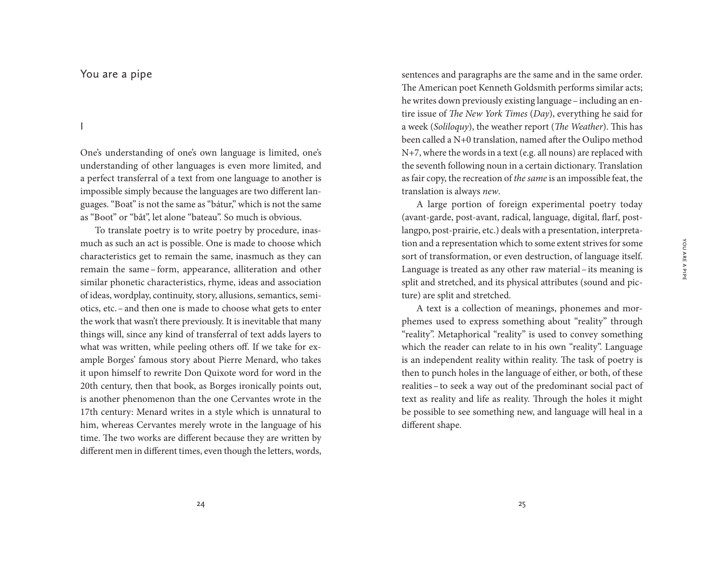You are a pipe

I

One's understanding of one's own language is limited, one's understanding of other languages is even more limited, and a perfect transferral of a text from one language to another is impossible simply because the languages are two different languages. "Boat" is not the same as "bátur," which is not the same as "Boot" or "båt", let alone "bateau". So much is obvious.

To translate poetry is to write poetry by procedure, inasmuch as such an act is possible. One is made to choose which characteristics get to remain the same, inasmuch as they can remain the same – form, appearance, alliteration and other similar phonetic characteristics, rhyme, ideas and association of ideas, wordplay, continuity, story, allusions, semantics, semiotics, etc.–and then one is made to choose what gets to enter the work that wasn't there previously. It is inevitable that many things will, since any kind of transferral of text adds layers to what was written, while peeling others off. If we take for example Borges' famous story about Pierre Menard, who takes it upon himself to rewrite Don Quixote word for word in the 20th century, then that book, as Borges ironically points out, is another phenomenon than the one Cervantes wrote in the 17th century: Menard writes in a style which is unnatural to him, whereas Cervantes merely wrote in the language of his time. The two works are different because they are written by different men in different times, even though the letters, words, sentences and paragraphs are the same and in the same order. The American poet Kenneth Goldsmith performs similar acts; he writes down previously existing language–including an entire issue of *The New York Times* (*Day*), everything he said for a week (*Soliloquy*), the weather report (*The Weather*). This has been called a N+0 translation, named after the Oulipo method N+7, where the words in a text (e.g. all nouns) are replaced with the seventh following noun in a certain dictionary. Translation as fair copy, the recreation of *the same* is an impossible feat, the translation is always *new*.

A large portion of foreign experimental poetry today (avant-garde, post-avant, radical, language, digital, flarf, postlangpo, post-prairie, etc.) deals with a presentation, interpretation and a representation which to some extent strives for some sort of transformation, or even destruction, of language itself. Language is treated as any other raw material–its meaning is split and stretched, and its physical attributes (sound and picture) are split and stretched.

A text is a collection of meanings, phonemes and morphemes used to express something about "reality" through "reality". Metaphorical "reality" is used to convey something which the reader can relate to in his own "reality". Language is an independent reality within reality. The task of poetry is then to punch holes in the language of either, or both, of these realities–to seek a way out of the predominant social pact of text as reality and life as reality. Through the holes it might be possible to see something new, and language will heal in a different shape.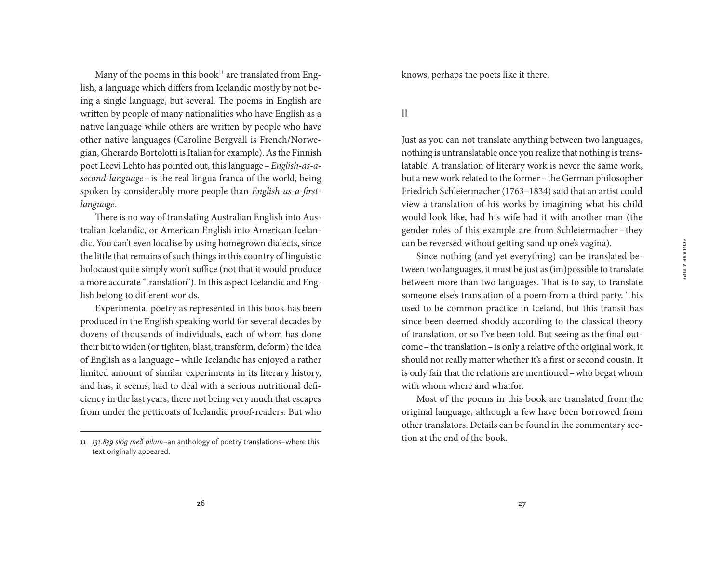You are a pipe

YOU ARE A PIPE

Many of the poems in this book<sup>11</sup> are translated from English, a language which differs from Icelandic mostly by not being a single language, but several. The poems in English are written by people of many nationalities who have English as a native language while others are written by people who have other native languages (Caroline Bergvall is French/Norwegian, Gherardo Bortolotti is Italian for example). As the Finnish poet Leevi Lehto has pointed out, this language–*English-as-asecond-language*–is the real lingua franca of the world, being spoken by considerably more people than *English-as-a-firstlanguage*.

There is no way of translating Australian English into Australian Icelandic, or American English into American Icelandic. You can't even localise by using homegrown dialects, since the little that remains of such things in this country of linguistic holocaust quite simply won't suffice (not that it would produce a more accurate "translation"). In this aspect Icelandic and English belong to different worlds.

Experimental poetry as represented in this book has been produced in the English speaking world for several decades by dozens of thousands of individuals, each of whom has done their bit to widen (or tighten, blast, transform, deform) the idea of English as a language–while Icelandic has enjoyed a rather limited amount of similar experiments in its literary history, and has, it seems, had to deal with a serious nutritional deficiency in the last years, there not being very much that escapes from under the petticoats of Icelandic proof-readers. But who knows, perhaps the poets like it there.

II

Just as you can not translate anything between two languages, nothing is untranslatable once you realize that nothing is translatable. A translation of literary work is never the same work, but a new work related to the former–the German philosopher Friedrich Schleiermacher (1763–1834) said that an artist could view a translation of his works by imagining what his child would look like, had his wife had it with another man (the gender roles of this example are from Schleiermacher– they can be reversed without getting sand up one's vagina).

Since nothing (and yet everything) can be translated between two languages, it must be just as (im)possible to translate between more than two languages. That is to say, to translate someone else's translation of a poem from a third party. This used to be common practice in Iceland, but this transit has since been deemed shoddy according to the classical theory of translation, or so I've been told. But seeing as the final outcome–the translation–is only a relative of the original work, it should not really matter whether it's a first or second cousin. It is only fair that the relations are mentioned–who begat whom with whom where and whatfor.

Most of the poems in this book are translated from the original language, although a few have been borrowed from other translators. Details can be found in the commentary section at the end of the book.

<sup>11</sup> *131.839 slög með bilum* – an anthology of poetry translations – where this text originally appeared.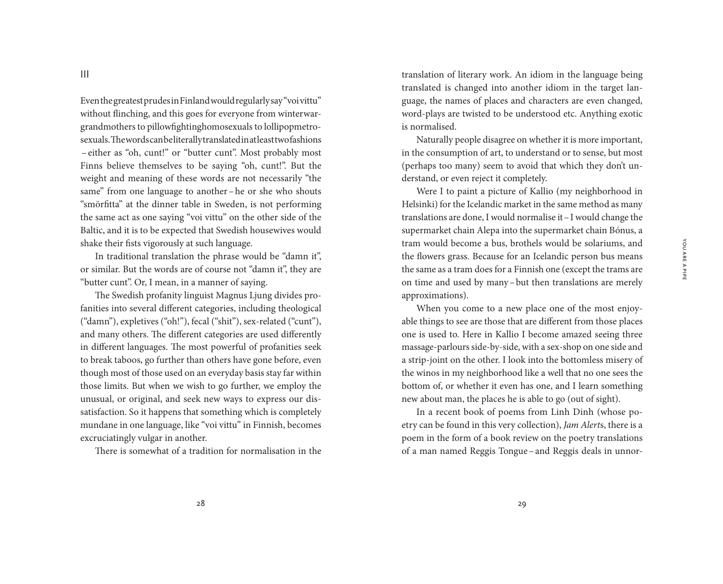III

Even the greatest prudes in Finland would regularly say "voi vittu" without flinching, and this goes for everyone from winterwargrandmothers to pillowfightinghomosexuals to lollipopmetrosexuals. The words can be literally translated in at least two fashions – either as "oh, cunt!" or "butter cunt". Most probably most Finns believe themselves to be saying "oh, cunt!". But the weight and meaning of these words are not necessarily "the same" from one language to another–he or she who shouts "smörfitta" at the dinner table in Sweden, is not performing the same act as one saying "voi vittu" on the other side of the Baltic, and it is to be expected that Swedish housewives would shake their fists vigorously at such language.

In traditional translation the phrase would be "damn it", or similar. But the words are of course not "damn it", they are "butter cunt". Or, I mean, in a manner of saying.

The Swedish profanity linguist Magnus Ljung divides profanities into several different categories, including theological ("damn"), expletives ("oh!"), fecal ("shit"), sex-related ("cunt"), and many others. The different categories are used differently in different languages. The most powerful of profanities seek to break taboos, go further than others have gone before, even though most of those used on an everyday basis stay far within those limits. But when we wish to go further, we employ the unusual, or original, and seek new ways to express our dissatisfaction. So it happens that something which is completely mundane in one language, like "voi vittu" in Finnish, becomes excruciatingly vulgar in another.

There is somewhat of a tradition for normalisation in the

translation of literary work. An idiom in the language being translated is changed into another idiom in the target language, the names of places and characters are even changed, word-plays are twisted to be understood etc. Anything exotic is normalised.

Naturally people disagree on whether it is more important, in the consumption of art, to understand or to sense, but most (perhaps too many) seem to avoid that which they don't understand, or even reject it completely.

Were I to paint a picture of Kallio (my neighborhood in Helsinki) for the Icelandic market in the same method as many translations are done, I would normalise it–I would change the supermarket chain Alepa into the supermarket chain Bónus, a tram would become a bus, brothels would be solariums, and the flowers grass. Because for an Icelandic person bus means the same as a tram does for a Finnish one (except the trams are on time and used by many–but then translations are merely approximations).

When you come to a new place one of the most enjoyable things to see are those that are different from those places one is used to. Here in Kallio I become amazed seeing three massage-parlours side-by-side, with a sex-shop on one side and a strip-joint on the other. I look into the bottomless misery of the winos in my neighborhood like a well that no one sees the bottom of, or whether it even has one, and I learn something new about man, the places he is able to go (out of sight).

In a recent book of poems from Linh Dinh (whose poetry can be found in this very collection), *Jam Alert*s, there is a poem in the form of a book review on the poetry translations of a man named Reggis Tongue–and Reggis deals in unnor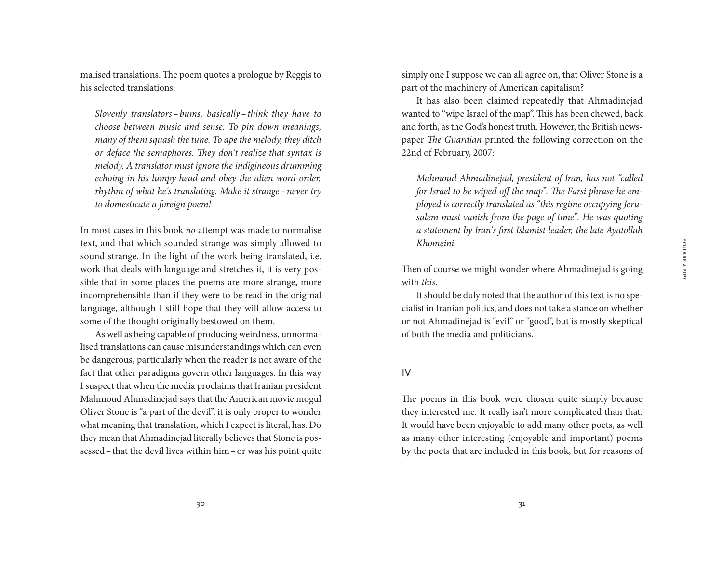malised translations. The poem quotes a prologue by Reggis to his selected translations:

*Slovenly translators – bums, basically – think they have to choose between music and sense. To pin down meanings, many of them squash the tune. To ape the melody, they ditch or deface the semaphores. They don't realize that syntax is melody. A translator must ignore the indigineous drumming echoing in his lumpy head and obey the alien word-order, rhythm of what he's translating. Make it strange –never try to domesticate a foreign poem!*

In most cases in this book *no* attempt was made to normalise text, and that which sounded strange was simply allowed to sound strange. In the light of the work being translated, i.e. work that deals with language and stretches it, it is very possible that in some places the poems are more strange, more incomprehensible than if they were to be read in the original language, although I still hope that they will allow access to some of the thought originally bestowed on them.

As well as being capable of producing weirdness, unnormalised translations can cause misunderstandings which can even be dangerous, particularly when the reader is not aware of the fact that other paradigms govern other languages. In this way I suspect that when the media proclaims that Iranian president Mahmoud Ahmadinejad says that the American movie mogul Oliver Stone is "a part of the devil", it is only proper to wonder what meaning that translation, which I expect is literal, has. Do they mean that Ahmadinejad literally believes that Stone is possessed–that the devil lives within him–or was his point quite simply one I suppose we can all agree on, that Oliver Stone is a part of the machinery of American capitalism?

It has also been claimed repeatedly that Ahmadinejad wanted to "wipe Israel of the map". This has been chewed, back and forth, as the God's honest truth. However, the British newspaper *The Guardian* printed the following correction on the 22nd of February, 2007:

*Mahmoud Ahmadinejad, president of Iran, has not "called for Israel to be wiped off the map". The Farsi phrase he employed is correctly translated as "this regime occupying Jerusalem must vanish from the page of time". He was quoting a statement by Iran's first Islamist leader, the late Ayatollah Khomeini.* 

Then of course we might wonder where Ahmadinejad is going with *this*.

It should be duly noted that the author of this text is no specialist in Iranian politics, and does not take a stance on whether or not Ahmadinejad is "evil" or "good", but is mostly skeptical of both the media and politicians.

#### IV

The poems in this book were chosen quite simply because they interested me. It really isn't more complicated than that. It would have been enjoyable to add many other poets, as well as many other interesting (enjoyable and important) poems by the poets that are included in this book, but for reasons of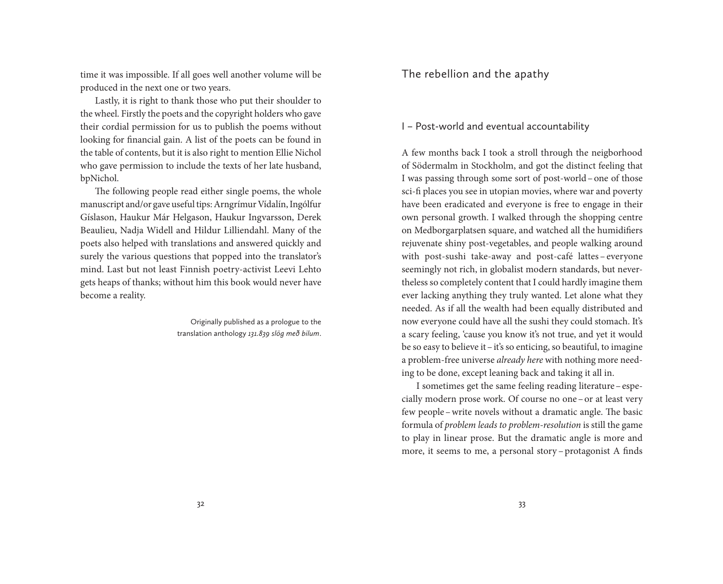time it was impossible. If all goes well another volume will be produced in the next one or two years.

Lastly, it is right to thank those who put their shoulder to the wheel. Firstly the poets and the copyright holders who gave their cordial permission for us to publish the poems without looking for financial gain. A list of the poets can be found in the table of contents, but it is also right to mention Ellie Nichol who gave permission to include the texts of her late husband, bpNichol.

The following people read either single poems, the whole manuscript and/or gave useful tips: Arngrímur Vídalín, Ingólfur Gíslason, Haukur Már Helgason, Haukur Ingvarsson, Derek Beaulieu, Nadja Widell and Hildur Lilliendahl. Many of the poets also helped with translations and answered quickly and surely the various questions that popped into the translator's mind. Last but not least Finnish poetry-activist Leevi Lehto gets heaps of thanks; without him this book would never have become a reality.

> Originally published as a prologue to the translation anthology *131.839 slög með bilum*.

# The rebellion and the apathy

## I – Post-world and eventual accountability

A few months back I took a stroll through the neigborhood of Södermalm in Stockholm, and got the distinct feeling that I was passing through some sort of post-world–one of those sci-fi places you see in utopian movies, where war and poverty have been eradicated and everyone is free to engage in their own personal growth. I walked through the shopping centre on Medborgarplatsen square, and watched all the humidifiers rejuvenate shiny post-vegetables, and people walking around with post-sushi take-away and post-café lattes– everyone seemingly not rich, in globalist modern standards, but nevertheless so completely content that I could hardly imagine them ever lacking anything they truly wanted. Let alone what they needed. As if all the wealth had been equally distributed and now everyone could have all the sushi they could stomach. It's a scary feeling, 'cause you know it's not true, and yet it would be so easy to believe it–it's so enticing, so beautiful, to imagine a problem-free universe *already here* with nothing more needing to be done, except leaning back and taking it all in.

I sometimes get the same feeling reading literature–especially modern prose work. Of course no one–or at least very few people–write novels without a dramatic angle. The basic formula of *problem leads to problem-resolution* is still the game to play in linear prose. But the dramatic angle is more and more, it seems to me, a personal story – protagonist A finds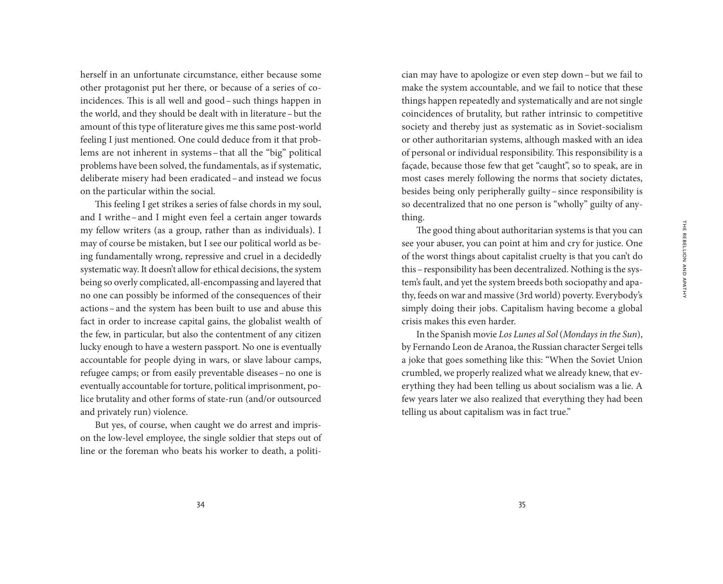herself in an unfortunate circumstance, either because some other protagonist put her there, or because of a series of coincidences. This is all well and good–such things happen in the world, and they should be dealt with in literature–but the amount of this type of literature gives me this same post-world feeling I just mentioned. One could deduce from it that problems are not inherent in systems–that all the "big" political problems have been solved, the fundamentals, as if systematic, deliberate misery had been eradicated–and instead we focus on the particular within the social.

This feeling I get strikes a series of false chords in my soul, and I writhe–and I might even feel a certain anger towards my fellow writers (as a group, rather than as individuals). I may of course be mistaken, but I see our political world as being fundamentally wrong, repressive and cruel in a decidedly systematic way. It doesn't allow for ethical decisions, the system being so overly complicated, all-encompassing and layered that no one can possibly be informed of the consequences of their actions–and the system has been built to use and abuse this fact in order to increase capital gains, the globalist wealth of the few, in particular, but also the contentment of any citizen lucky enough to have a western passport. No one is eventually accountable for people dying in wars, or slave labour camps, refugee camps; or from easily preventable diseases–no one is eventually accountable for torture, political imprisonment, police brutality and other forms of state-run (and/or outsourced and privately run) violence.

But yes, of course, when caught we do arrest and imprison the low-level employee, the single soldier that steps out of line or the foreman who beats his worker to death, a politician may have to apologize or even step down–but we fail to make the system accountable, and we fail to notice that these things happen repeatedly and systematically and are not single coincidences of brutality, but rather intrinsic to competitive society and thereby just as systematic as in Soviet-socialism or other authoritarian systems, although masked with an idea of personal or individual responsibility. This responsibility is a façade, because those few that get "caught", so to speak, are in most cases merely following the norms that society dictates, besides being only peripherally guilty–since responsibility is so decentralized that no one person is "wholly" guilty of anything.

The good thing about authoritarian systems is that you can see your abuser, you can point at him and cry for justice. One of the worst things about capitalist cruelty is that you can't do this–responsibility has been decentralized. Nothing is the system's fault, and yet the system breeds both sociopathy and apathy, feeds on war and massive (3rd world) poverty. Everybody's simply doing their jobs. Capitalism having become a global crisis makes this even harder.

In the Spanish movie *Los Lunes al Sol* (*Mondays in the Sun*), by Fernando Leon de Aranoa, the Russian character Sergei tells a joke that goes something like this: "When the Soviet Union crumbled, we properly realized what we already knew, that everything they had been telling us about socialism was a lie. A few years later we also realized that everything they had been telling us about capitalism was in fact true."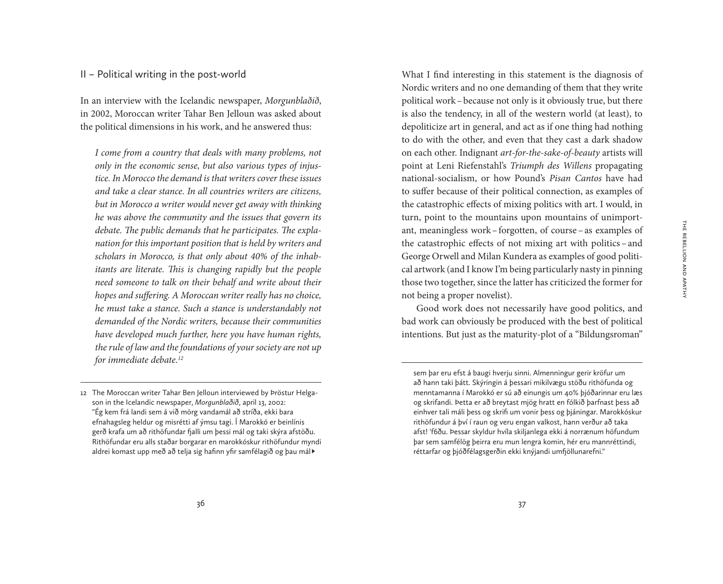## II – Political writing in the post-world

In an interview with the Icelandic newspaper, *Morgunblaðið*, in 2002, Moroccan writer Tahar Ben Jelloun was asked about the political dimensions in his work, and he answered thus:

*I come from a country that deals with many problems, not only in the economic sense, but also various types of injustice. In Morocco the demand is that writers cover these issues and take a clear stance. In all countries writers are citizens, but in Morocco a writer would never get away with thinking he was above the community and the issues that govern its debate. The public demands that he participates. The explanation for this important position that is held by writers and scholars in Morocco, is that only about 40% of the inhabitants are literate. This is changing rapidly but the people need someone to talk on their behalf and write about their hopes and suffering. A Moroccan writer really has no choice, he must take a stance. Such a stance is understandably not demanded of the Nordic writers, because their communities have developed much further, here you have human rights, the rule of law and the foundations of your society are not up for immediate debate.12*

What I find interesting in this statement is the diagnosis of Nordic writers and no one demanding of them that they write political work–because not only is it obviously true, but there is also the tendency, in all of the western world (at least), to depoliticize art in general, and act as if one thing had nothing to do with the other, and even that they cast a dark shadow on each other. Indignant *art-for-the-sake-of-beauty* artists will point at Leni Riefenstahl's *Triumph des Willens* propagating national-socialism, or how Pound's *Pisan Cantos* have had to suffer because of their political connection, as examples of the catastrophic effects of mixing politics with art. I would, in turn, point to the mountains upon mountains of unimportant, meaningless work –forgotten, of course –as examples of the catastrophic effects of not mixing art with politics – and George Orwell and Milan Kundera as examples of good political artwork (and I know I'm being particularly nasty in pinning those two together, since the latter has criticized the former for not being a proper novelist).

Good work does not necessarily have good politics, and bad work can obviously be produced with the best of political intentions. But just as the maturity-plot of a "Bildungsroman"

<sup>12</sup> The Moroccan writer Tahar Ben Jelloun interviewed by Þröstur Helgason in the Icelandic newspaper, *Morgunblaðið*, april 13, 2002: "Ég kem frá landi sem á við mörg vandamál að stríða, ekki bara efnahagsleg heldur og misrétti af ýmsu tagi. Í Marokkó er beinlínis gerð krafa um að rithöfundar fjalli um þessi mál og taki skýra afstöðu. Rithöfundar eru alls staðar borgarar en marokkóskur rithöfundur myndi aldrei komast upp með að telja sig hafinn yfir samfélagið og þau mál<sup> $\rho$ </sup>

sem þar eru efst á baugi hverju sinni. Almenningur gerir kröfur um að hann taki þátt. Skýringin á þessari mikilvægu stöðu rithöfunda og menntamanna í Marokkó er sú að einungis um 40% þjóðarinnar eru læs og skrifandi. Þetta er að breytast mjög hratt en fólkið þarfnast þess að einhver tali máli þess og skrifi um vonir þess og þjáningar. Marokkóskur rithöfundur á því í raun og veru engan valkost, hann verður að taka afst! 'f6ðu. Þessar skyldur hvíla skiljanlega ekki á norrænum höfundum þar sem samfélög þeirra eru mun lengra komin, hér eru mannréttindi, réttarfar og þjóðfélagsgerðin ekki knýjandi umfjöllunarefni."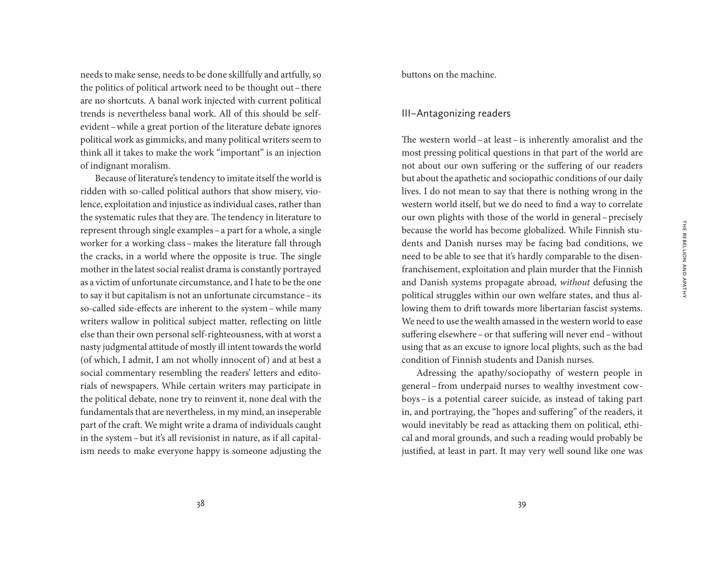needs to make sense, needs to be done skillfully and artfully, so the politics of political artwork need to be thought out–there are no shortcuts. A banal work injected with current political trends is nevertheless banal work. All of this should be selfevident–while a great portion of the literature debate ignores political work as gimmicks, and many political writers seem to think all it takes to make the work "important" is an injection of indignant moralism.

Because of literature's tendency to imitate itself the world is ridden with so-called political authors that show misery, violence, exploitation and injustice as individual cases, rather than the systematic rules that they are. The tendency in literature to represent through single examples–a part for a whole, a single worker for a working class–makes the literature fall through the cracks, in a world where the opposite is true. The single mother in the latest social realist drama is constantly portrayed as a victim of unfortunate circumstance, and I hate to be the one to say it but capitalism is not an unfortunate circumstance–its so-called side-effects are inherent to the system–while many writers wallow in political subject matter, reflecting on little else than their own personal self-righteousness, with at worst a nasty judgmental attitude of mostly ill intent towards the world (of which, I admit, I am not wholly innocent of) and at best a social commentary resembling the readers' letters and editorials of newspapers. While certain writers may participate in the political debate, none try to reinvent it, none deal with the fundamentals that are nevertheless, in my mind, an inseperable part of the craft. We might write a drama of individuals caught in the system–but it's all revisionist in nature, as if all capitalism needs to make everyone happy is someone adjusting the buttons on the machine.

### III – Antagonizing readers

The western world– at least– is inherently amoralist and the most pressing political questions in that part of the world are not about our own suffering or the suffering of our readers but about the apathetic and sociopathic conditions of our daily lives. I do not mean to say that there is nothing wrong in the western world itself, but we do need to find a way to correlate our own plights with those of the world in general–precisely because the world has become globalized. While Finnish students and Danish nurses may be facing bad conditions, we need to be able to see that it's hardly comparable to the disenfranchisement, exploitation and plain murder that the Finnish and Danish systems propagate abroad, *without* defusing the political struggles within our own welfare states, and thus allowing them to drift towards more libertarian fascist systems. We need to use the wealth amassed in the western world to ease suffering elsewhere–or that suffering will never end–without using that as an excuse to ignore local plights, such as the bad condition of Finnish students and Danish nurses.

Adressing the apathy/sociopathy of western people in general–from underpaid nurses to wealthy investment cowboys– is a potential career suicide, as instead of taking part in, and portraying, the "hopes and suffering" of the readers, it would inevitably be read as attacking them on political, ethical and moral grounds, and such a reading would probably be justified, at least in part. It may very well sound like one was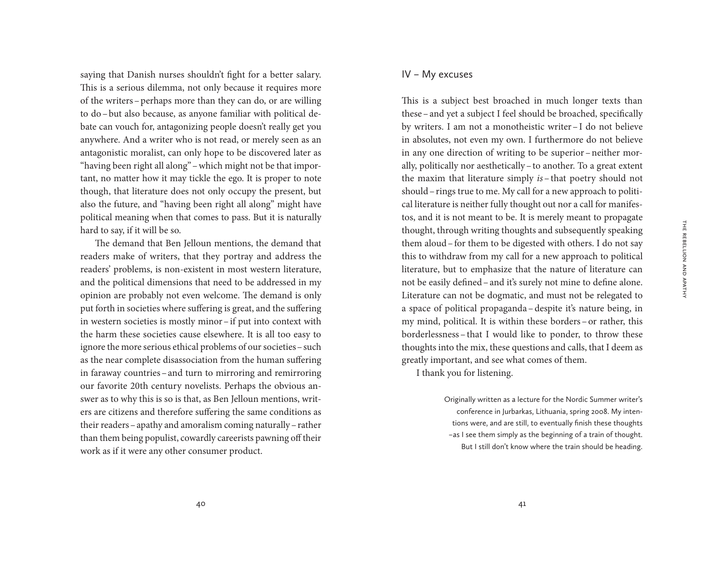THE REBELLION AND APATHY The Rebellion and Apathy

saying that Danish nurses shouldn't fight for a better salary. This is a serious dilemma, not only because it requires more of the writers–perhaps more than they can do, or are willing to do–but also because, as anyone familiar with political debate can vouch for, antagonizing people doesn't really get you anywhere. And a writer who is not read, or merely seen as an antagonistic moralist, can only hope to be discovered later as "having been right all along"–which might not be that important, no matter how it may tickle the ego. It is proper to note though, that literature does not only occupy the present, but also the future, and "having been right all along" might have political meaning when that comes to pass. But it is naturally hard to say, if it will be so.

The demand that Ben Jelloun mentions, the demand that readers make of writers, that they portray and address the readers' problems, is non-existent in most western literature, and the political dimensions that need to be addressed in my opinion are probably not even welcome. The demand is only put forth in societies where suffering is great, and the suffering in western societies is mostly minor–if put into context with the harm these societies cause elsewhere. It is all too easy to ignore the more serious ethical problems of our societies–such as the near complete disassociation from the human suffering in faraway countries–and turn to mirroring and remirroring our favorite 20th century novelists. Perhaps the obvious answer as to why this is so is that, as Ben Jelloun mentions, writers are citizens and therefore suffering the same conditions as their readers–apathy and amoralism coming naturally –rather than them being populist, cowardly careerists pawning off their work as if it were any other consumer product.

## IV – My excuses

This is a subject best broached in much longer texts than these–and yet a subject I feel should be broached, specifically by writers. I am not a monotheistic writer– I do not believe in absolutes, not even my own. I furthermore do not believe in any one direction of writing to be superior –neither morally, politically nor aesthetically–to another. To a great extent the maxim that literature simply *is* – that poetry should not should–rings true to me. My call for a new approach to political literature is neither fully thought out nor a call for manifestos, and it is not meant to be. It is merely meant to propagate thought, through writing thoughts and subsequently speaking them aloud–for them to be digested with others. I do not say this to withdraw from my call for a new approach to political literature, but to emphasize that the nature of literature can not be easily defined–and it's surely not mine to define alone. Literature can not be dogmatic, and must not be relegated to a space of political propaganda–despite it's nature being, in my mind, political. It is within these borders –or rather, this borderlessness – that I would like to ponder, to throw these thoughts into the mix, these questions and calls, that I deem as greatly important, and see what comes of them.

I thank you for listening.

Originally written as a lecture for the Nordic Summer writer's conference in Jurbarkas, Lithuania, spring 2008. My intentions were, and are still, to eventually finish these thoughts – as I see them simply as the beginning of a train of thought. But I still don't know where the train should be heading.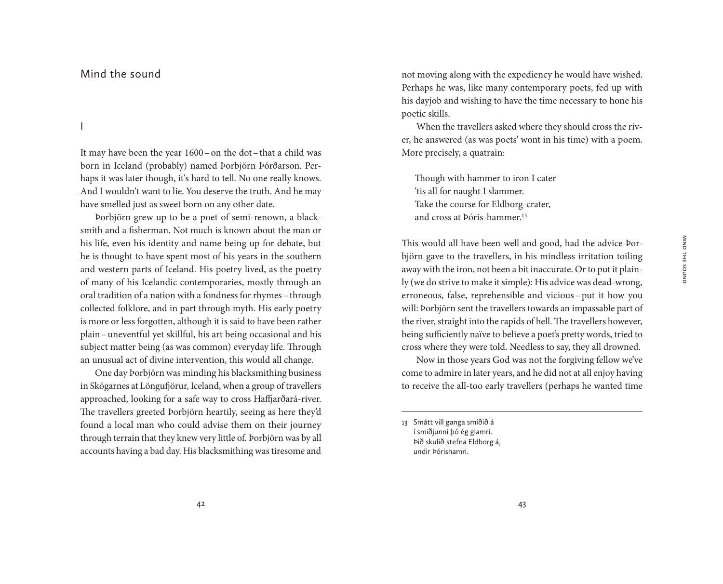## Mind the sound

I

It may have been the year 1600–on the dot–that a child was born in Iceland (probably) named Þorbjörn Þórðarson. Perhaps it was later though, it's hard to tell. No one really knows. And I wouldn't want to lie. You deserve the truth. And he may have smelled just as sweet born on any other date.

Þorbjörn grew up to be a poet of semi-renown, a blacksmith and a fisherman. Not much is known about the man or his life, even his identity and name being up for debate, but he is thought to have spent most of his years in the southern and western parts of Iceland. His poetry lived, as the poetry of many of his Icelandic contemporaries, mostly through an oral tradition of a nation with a fondness for rhymes–through collected folklore, and in part through myth. His early poetry is more or less forgotten, although it is said to have been rather plain–uneventful yet skillful, his art being occasional and his subject matter being (as was common) everyday life. Through an unusual act of divine intervention, this would all change.

One day Þorbjörn was minding his blacksmithing business in Skógarnes at Löngufjörur, Iceland, when a group of travellers approached, looking for a safe way to cross Haffjarðará-river. The travellers greeted Þorbjörn heartily, seeing as here they'd found a local man who could advise them on their journey through terrain that they knew very little of. Þorbjörn was by all accounts having a bad day. His blacksmithing was tiresome and

not moving along with the expediency he would have wished. Perhaps he was, like many contemporary poets, fed up with his dayjob and wishing to have the time necessary to hone his poetic skills.

When the travellers asked where they should cross the river, he answered (as was poets' wont in his time) with a poem. More precisely, a quatrain:

Though with hammer to iron I cater 'tis all for naught I slammer. Take the course for Eldborg-crater, and cross at Þóris-hammer.13

This would all have been well and good, had the advice Þorbjörn gave to the travellers, in his mindless irritation toiling away with the iron, not been a bit inaccurate. Or to put it plainly (we do strive to make it simple): His advice was dead-wrong, erroneous, false, reprehensible and vicious – put it how you will: Þorbjörn sent the travellers towards an impassable part of the river, straight into the rapids of hell. The travellers however, being sufficiently naïve to believe a poet's pretty words, tried to cross where they were told. Needless to say, they all drowned.

Now in those years God was not the forgiving fellow we've come to admire in later years, and he did not at all enjoy having to receive the all-too early travellers (perhaps he wanted time

13 Smátt vill ganga smíðið á í smiðjunni þó ég glamri. Þið skulið stefna Eldborg á, undir Þórishamri.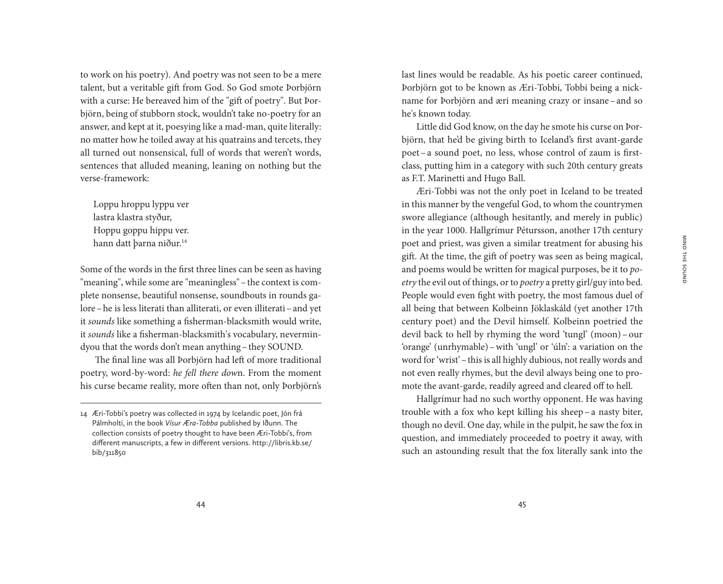to work on his poetry). And poetry was not seen to be a mere talent, but a veritable gift from God. So God smote Þorbjörn with a curse: He bereaved him of the "gift of poetry". But Þorbjörn, being of stubborn stock, wouldn't take no-poetry for an answer, and kept at it, poesying like a mad-man, quite literally: no matter how he toiled away at his quatrains and tercets, they all turned out nonsensical, full of words that weren't words, sentences that alluded meaning, leaning on nothing but the verse-framework:

Loppu hroppu lyppu ver lastra klastra styður, Hoppu goppu hippu ver. hann datt þarna niður.<sup>14</sup>

Some of the words in the first three lines can be seen as having "meaning", while some are "meaningless"–the context is complete nonsense, beautiful nonsense, soundbouts in rounds galore–he is less literati than alliterati, or even illiterati–and yet it *sounds* like something a fisherman-blacksmith would write, it *sounds* like a fisherman-blacksmith's vocabulary, nevermindyou that the words don't mean anything–they SOUND.

The final line was all Þorbjörn had left of more traditional poetry, word-by-word: *he fell there dow*n. From the moment his curse became reality, more often than not, only Þorbjörn's last lines would be readable. As his poetic career continued, Þorbjörn got to be known as Æri-Tobbi, Tobbi being a nickname for Þorbjörn and æri meaning crazy or insane–and so he's known today.

Little did God know, on the day he smote his curse on Þorbjörn, that he'd be giving birth to Iceland's first avant-garde poet –a sound poet, no less, whose control of zaum is firstclass, putting him in a category with such 20th century greats as F.T. Marinetti and Hugo Ball.

Æri-Tobbi was not the only poet in Iceland to be treated in this manner by the vengeful God, to whom the countrymen swore allegiance (although hesitantly, and merely in public) in the year 1000. Hallgrímur Pétursson, another 17th century poet and priest, was given a similar treatment for abusing his gift. At the time, the gift of poetry was seen as being magical, and poems would be written for magical purposes, be it to *poetry* the evil out of things, or to *poetry* a pretty girl/guy into bed. People would even fight with poetry, the most famous duel of all being that between Kolbeinn Jöklaskáld (yet another 17th century poet) and the Devil himself. Kolbeinn poetried the devil back to hell by rhyming the word 'tungl' (moon) – our 'orange' (unrhymable)–with 'ungl' or 'úln': a variation on the word for 'wrist'–this is all highly dubious, not really words and not even really rhymes, but the devil always being one to promote the avant-garde, readily agreed and cleared off to hell.

Hallgrímur had no such worthy opponent. He was having trouble with a fox who kept killing his sheep –a nasty biter, though no devil. One day, while in the pulpit, he saw the fox in question, and immediately proceeded to poetry it away, with such an astounding result that the fox literally sank into the

<sup>14</sup> Æri-Tobbi's poetry was collected in 1974 by Icelandic poet, Jón frá Pálmholti, in the book *Vísur Æra-Tobba* published by Iðunn. The collection consists of poetry thought to have been Æri-Tobbi's, from different manuscripts, a few in different versions. http://libris.kb.se/ bib/311850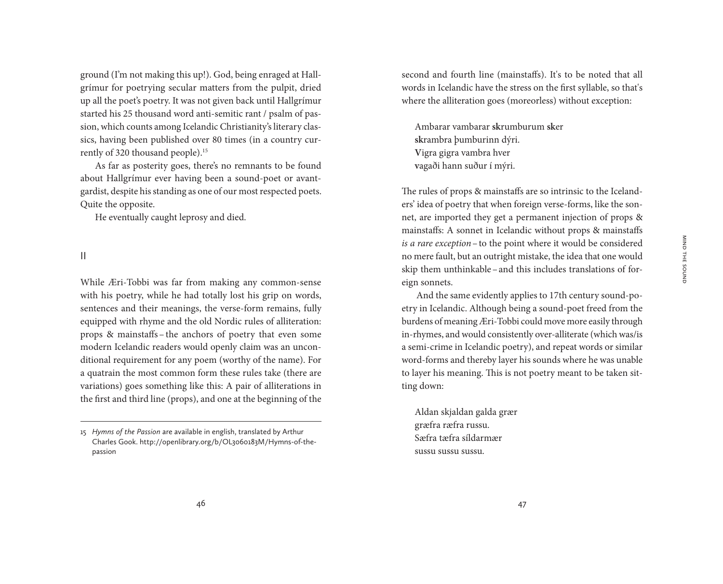Mind the sound

MIND THE SOUND

ground (I'm not making this up!). God, being enraged at Hallgrímur for poetrying secular matters from the pulpit, dried up all the poet's poetry. It was not given back until Hallgrímur started his 25 thousand word anti-semitic rant / psalm of passion, which counts among Icelandic Christianity's literary classics, having been published over 80 times (in a country currently of 320 thousand people).15

As far as posterity goes, there's no remnants to be found about Hallgrímur ever having been a sound-poet or avantgardist, despite his standing as one of our most respected poets. Quite the opposite.

He eventually caught leprosy and died.

II

While Æri-Tobbi was far from making any common-sense with his poetry, while he had totally lost his grip on words, sentences and their meanings, the verse-form remains, fully equipped with rhyme and the old Nordic rules of alliteration: props & mainstaffs – the anchors of poetry that even some modern Icelandic readers would openly claim was an unconditional requirement for any poem (worthy of the name). For a quatrain the most common form these rules take (there are variations) goes something like this: A pair of alliterations in the first and third line (props), and one at the beginning of the second and fourth line (mainstaffs). It's to be noted that all words in Icelandic have the stress on the first syllable, so that's where the alliteration goes (moreorless) without exception:

Ambarar vambarar **sk**rumburum **sk**er **sk**rambra þumburinn dýri. **V**igra gigra vambra hver **v**agaði hann suður í mýri.

The rules of props & mainstaffs are so intrinsic to the Icelanders' idea of poetry that when foreign verse-forms, like the sonnet, are imported they get a permanent injection of props & mainstaffs: A sonnet in Icelandic without props & mainstaffs *is a rare exception*–to the point where it would be considered no mere fault, but an outright mistake, the idea that one would skip them unthinkable–and this includes translations of foreign sonnets.

And the same evidently applies to 17th century sound-poetry in Icelandic. Although being a sound-poet freed from the burdens of meaning Æri-Tobbi could move more easily through in-rhymes, and would consistently over-alliterate (which was/is a semi-crime in Icelandic poetry), and repeat words or similar word-forms and thereby layer his sounds where he was unable to layer his meaning. This is not poetry meant to be taken sitting down:

Aldan skjaldan galda grær græfra ræfra russu. Sæfra tæfra síldarmær sussu sussu sussu.

<sup>15</sup> *Hymns of the Passion* are available in english, translated by Arthur Charles Gook. http://openlibrary.org/b/OL3060183M/Hymns-of-thepassion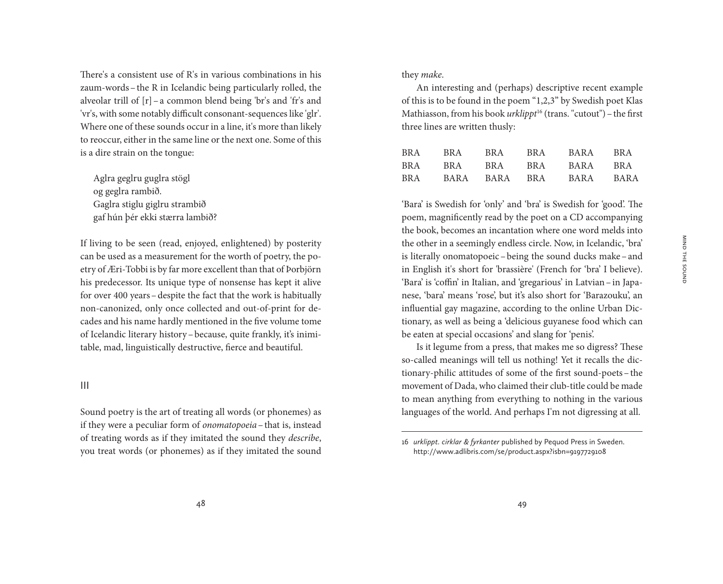There's a consistent use of R's in various combinations in his zaum-words–the R in Icelandic being particularly rolled, the alveolar trill of [r]–a common blend being 'br's and 'fr's and 'vr's, with some notably difficult consonant-sequences like 'glr'. Where one of these sounds occur in a line, it's more than likely to reoccur, either in the same line or the next one. Some of this is a dire strain on the tongue:

Aglra geglru guglra stögl og geglra rambið. Gaglra stiglu giglru strambið gaf hún þér ekki stærra lambið?

If living to be seen (read, enjoyed, enlightened) by posterity can be used as a measurement for the worth of poetry, the poetry of Æri-Tobbi is by far more excellent than that of Þorbjörn his predecessor. Its unique type of nonsense has kept it alive for over 400 years–despite the fact that the work is habitually non-canonized, only once collected and out-of-print for decades and his name hardly mentioned in the five volume tome of Icelandic literary history–because, quite frankly, it's inimitable, mad, linguistically destructive, fierce and beautiful.

### III

Sound poetry is the art of treating all words (or phonemes) as if they were a peculiar form of *onomatopoeia*–that is, instead of treating words as if they imitated the sound they *describe*, you treat words (or phonemes) as if they imitated the sound they *make*.

An interesting and (perhaps) descriptive recent example of this is to be found in the poem "1,2,3" by Swedish poet Klas Mathiasson, from his book *urklippt*16 (trans. "cutout")–the first three lines are written thusly:

| <b>BRA</b> | BR A | BR A | BR A | <b>BARA</b> | BR A |
|------------|------|------|------|-------------|------|
| BR A       | BR A | BR A | BR A | BARA        | BR A |
| <b>BRA</b> | BARA | BARA | BR A | BARA        | BARA |

'Bara' is Swedish for 'only' and 'bra' is Swedish for 'good'. The poem, magnificently read by the poet on a CD accompanying the book, becomes an incantation where one word melds into the other in a seemingly endless circle. Now, in Icelandic, 'bra' is literally onomatopoeic–being the sound ducks make–and in English it's short for 'brassière' (French for 'bra' I believe). 'Bara' is 'coffin' in Italian, and 'gregarious' in Latvian –in Japanese, 'bara' means 'rose', but it's also short for 'Barazouku', an influential gay magazine, according to the online Urban Dictionary, as well as being a 'delicious guyanese food which can be eaten at special occasions' and slang for 'penis'.

Is it legume from a press, that makes me so digress? These so-called meanings will tell us nothing! Yet it recalls the dictionary-philic attitudes of some of the first sound-poets–the movement of Dada, who claimed their club-title could be made to mean anything from everything to nothing in the various languages of the world. And perhaps I'm not digressing at all.

<sup>16</sup> *urklippt. cirklar & fyrkanter* published by Pequod Press in Sweden. http://www.adlibris.com/se/product.aspx?isbn=9197729108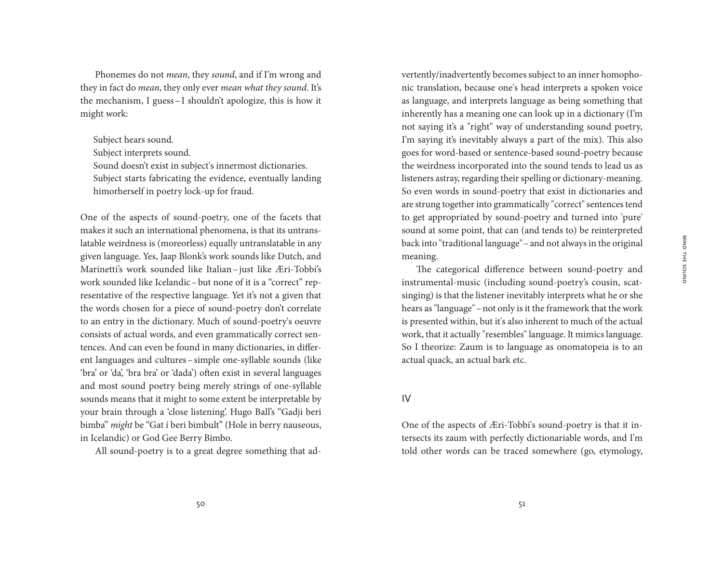Phonemes do not *mean*, they *sound*, and if I'm wrong and they in fact do *mean*, they only ever *mean what they sound*. It's the mechanism, I guess –I shouldn't apologize, this is how it might work:

Subject hears sound.

Subject interprets sound.

Sound doesn't exist in subject's innermost dictionaries.

Subject starts fabricating the evidence, eventually landing himorherself in poetry lock-up for fraud.

One of the aspects of sound-poetry, one of the facets that makes it such an international phenomena, is that its untranslatable weirdness is (moreorless) equally untranslatable in any given language. Yes, Jaap Blonk's work sounds like Dutch, and Marinetti's work sounded like Italian– just like Æri-Tobbi's work sounded like Icelandic–but none of it is a "correct" representative of the respective language. Yet it's not a given that the words chosen for a piece of sound-poetry don't correlate to an entry in the dictionary. Much of sound-poetry's oeuvre consists of actual words, and even grammatically correct sentences. And can even be found in many dictionaries, in different languages and cultures–simple one-syllable sounds (like 'bra' or 'da', 'bra bra' or 'dada') often exist in several languages and most sound poetry being merely strings of one-syllable sounds means that it might to some extent be interpretable by your brain through a 'close listening'. Hugo Ball's "Gadji beri bimba" *might* be "Gat í beri bimbult" (Hole in berry nauseous, in Icelandic) or God Gee Berry Bimbo.

All sound-poetry is to a great degree something that ad-

vertently/inadvertently becomes subject to an inner homophonic translation, because one's head interprets a spoken voice as language, and interprets language as being something that inherently has a meaning one can look up in a dictionary (I'm not saying it's a "right" way of understanding sound poetry, I'm saying it's inevitably always a part of the mix). This also goes for word-based or sentence-based sound-poetry because the weirdness incorporated into the sound tends to lead us as listeners astray, regarding their spelling or dictionary-meaning. So even words in sound-poetry that exist in dictionaries and are strung together into grammatically "correct" sentences tend to get appropriated by sound-poetry and turned into 'pure' sound at some point, that can (and tends to) be reinterpreted back into "traditional language"–and not always in the original meaning.

The categorical difference between sound-poetry and instrumental-music (including sound-poetry's cousin, scatsinging) is that the listener inevitably interprets what he or she hears as "language"–not only is it the framework that the work is presented within, but it's also inherent to much of the actual work, that it actually "resembles" language. It mimics language. So I theorize: Zaum is to language as onomatopeia is to an actual quack, an actual bark etc.

#### IV

One of the aspects of Æri-Tobbi's sound-poetry is that it intersects its zaum with perfectly dictionariable words, and I'm told other words can be traced somewhere (go, etymology,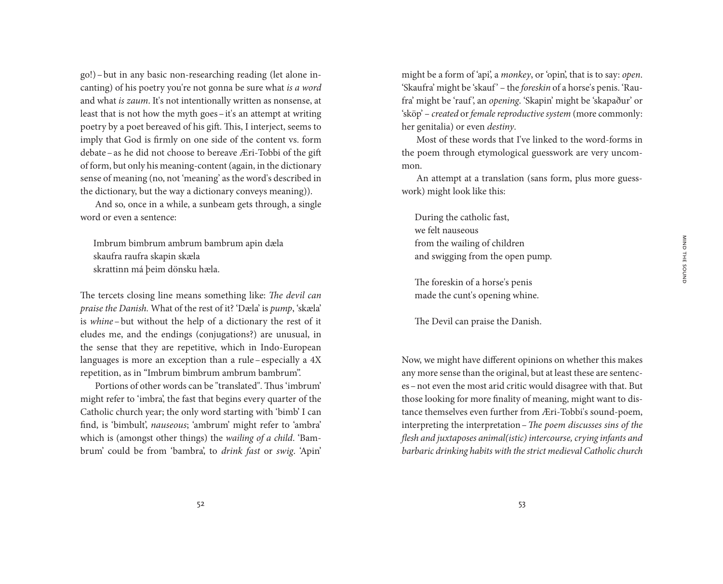go!)–but in any basic non-researching reading (let alone incanting) of his poetry you're not gonna be sure what *is a word* and what *is zaum*. It's not intentionally written as nonsense, at least that is not how the myth goes–it's an attempt at writing poetry by a poet bereaved of his gift. This, I interject, seems to imply that God is firmly on one side of the content vs. form debate–as he did not choose to bereave Æri-Tobbi of the gift of form, but only his meaning-content (again, in the dictionary sense of meaning (no, not 'meaning' as the word's described in the dictionary, but the way a dictionary conveys meaning)).

And so, once in a while, a sunbeam gets through, a single word or even a sentence:

Imbrum bimbrum ambrum bambrum apin dæla skaufra raufra skapin skæla skrattinn má þeim dönsku hæla.

The tercets closing line means something like: *The devil can praise the Danish.* What of the rest of it? 'Dæla' is *pump*, 'skæla' is *whine* – but without the help of a dictionary the rest of it eludes me, and the endings (conjugations?) are unusual, in the sense that they are repetitive, which in Indo-European languages is more an exception than a rule– especially a 4X repetition, as in "Imbrum bimbrum ambrum bambrum".

Portions of other words can be "translated". Thus 'imbrum' might refer to 'imbra', the fast that begins every quarter of the Catholic church year; the only word starting with 'bimb' I can find, is 'bimbult', *nauseous*; 'ambrum' might refer to 'ambra' which is (amongst other things) the *wailing of a child*. 'Bambrum' could be from 'bambra', to *drink fast* or *swig*. 'Apin'

might be a form of 'api', a *monkey*, or 'opin', that is to say: *open*. 'Skaufra' might be 'skauf ' – the *foreskin* of a horse's penis. 'Raufra' might be 'rauf', an *opening*. 'Skapin' might be 'skapaður' or 'sköp' – *created* or *female reproductive system* (more commonly: her genitalia) or even *destiny*.

Most of these words that I've linked to the word-forms in the poem through etymological guesswork are very uncommon.

An attempt at a translation (sans form, plus more guesswork) might look like this:

During the catholic fast, we felt nauseous from the wailing of children and swigging from the open pump.

The foreskin of a horse's penis made the cunt's opening whine.

The Devil can praise the Danish.

Now, we might have different opinions on whether this makes any more sense than the original, but at least these are sentences–not even the most arid critic would disagree with that. But those looking for more finality of meaning, might want to distance themselves even further from Æri-Tobbi's sound-poem, interpreting the interpretation–*The poem discusses sins of the flesh and juxtaposes animal(istic) intercourse, crying infants and barbaric drinking habits with the strict medieval Catholic church*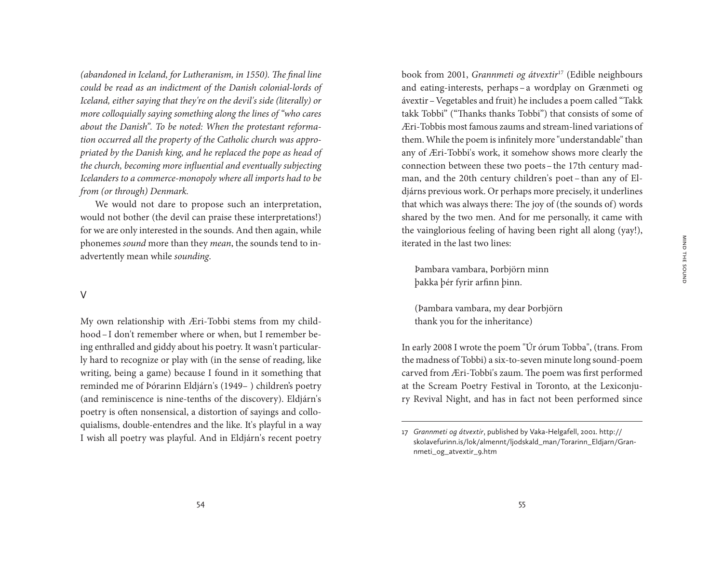*(abandoned in Iceland, for Lutheranism, in 1550). The final line could be read as an indictment of the Danish colonial-lords of Iceland, either saying that they're on the devil's side (literally) or more colloquially saying something along the lines of "who cares about the Danish". To be noted: When the protestant reformation occurred all the property of the Catholic church was appropriated by the Danish king, and he replaced the pope as head of the church, becoming more influential and eventually subjecting Icelanders to a commerce-monopoly where all imports had to be from (or through) Denmark.* 

We would not dare to propose such an interpretation, would not bother (the devil can praise these interpretations!) for we are only interested in the sounds. And then again, while phonemes *sound* more than they *mean*, the sounds tend to inadvertently mean while *sounding*.

#### V

My own relationship with Æri-Tobbi stems from my childhood–I don't remember where or when, but I remember being enthralled and giddy about his poetry. It wasn't particularly hard to recognize or play with (in the sense of reading, like writing, being a game) because I found in it something that reminded me of Þórarinn Eldjárn's (1949– ) children's poetry (and reminiscence is nine-tenths of the discovery). Eldjárn's poetry is often nonsensical, a distortion of sayings and colloquialisms, double-entendres and the like. It's playful in a way I wish all poetry was playful. And in Eldjárn's recent poetry

book from 2001, *Grannmeti og átvextir*17 (Edible neighbours and eating-interests, perhaps – a wordplay on Grænmeti og ávextir–Vegetables and fruit) he includes a poem called "Takk takk Tobbi" ("Thanks thanks Tobbi") that consists of some of Æri-Tobbis most famous zaums and stream-lined variations of them. While the poem is infinitely more "understandable" than any of Æri-Tobbi's work, it somehow shows more clearly the connection between these two poets–the 17th century madman, and the 20th century children's poet – than any of Eldjárns previous work. Or perhaps more precisely, it underlines that which was always there: The joy of (the sounds of) words shared by the two men. And for me personally, it came with the vainglorious feeling of having been right all along (yay!), iterated in the last two lines:

Þambara vambara, Þorbjörn minn þakka þér fyrir arfinn þinn.

(Þambara vambara, my dear Þorbjörn thank you for the inheritance)

In early 2008 I wrote the poem "Úr órum Tobba", (trans. From the madness of Tobbi) a six-to-seven minute long sound-poem carved from Æri-Tobbi's zaum. The poem was first performed at the Scream Poetry Festival in Toronto, at the Lexiconjury Revival Night, and has in fact not been performed since

<sup>17</sup> *Grannmeti og átvextir*, published by Vaka-Helgafell, 2001. http:// skolavefurinn.is/lok/almennt/ljodskald\_man/Torarinn\_Eldjarn/Grannmeti\_og\_atvextir\_9.htm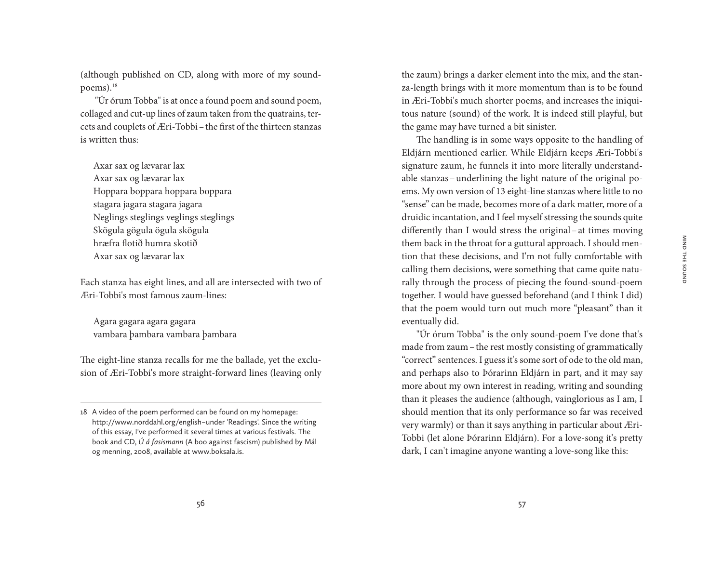(although published on CD, along with more of my soundpoems).18

"Úr órum Tobba" is at once a found poem and sound poem, collaged and cut-up lines of zaum taken from the quatrains, tercets and couplets of Æri-Tobbi–the first of the thirteen stanzas is written thus:

Axar sax og lævarar lax Axar sax og lævarar lax Hoppara boppara hoppara boppara stagara jagara stagara jagara Neglings steglings veglings steglings Skögula gögula ögula skögula hræfra flotið humra skotið Axar sax og lævarar lax

Each stanza has eight lines, and all are intersected with two of Æri-Tobbi's most famous zaum-lines:

Agara gagara agara gagara vambara þambara vambara þambara

The eight-line stanza recalls for me the ballade, yet the exclusion of Æri-Tobbi's more straight-forward lines (leaving only

the zaum) brings a darker element into the mix, and the stanza-length brings with it more momentum than is to be found in Æri-Tobbi's much shorter poems, and increases the iniquitous nature (sound) of the work. It is indeed still playful, but the game may have turned a bit sinister.

The handling is in some ways opposite to the handling of Eldjárn mentioned earlier. While Eldjárn keeps Æri-Tobbi's signature zaum, he funnels it into more literally understandable stanzas–underlining the light nature of the original poems. My own version of 13 eight-line stanzas where little to no "sense" can be made, becomes more of a dark matter, more of a druidic incantation, and I feel myself stressing the sounds quite differently than I would stress the original–at times moving them back in the throat for a guttural approach. I should mention that these decisions, and I'm not fully comfortable with calling them decisions, were something that came quite naturally through the process of piecing the found-sound-poem together. I would have guessed beforehand (and I think I did) that the poem would turn out much more "pleasant" than it eventually did.

"Úr órum Tobba" is the only sound-poem I've done that's made from zaum–the rest mostly consisting of grammatically "correct" sentences. I guess it's some sort of ode to the old man, and perhaps also to Þórarinn Eldjárn in part, and it may say more about my own interest in reading, writing and sounding than it pleases the audience (although, vainglorious as I am, I should mention that its only performance so far was received very warmly) or than it says anything in particular about Æri-Tobbi (let alone Þórarinn Eldjárn). For a love-song it's pretty dark, I can't imagine anyone wanting a love-song like this:

<sup>18</sup> A video of the poem performed can be found on my homepage: http://www.norddahl.org/english – under 'Readings'. Since the writing of this essay, I've performed it several times at various festivals. The book and CD, *Ú á fasismann* (A boo against fascism) published by Mál og menning, 2008, available at www.boksala.is.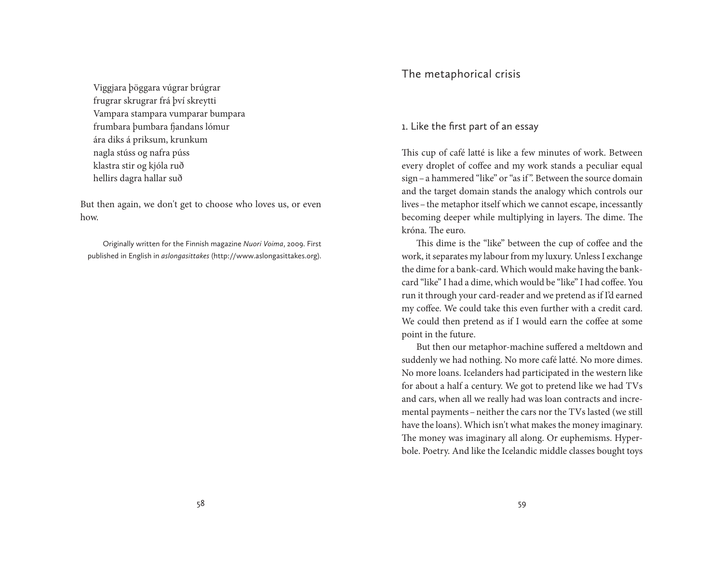Viggjara þöggara vúgrar brúgrar frugrar skrugrar frá því skreytti Vampara stampara vumparar bumpara frumbara þumbara fjandans lómur ára diks á priksum, krunkum nagla stúss og nafra púss klastra stir og kjóla ruð hellirs dagra hallar suð

But then again, we don't get to choose who loves us, or even how.

Originally written for the Finnish magazine *Nuori Voima*, 2009. First published in English in *aslongasittakes* (http://www.aslongasittakes.org).

# The metaphorical crisis

# 1. Like the first part of an essay

This cup of café latté is like a few minutes of work. Between every droplet of coffee and my work stands a peculiar equal sign–a hammered "like" or "as if ". Between the source domain and the target domain stands the analogy which controls our lives–the metaphor itself which we cannot escape, incessantly becoming deeper while multiplying in layers. The dime. The króna. The euro.

This dime is the "like" between the cup of coffee and the work, it separates my labour from my luxury. Unless I exchange the dime for a bank-card. Which would make having the bankcard "like" I had a dime, which would be "like" I had coffee. You run it through your card-reader and we pretend as if I'd earned my coffee. We could take this even further with a credit card. We could then pretend as if I would earn the coffee at some point in the future.

But then our metaphor-machine suffered a meltdown and suddenly we had nothing. No more café latté. No more dimes. No more loans. Icelanders had participated in the western like for about a half a century. We got to pretend like we had TVs and cars, when all we really had was loan contracts and incremental payments–neither the cars nor the TVs lasted (we still have the loans). Which isn't what makes the money imaginary. The money was imaginary all along. Or euphemisms. Hyperbole. Poetry. And like the Icelandic middle classes bought toys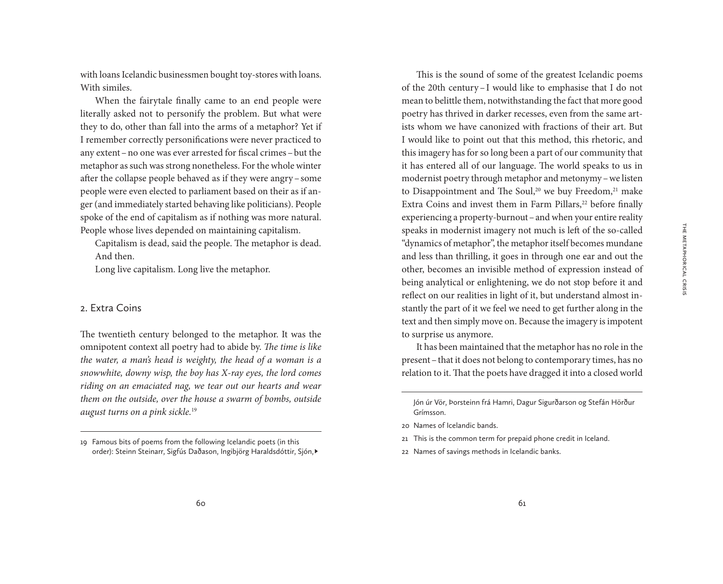The Metaphorical Crisis

THE METAPHORICAL CRISIS

with loans Icelandic businessmen bought toy-stores with loans. With similes.

When the fairytale finally came to an end people were literally asked not to personify the problem. But what were they to do, other than fall into the arms of a metaphor? Yet if I remember correctly personifications were never practiced to any extent–no one was ever arrested for fiscal crimes–but the metaphor as such was strong nonetheless. For the whole winter after the collapse people behaved as if they were angry–some people were even elected to parliament based on their as if anger (and immediately started behaving like politicians). People spoke of the end of capitalism as if nothing was more natural. People whose lives depended on maintaining capitalism.

Capitalism is dead, said the people. The metaphor is dead. And then.

Long live capitalism. Long live the metaphor.

#### 2. Extra Coins

The twentieth century belonged to the metaphor. It was the omnipotent context all poetry had to abide by. *The time is like the water, a man's head is weighty, the head of a woman is a snowwhite, downy wisp, the boy has X-ray eyes, the lord comes riding on an emaciated nag, we tear out our hearts and wear them on the outside, over the house a swarm of bombs, outside august turns on a pink sickle.*<sup>19</sup>

This is the sound of some of the greatest Icelandic poems of the 20th century–I would like to emphasise that I do not mean to belittle them, notwithstanding the fact that more good poetry has thrived in darker recesses, even from the same artists whom we have canonized with fractions of their art. But I would like to point out that this method, this rhetoric, and this imagery has for so long been a part of our community that it has entered all of our language. The world speaks to us in modernist poetry through metaphor and metonymy –we listen to Disappointment and The Soul,<sup>20</sup> we buy Freedom,<sup>21</sup> make Extra Coins and invest them in Farm Pillars,<sup>22</sup> before finally experiencing a property-burnout–and when your entire reality speaks in modernist imagery not much is left of the so-called "dynamics of metaphor", the metaphor itself becomes mundane and less than thrilling, it goes in through one ear and out the other, becomes an invisible method of expression instead of being analytical or enlightening, we do not stop before it and reflect on our realities in light of it, but understand almost instantly the part of it we feel we need to get further along in the text and then simply move on. Because the imagery is impotent to surprise us anymore.

It has been maintained that the metaphor has no role in the present–that it does not belong to contemporary times, has no relation to it. That the poets have dragged it into a closed world

<sup>19</sup> Famous bits of poems from the following Icelandic poets (in this order): Steinn Steinarr, Sigfús Daðason, Ingibjörg Haraldsdóttir, Sjón,▶

Jón úr Vör, Þorsteinn frá Hamri, Dagur Sigurðarson og Stefán Hörður Grímsson.

<sup>20</sup> Names of Icelandic bands.

<sup>21</sup> This is the common term for prepaid phone credit in Iceland.

<sup>22</sup> Names of savings methods in Icelandic banks.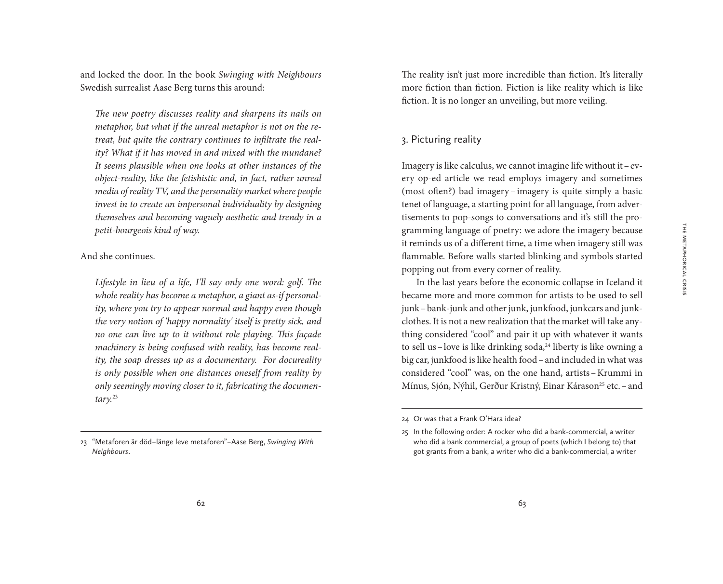and locked the door. In the book *Swinging with Neighbours* Swedish surrealist Aase Berg turns this around:

*The new poetry discusses reality and sharpens its nails on metaphor, but what if the unreal metaphor is not on the retreat, but quite the contrary continues to infiltrate the reality? What if it has moved in and mixed with the mundane? It seems plausible when one looks at other instances of the object-reality, like the fetishistic and, in fact, rather unreal media of reality TV, and the personality market where people invest in to create an impersonal individuality by designing themselves and becoming vaguely aesthetic and trendy in a petit-bourgeois kind of way.*

And she continues.

*Lifestyle in lieu of a life, I'll say only one word: golf. The whole reality has become a metaphor, a giant as-if personality, where you try to appear normal and happy even though the very notion of 'happy normality' itself is pretty sick, and no one can live up to it without role playing. This façade machinery is being confused with reality, has become reality, the soap dresses up as a documentary. For docureality is only possible when one distances oneself from reality by only seemingly moving closer to it, fabricating the documentary.*<sup>23</sup>

The reality isn't just more incredible than fiction. It's literally more fiction than fiction. Fiction is like reality which is like fiction. It is no longer an unveiling, but more veiling.

## 3. Picturing reality

Imagery is like calculus, we cannot imagine life without it–every op-ed article we read employs imagery and sometimes (most often?) bad imagery – imagery is quite simply a basic tenet of language, a starting point for all language, from advertisements to pop-songs to conversations and it's still the programming language of poetry: we adore the imagery because it reminds us of a different time, a time when imagery still was flammable. Before walls started blinking and symbols started popping out from every corner of reality.

In the last years before the economic collapse in Iceland it became more and more common for artists to be used to sell junk–bank-junk and other junk, junkfood, junkcars and junkclothes. It is not a new realization that the market will take anything considered "cool" and pair it up with whatever it wants to sell us–love is like drinking soda, $^{24}$  liberty is like owning a big car, junkfood is like health food–and included in what was considered "cool" was, on the one hand, artists–Krummi in Mínus, Sjón, Nýhil, Gerður Kristný, Einar Kárason<sup>25</sup> etc. – and

<sup>23</sup> "Metaforen är död – länge leve metaforen" – Aase Berg, *Swinging With Neighbours*.

<sup>24</sup> Or was that a Frank O'Hara idea?

<sup>25</sup> In the following order: A rocker who did a bank-commercial, a writer who did a bank commercial, a group of poets (which I belong to) that got grants from a bank, a writer who did a bank-commercial, a writer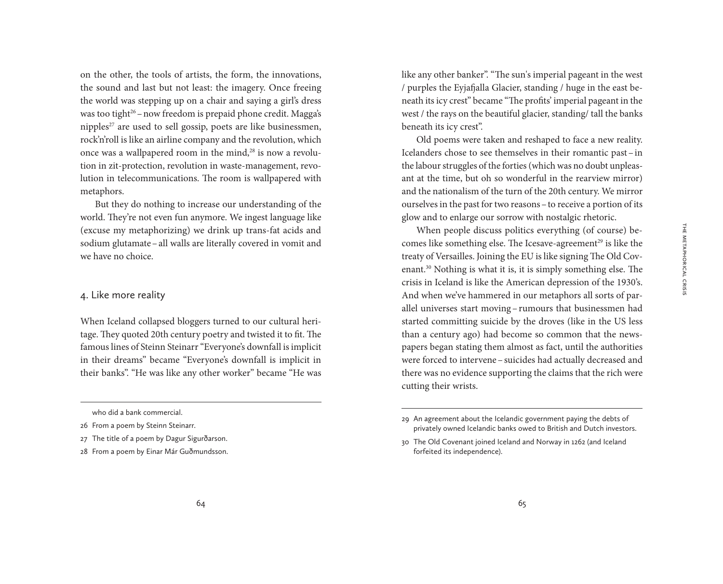on the other, the tools of artists, the form, the innovations, the sound and last but not least: the imagery. Once freeing the world was stepping up on a chair and saying a girl's dress was too tight<sup>26</sup>–now freedom is prepaid phone credit. Magga's nipples<sup>27</sup> are used to sell gossip, poets are like businessmen, rock'n'roll is like an airline company and the revolution, which once was a wallpapered room in the mind,<sup>28</sup> is now a revolution in zit-protection, revolution in waste-management, revolution in telecommunications. The room is wallpapered with metaphors.

But they do nothing to increase our understanding of the world. They're not even fun anymore. We ingest language like (excuse my metaphorizing) we drink up trans-fat acids and sodium glutamate–all walls are literally covered in vomit and we have no choice.

#### 4. Like more reality

When Iceland collapsed bloggers turned to our cultural heritage. They quoted 20th century poetry and twisted it to fit. The famous lines of Steinn Steinarr "Everyone's downfall is implicit in their dreams" became "Everyone's downfall is implicit in their banks". "He was like any other worker" became "He was like any other banker". "The sun's imperial pageant in the west / purples the Eyjafjalla Glacier, standing / huge in the east beneath its icy crest" became "The profits' imperial pageant in the west / the rays on the beautiful glacier, standing/ tall the banks beneath its icy crest".

Old poems were taken and reshaped to face a new reality. Icelanders chose to see themselves in their romantic past–in the labour struggles of the forties (which was no doubt unpleasant at the time, but oh so wonderful in the rearview mirror) and the nationalism of the turn of the 20th century. We mirror ourselves in the past for two reasons–to receive a portion of its glow and to enlarge our sorrow with nostalgic rhetoric.

When people discuss politics everything (of course) becomes like something else. The Icesave-agreement<sup>29</sup> is like the treaty of Versailles. Joining the EU is like signing The Old Covenant.30 Nothing is what it is, it is simply something else. The crisis in Iceland is like the American depression of the 1930's. And when we've hammered in our metaphors all sorts of parallel universes start moving –rumours that businessmen had started committing suicide by the droves (like in the US less than a century ago) had become so common that the newspapers began stating them almost as fact, until the authorities were forced to intervene–suicides had actually decreased and there was no evidence supporting the claims that the rich were cutting their wrists.

who did a bank commercial.

<sup>26</sup> From a poem by Steinn Steinarr.

<sup>27</sup> The title of a poem by Dagur Sigurðarson.

<sup>28</sup> From a poem by Einar Már Guðmundsson.

<sup>29</sup> An agreement about the Icelandic government paying the debts of privately owned Icelandic banks owed to British and Dutch investors.

<sup>30</sup> The Old Covenant joined Iceland and Norway in 1262 (and Iceland forfeited its independence).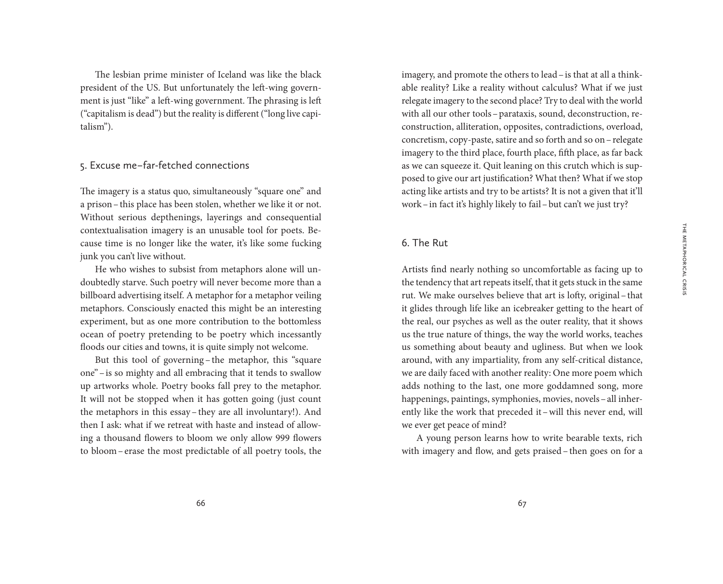The lesbian prime minister of Iceland was like the black president of the US. But unfortunately the left-wing government is just "like" a left-wing government. The phrasing is left ("capitalism is dead") but the reality is different ("long live capitalism").

#### 5. Excuse me – far-fetched connections

The imagery is a status quo, simultaneously "square one" and a prison–this place has been stolen, whether we like it or not. Without serious depthenings, layerings and consequential contextualisation imagery is an unusable tool for poets. Because time is no longer like the water, it's like some fucking junk you can't live without.

He who wishes to subsist from metaphors alone will undoubtedly starve. Such poetry will never become more than a billboard advertising itself. A metaphor for a metaphor veiling metaphors. Consciously enacted this might be an interesting experiment, but as one more contribution to the bottomless ocean of poetry pretending to be poetry which incessantly floods our cities and towns, it is quite simply not welcome.

But this tool of governing – the metaphor, this "square one"–is so mighty and all embracing that it tends to swallow up artworks whole. Poetry books fall prey to the metaphor. It will not be stopped when it has gotten going (just count the metaphors in this essay – they are all involuntary!). And then I ask: what if we retreat with haste and instead of allowing a thousand flowers to bloom we only allow 999 flowers to bloom–erase the most predictable of all poetry tools, the

imagery, and promote the others to lead–is that at all a thinkable reality? Like a reality without calculus? What if we just relegate imagery to the second place? Try to deal with the world with all our other tools–parataxis, sound, deconstruction, reconstruction, alliteration, opposites, contradictions, overload, concretism, copy-paste, satire and so forth and so on–relegate imagery to the third place, fourth place, fifth place, as far back as we can squeeze it. Quit leaning on this crutch which is supposed to give our art justification? What then? What if we stop acting like artists and try to be artists? It is not a given that it'll work–in fact it's highly likely to fail–but can't we just try?

#### 6. The Rut

Artists find nearly nothing so uncomfortable as facing up to the tendency that art repeats itself, that it gets stuck in the same rut. We make ourselves believe that art is lofty, original–that it glides through life like an icebreaker getting to the heart of the real, our psyches as well as the outer reality, that it shows us the true nature of things, the way the world works, teaches us something about beauty and ugliness. But when we look around, with any impartiality, from any self-critical distance, we are daily faced with another reality: One more poem which adds nothing to the last, one more goddamned song, more happenings, paintings, symphonies, movies, novels–all inherently like the work that preceded it–will this never end, will we ever get peace of mind?

A young person learns how to write bearable texts, rich with imagery and flow, and gets praised–then goes on for a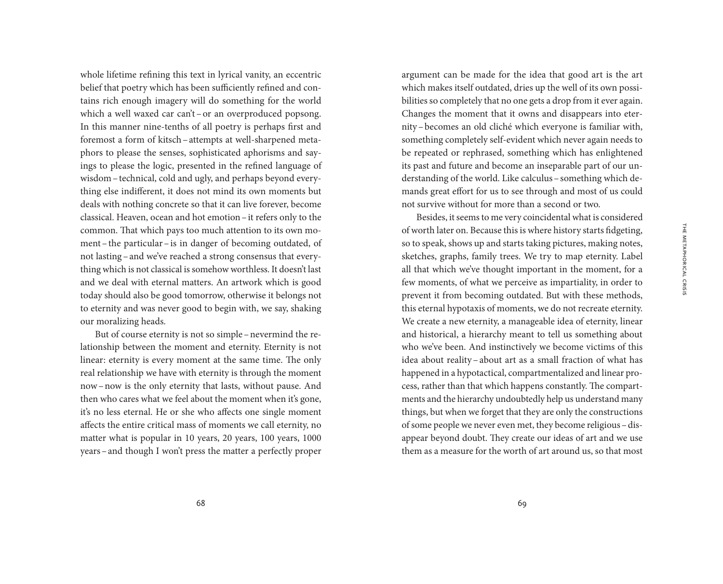whole lifetime refining this text in lyrical vanity, an eccentric belief that poetry which has been sufficiently refined and contains rich enough imagery will do something for the world which a well waxed car can't-or an overproduced popsong. In this manner nine-tenths of all poetry is perhaps first and foremost a form of kitsch–attempts at well-sharpened metaphors to please the senses, sophisticated aphorisms and sayings to please the logic, presented in the refined language of wisdom–technical, cold and ugly, and perhaps beyond everything else indifferent, it does not mind its own moments but deals with nothing concrete so that it can live forever, become classical. Heaven, ocean and hot emotion–it refers only to the common. That which pays too much attention to its own moment–the particular–is in danger of becoming outdated, of not lasting–and we've reached a strong consensus that everything which is not classical is somehow worthless. It doesn't last and we deal with eternal matters. An artwork which is good today should also be good tomorrow, otherwise it belongs not to eternity and was never good to begin with, we say, shaking our moralizing heads.

But of course eternity is not so simple–nevermind the relationship between the moment and eternity. Eternity is not linear: eternity is every moment at the same time. The only real relationship we have with eternity is through the moment now–now is the only eternity that lasts, without pause. And then who cares what we feel about the moment when it's gone, it's no less eternal. He or she who affects one single moment affects the entire critical mass of moments we call eternity, no matter what is popular in 10 years, 20 years, 100 years, 1000 years–and though I won't press the matter a perfectly proper

argument can be made for the idea that good art is the art which makes itself outdated, dries up the well of its own possibilities so completely that no one gets a drop from it ever again. Changes the moment that it owns and disappears into eternity–becomes an old cliché which everyone is familiar with, something completely self-evident which never again needs to be repeated or rephrased, something which has enlightened its past and future and become an inseparable part of our understanding of the world. Like calculus–something which demands great effort for us to see through and most of us could not survive without for more than a second or two.

Besides, it seems to me very coincidental what is considered of worth later on. Because this is where history starts fidgeting, so to speak, shows up and starts taking pictures, making notes, sketches, graphs, family trees. We try to map eternity. Label all that which we've thought important in the moment, for a few moments, of what we perceive as impartiality, in order to prevent it from becoming outdated. But with these methods, this eternal hypotaxis of moments, we do not recreate eternity. We create a new eternity, a manageable idea of eternity, linear and historical, a hierarchy meant to tell us something about who we've been. And instinctively we become victims of this idea about reality–about art as a small fraction of what has happened in a hypotactical, compartmentalized and linear process, rather than that which happens constantly. The compartments and the hierarchy undoubtedly help us understand many things, but when we forget that they are only the constructions of some people we never even met, they become religious–disappear beyond doubt. They create our ideas of art and we use them as a measure for the worth of art around us, so that most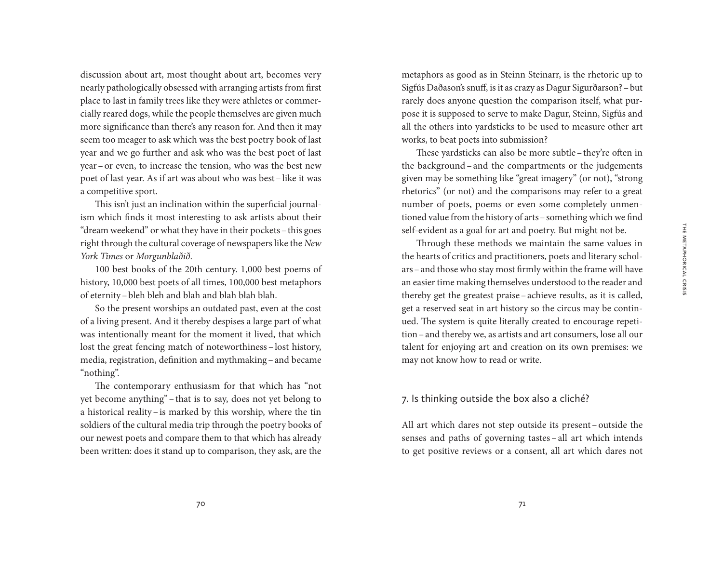discussion about art, most thought about art, becomes very nearly pathologically obsessed with arranging artists from first place to last in family trees like they were athletes or commercially reared dogs, while the people themselves are given much more significance than there's any reason for. And then it may seem too meager to ask which was the best poetry book of last year and we go further and ask who was the best poet of last year–or even, to increase the tension, who was the best new poet of last year. As if art was about who was best–like it was a competitive sport.

This isn't just an inclination within the superficial journalism which finds it most interesting to ask artists about their "dream weekend" or what they have in their pockets–this goes right through the cultural coverage of newspapers like the *New York Times* or *Morgunblaðið*.

100 best books of the 20th century. 1,000 best poems of history, 10,000 best poets of all times, 100,000 best metaphors of eternity–bleh bleh and blah and blah blah blah.

So the present worships an outdated past, even at the cost of a living present. And it thereby despises a large part of what was intentionally meant for the moment it lived, that which lost the great fencing match of noteworthiness – lost history, media, registration, definition and mythmaking–and became "nothing".

The contemporary enthusiasm for that which has "not yet become anything"–that is to say, does not yet belong to a historical reality –is marked by this worship, where the tin soldiers of the cultural media trip through the poetry books of our newest poets and compare them to that which has already been written: does it stand up to comparison, they ask, are the

metaphors as good as in Steinn Steinarr, is the rhetoric up to Sigfús Daðason's snuff, is it as crazy as Dagur Sigurðarson?–but rarely does anyone question the comparison itself, what purpose it is supposed to serve to make Dagur, Steinn, Sigfús and all the others into yardsticks to be used to measure other art works, to beat poets into submission?

These yardsticks can also be more subtle–they're often in the background – and the compartments or the judgements given may be something like "great imagery" (or not), "strong rhetorics" (or not) and the comparisons may refer to a great number of poets, poems or even some completely unmentioned value from the history of arts–something which we find self-evident as a goal for art and poetry. But might not be.

Through these methods we maintain the same values in the hearts of critics and practitioners, poets and literary scholars–and those who stay most firmly within the frame will have an easier time making themselves understood to the reader and thereby get the greatest praise–achieve results, as it is called, get a reserved seat in art history so the circus may be continued. The system is quite literally created to encourage repetition–and thereby we, as artists and art consumers, lose all our talent for enjoying art and creation on its own premises: we may not know how to read or write.

# 7. Is thinking outside the box also a cliché?

All art which dares not step outside its present– outside the senses and paths of governing tastes – all art which intends to get positive reviews or a consent, all art which dares not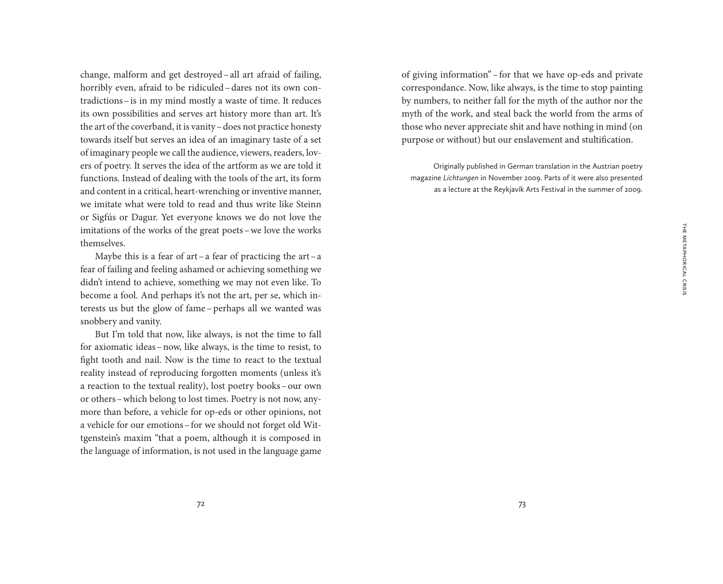change, malform and get destroyed– all art afraid of failing, horribly even, afraid to be ridiculed–dares not its own contradictions–is in my mind mostly a waste of time. It reduces its own possibilities and serves art history more than art. It's the art of the coverband, it is vanity–does not practice honesty towards itself but serves an idea of an imaginary taste of a set of imaginary people we call the audience, viewers, readers, lovers of poetry. It serves the idea of the artform as we are told it functions. Instead of dealing with the tools of the art, its form and content in a critical, heart-wrenching or inventive manner, we imitate what were told to read and thus write like Steinn or Sigfús or Dagur. Yet everyone knows we do not love the imitations of the works of the great poets–we love the works themselves.

Maybe this is a fear of art–a fear of practicing the art–a fear of failing and feeling ashamed or achieving something we didn't intend to achieve, something we may not even like. To become a fool. And perhaps it's not the art, per se, which interests us but the glow of fame-perhaps all we wanted was snobbery and vanity.

But I'm told that now, like always, is not the time to fall for axiomatic ideas–now, like always, is the time to resist, to fight tooth and nail. Now is the time to react to the textual reality instead of reproducing forgotten moments (unless it's a reaction to the textual reality), lost poetry books–our own or others–which belong to lost times. Poetry is not now, anymore than before, a vehicle for op-eds or other opinions, not a vehicle for our emotions–for we should not forget old Wittgenstein's maxim "that a poem, although it is composed in the language of information, is not used in the language game of giving information" – for that we have op-eds and private correspondance. Now, like always, is the time to stop painting by numbers, to neither fall for the myth of the author nor the myth of the work, and steal back the world from the arms of those who never appreciate shit and have nothing in mind (on purpose or without) but our enslavement and stultification.

Originally published in German translation in the Austrian poetry magazine *Lichtungen* in November 2009. Parts of it were also presented as a lecture at the Reykjavík Arts Festival in the summer of 2009.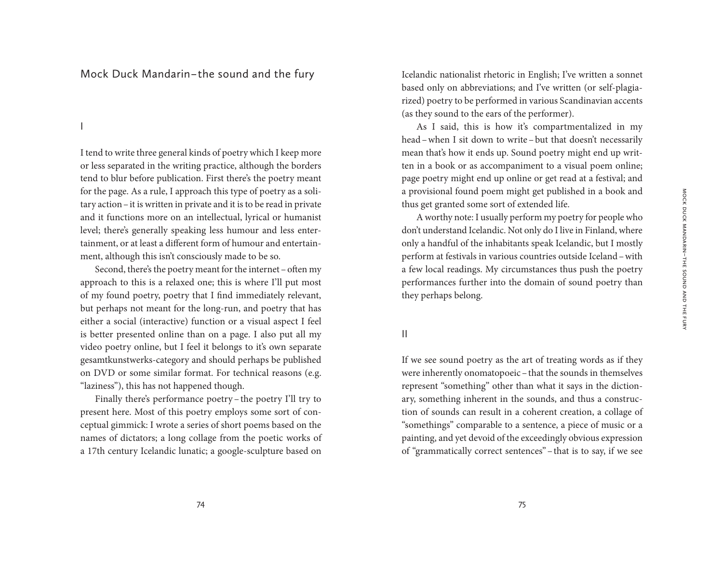# Mock Duck Mandarin – the sound and the fury

I

I tend to write three general kinds of poetry which I keep more or less separated in the writing practice, although the borders tend to blur before publication. First there's the poetry meant for the page. As a rule, I approach this type of poetry as a solitary action–it is written in private and it is to be read in private and it functions more on an intellectual, lyrical or humanist level; there's generally speaking less humour and less entertainment, or at least a different form of humour and entertainment, although this isn't consciously made to be so.

Second, there's the poetry meant for the internet - often my approach to this is a relaxed one; this is where I'll put most of my found poetry, poetry that I find immediately relevant, but perhaps not meant for the long-run, and poetry that has either a social (interactive) function or a visual aspect I feel is better presented online than on a page. I also put all my video poetry online, but I feel it belongs to it's own separate gesamtkunstwerks-category and should perhaps be published on DVD or some similar format. For technical reasons (e.g. "laziness"), this has not happened though.

Finally there's performance poetry –the poetry I'll try to present here. Most of this poetry employs some sort of conceptual gimmick: I wrote a series of short poems based on the names of dictators; a long collage from the poetic works of a 17th century Icelandic lunatic; a google-sculpture based on Icelandic nationalist rhetoric in English; I've written a sonnet based only on abbreviations; and I've written (or self-plagiarized) poetry to be performed in various Scandinavian accents (as they sound to the ears of the performer).

As I said, this is how it's compartmentalized in my head–when I sit down to write –but that doesn't necessarily mean that's how it ends up. Sound poetry might end up written in a book or as accompaniment to a visual poem online; page poetry might end up online or get read at a festival; and a provisional found poem might get published in a book and thus get granted some sort of extended life.

A worthy note: I usually perform my poetry for people who don't understand Icelandic. Not only do I live in Finland, where only a handful of the inhabitants speak Icelandic, but I mostly perform at festivals in various countries outside Iceland–with a few local readings. My circumstances thus push the poetry performances further into the domain of sound poetry than they perhaps belong.

# II

If we see sound poetry as the art of treating words as if they were inherently onomatopoeic–that the sounds in themselves represent "something" other than what it says in the dictionary, something inherent in the sounds, and thus a construction of sounds can result in a coherent creation, a collage of "somethings" comparable to a sentence, a piece of music or a painting, and yet devoid of the exceedingly obvious expression of "grammatically correct sentences"–that is to say, if we see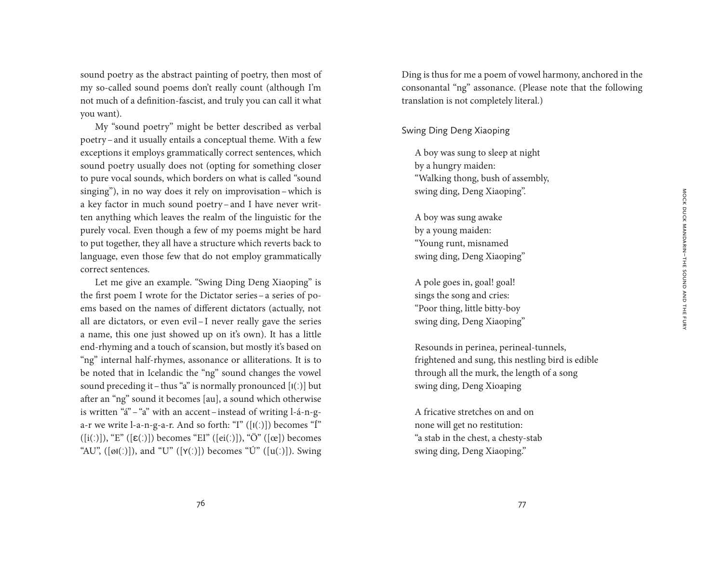sound poetry as the abstract painting of poetry, then most of my so-called sound poems don't really count (although I'm not much of a definition-fascist, and truly you can call it what you want).

My "sound poetry" might be better described as verbal poetry–and it usually entails a conceptual theme. With a few exceptions it employs grammatically correct sentences, which sound poetry usually does not (opting for something closer to pure vocal sounds, which borders on what is called "sound singing"), in no way does it rely on improvisation–which is a key factor in much sound poetry–and I have never written anything which leaves the realm of the linguistic for the purely vocal. Even though a few of my poems might be hard to put together, they all have a structure which reverts back to language, even those few that do not employ grammatically correct sentences.

Let me give an example. "Swing Ding Deng Xiaoping" is the first poem I wrote for the Dictator series–a series of poems based on the names of different dictators (actually, not all are dictators, or even evil – I never really gave the series a name, this one just showed up on it's own). It has a little end-rhyming and a touch of scansion, but mostly it's based on "ng" internal half-rhymes, assonance or alliterations. It is to be noted that in Icelandic the "ng" sound changes the vowel sound preceding it–thus "a" is normally pronounced  $[I(.)]$  but after an "ng" sound it becomes [au], a sound which otherwise is written "á"–"a" with an accent–instead of writing l-á-n-ga-r we write l-a-n-g-a-r. And so forth: "I"  $([1()])$  becomes "Í"  $([i(.)]), "E" ([\varepsilon(.)])$  becomes "EI"  $([ei(.)]), "Ö" ([ce])$  becomes "AU",  $([\varphi I(\cdot)])$ , and "U"  $([\gamma(\cdot)])$  becomes "Ú"  $([\varphi(\cdot)])$ . Swing Ding is thus for me a poem of vowel harmony, anchored in the consonantal "ng" assonance. (Please note that the following translation is not completely literal.)

#### Swing Ding Deng Xiaoping

A boy was sung to sleep at night by a hungry maiden: "Walking thong, bush of assembly, swing ding, Deng Xiaoping".

A boy was sung awake by a young maiden: "Young runt, misnamed swing ding, Deng Xiaoping"

A pole goes in, goal! goal! sings the song and cries: "Poor thing, little bitty-boy swing ding, Deng Xiaoping"

Resounds in perinea, perineal-tunnels, frightened and sung, this nestling bird is edible through all the murk, the length of a song swing ding, Deng Xioaping

A fricative stretches on and on none will get no restitution: "a stab in the chest, a chesty-stab swing ding, Deng Xiaoping."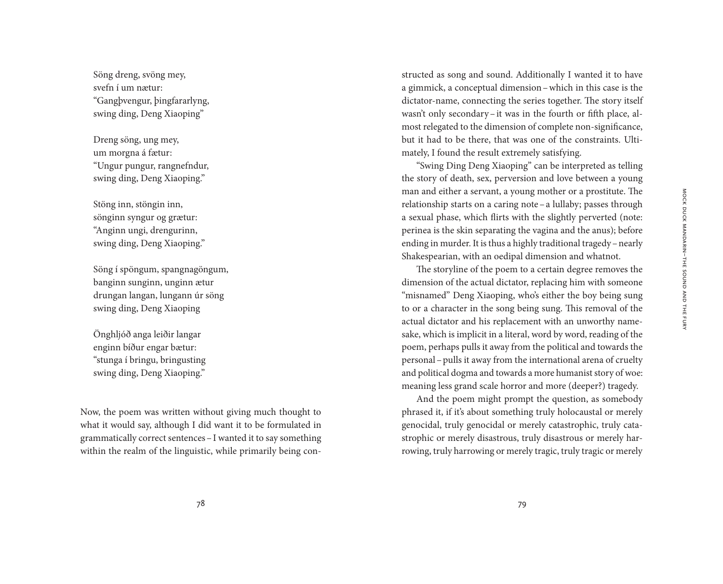Söng dreng, svöng mey, svefn í um nætur: "Gangþvengur, þingfararlyng, swing ding, Deng Xiaoping"

Dreng söng, ung mey, um morgna á fætur: "Ungur pungur, rangnefndur, swing ding, Deng Xiaoping."

Stöng inn, stöngin inn, sönginn syngur og grætur: "Anginn ungi, drengurinn, swing ding, Deng Xiaoping."

Söng í spöngum, spangnagöngum, banginn sunginn, unginn ætur drungan langan, lungann úr söng swing ding, Deng Xiaoping

Önghljóð anga leiðir langar enginn bíður engar bætur: "stunga í bringu, bringusting swing ding, Deng Xiaoping."

Now, the poem was written without giving much thought to what it would say, although I did want it to be formulated in grammatically correct sentences–I wanted it to say something within the realm of the linguistic, while primarily being con-

structed as song and sound. Additionally I wanted it to have a gimmick, a conceptual dimension–which in this case is the dictator-name, connecting the series together. The story itself wasn't only secondary–it was in the fourth or fifth place, almost relegated to the dimension of complete non-significance, but it had to be there, that was one of the constraints. Ultimately, I found the result extremely satisfying.

"Swing Ding Deng Xiaoping" can be interpreted as telling the story of death, sex, perversion and love between a young man and either a servant, a young mother or a prostitute. The relationship starts on a caring note–a lullaby; passes through a sexual phase, which flirts with the slightly perverted (note: perinea is the skin separating the vagina and the anus); before ending in murder. It is thus a highly traditional tragedy–nearly Shakespearian, with an oedipal dimension and whatnot.

The storyline of the poem to a certain degree removes the dimension of the actual dictator, replacing him with someone "misnamed" Deng Xiaoping, who's either the boy being sung to or a character in the song being sung. This removal of the actual dictator and his replacement with an unworthy namesake, which is implicit in a literal, word by word, reading of the poem, perhaps pulls it away from the political and towards the personal–pulls it away from the international arena of cruelty and political dogma and towards a more humanist story of woe: meaning less grand scale horror and more (deeper?) tragedy.

And the poem might prompt the question, as somebody phrased it, if it's about something truly holocaustal or merely genocidal, truly genocidal or merely catastrophic, truly catastrophic or merely disastrous, truly disastrous or merely harrowing, truly harrowing or merely tragic, truly tragic or merely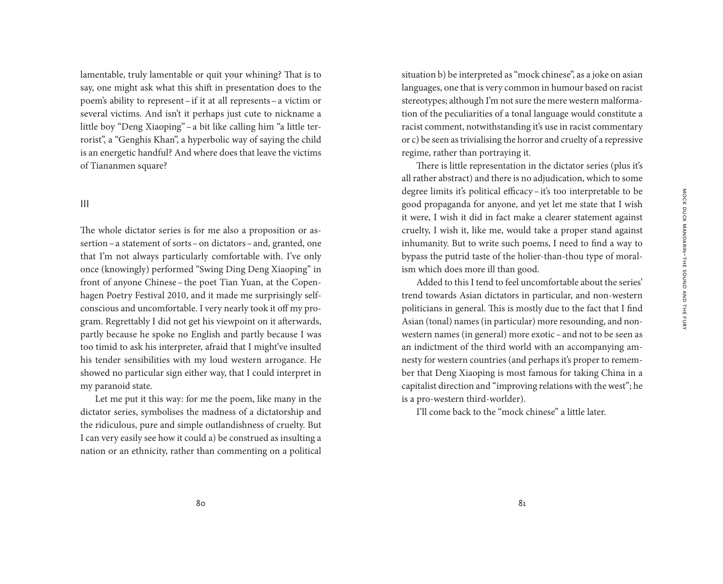lamentable, truly lamentable or quit your whining? That is to say, one might ask what this shift in presentation does to the poem's ability to represent–if it at all represents–a victim or several victims. And isn't it perhaps just cute to nickname a little boy "Deng Xiaoping"–a bit like calling him "a little terrorist", a "Genghis Khan", a hyperbolic way of saying the child is an energetic handful? And where does that leave the victims of Tiananmen square?

#### III

The whole dictator series is for me also a proposition or assertion–a statement of sorts–on dictators–and, granted, one that I'm not always particularly comfortable with. I've only once (knowingly) performed "Swing Ding Deng Xiaoping" in front of anyone Chinese–the poet Tian Yuan, at the Copenhagen Poetry Festival 2010, and it made me surprisingly selfconscious and uncomfortable. I very nearly took it off my program. Regrettably I did not get his viewpoint on it afterwards, partly because he spoke no English and partly because I was too timid to ask his interpreter, afraid that I might've insulted his tender sensibilities with my loud western arrogance. He showed no particular sign either way, that I could interpret in my paranoid state.

Let me put it this way: for me the poem, like many in the dictator series, symbolises the madness of a dictatorship and the ridiculous, pure and simple outlandishness of cruelty. But I can very easily see how it could a) be construed as insulting a nation or an ethnicity, rather than commenting on a political

situation b) be interpreted as "mock chinese", as a joke on asian languages, one that is very common in humour based on racist stereotypes; although I'm not sure the mere western malformation of the peculiarities of a tonal language would constitute a racist comment, notwithstanding it's use in racist commentary or c) be seen as trivialising the horror and cruelty of a repressive regime, rather than portraying it.

There is little representation in the dictator series (plus it's all rather abstract) and there is no adjudication, which to some degree limits it's political efficacy–it's too interpretable to be good propaganda for anyone, and yet let me state that I wish it were, I wish it did in fact make a clearer statement against cruelty, I wish it, like me, would take a proper stand against inhumanity. But to write such poems, I need to find a way to bypass the putrid taste of the holier-than-thou type of moralism which does more ill than good.

Added to this I tend to feel uncomfortable about the series' trend towards Asian dictators in particular, and non-western politicians in general. This is mostly due to the fact that I find Asian (tonal) names (in particular) more resounding, and nonwestern names (in general) more exotic–and not to be seen as an indictment of the third world with an accompanying amnesty for western countries (and perhaps it's proper to remember that Deng Xiaoping is most famous for taking China in a capitalist direction and "improving relations with the west"; he is a pro-western third-worlder).

I'll come back to the "mock chinese" a little later.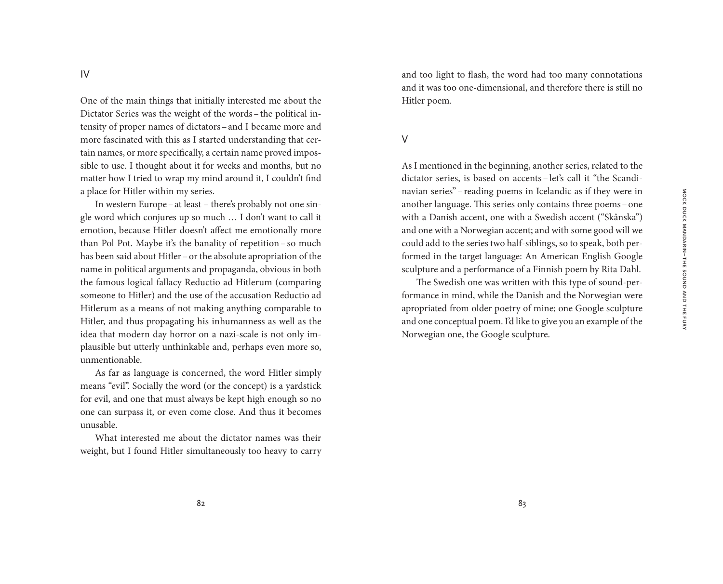One of the main things that initially interested me about the Dictator Series was the weight of the words–the political intensity of proper names of dictators–and I became more and more fascinated with this as I started understanding that certain names, or more specifically, a certain name proved impossible to use. I thought about it for weeks and months, but no matter how I tried to wrap my mind around it, I couldn't find a place for Hitler within my series.

In western Europe–at least – there's probably not one single word which conjures up so much … I don't want to call it emotion, because Hitler doesn't affect me emotionally more than Pol Pot. Maybe it's the banality of repetition–so much has been said about Hitler–or the absolute apropriation of the name in political arguments and propaganda, obvious in both the famous logical fallacy Reductio ad Hitlerum (comparing someone to Hitler) and the use of the accusation Reductio ad Hitlerum as a means of not making anything comparable to Hitler, and thus propagating his inhumanness as well as the idea that modern day horror on a nazi-scale is not only implausible but utterly unthinkable and, perhaps even more so, unmentionable.

As far as language is concerned, the word Hitler simply means "evil". Socially the word (or the concept) is a yardstick for evil, and one that must always be kept high enough so no one can surpass it, or even come close. And thus it becomes unusable.

What interested me about the dictator names was their weight, but I found Hitler simultaneously too heavy to carry and too light to flash, the word had too many connotations and it was too one-dimensional, and therefore there is still no Hitler poem.

#### V

As I mentioned in the beginning, another series, related to the dictator series, is based on accents – let's call it "the Scandinavian series"–reading poems in Icelandic as if they were in another language. This series only contains three poems–one with a Danish accent, one with a Swedish accent ("Skånska") and one with a Norwegian accent; and with some good will we could add to the series two half-siblings, so to speak, both performed in the target language: An American English Google sculpture and a performance of a Finnish poem by Rita Dahl.

The Swedish one was written with this type of sound-performance in mind, while the Danish and the Norwegian were apropriated from older poetry of mine; one Google sculpture and one conceptual poem. I'd like to give you an example of the Norwegian one, the Google sculpture.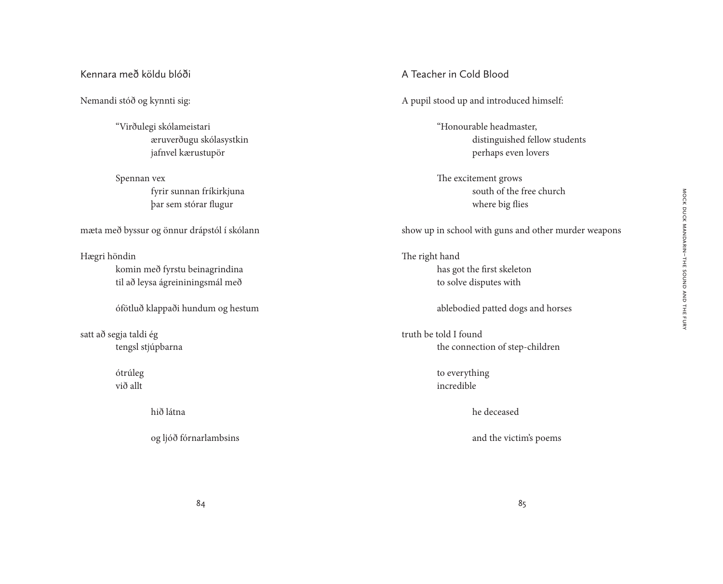# Kennara með köldu blóði

Nemandi stóð og kynnti sig:

"Virðulegi skólameistari æruverðugu skólasystkin jafnvel kærustupör

Spennan vex fyrir sunnan fríkirkjuna þar sem stórar flugur

mæta með byssur og önnur drápstól í skólann

Hægri höndin komin með fyrstu beinagrindina til að leysa ágreininingsmál með

ófötluð klappaði hundum og hestum

satt að segja taldi ég tengsl stjúpbarna

> ótrúleg við allt

> > hið látna

og ljóð fórnarlambsins

A Teacher in Cold Blood

A pupil stood up and introduced himself:

"Honourable headmaster, distinguished fellow students perhaps even lovers

The excitement grows south of the free church where big flies

show up in school with guns and other murder weapons

The right hand has got the first skeleton to solve disputes with

ablebodied patted dogs and horses

truth be told I found the connection of step-children

> to everything incredible

> > he deceased

and the victim's poems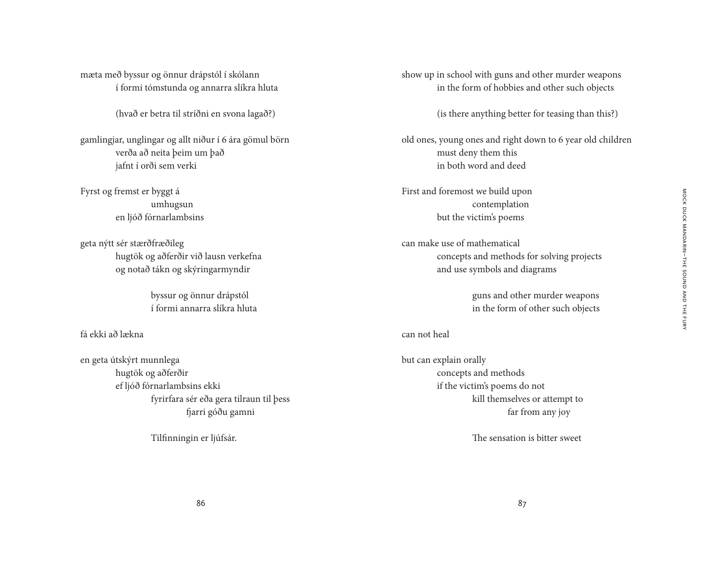mæta með byssur og önnur drápstól í skólann í formi tómstunda og annarra slíkra hluta

(hvað er betra til stríðni en svona lagað?)

gamlingjar, unglingar og allt niður í 6 ára gömul börn verða að neita þeim um það jafnt í orði sem verki

Fyrst og fremst er byggt á umhugsun en ljóð fórnarlambsins

geta nýtt sér stærðfræðileg hugtök og aðferðir við lausn verkefna og notað tákn og skýringarmyndir

> byssur og önnur drápstól í formi annarra slíkra hluta

fá ekki að lækna

en geta útskýrt munnlega hugtök og aðferðir ef ljóð fórnarlambsins ekki fyrirfara sér eða gera tilraun til þess fjarri góðu gamni

Tilfinningin er ljúfsár.

show up in school with guns and other murder weapons in the form of hobbies and other such objects

(is there anything better for teasing than this?)

old ones, young ones and right down to 6 year old children must deny them this in both word and deed

First and foremost we build upon contemplation but the victim's poems

can make use of mathematical concepts and methods for solving projects and use symbols and diagrams

> guns and other murder weapons in the form of other such objects

#### can not heal

but can explain orally concepts and methods if the victim's poems do not kill themselves or attempt to far from any joy

The sensation is bitter sweet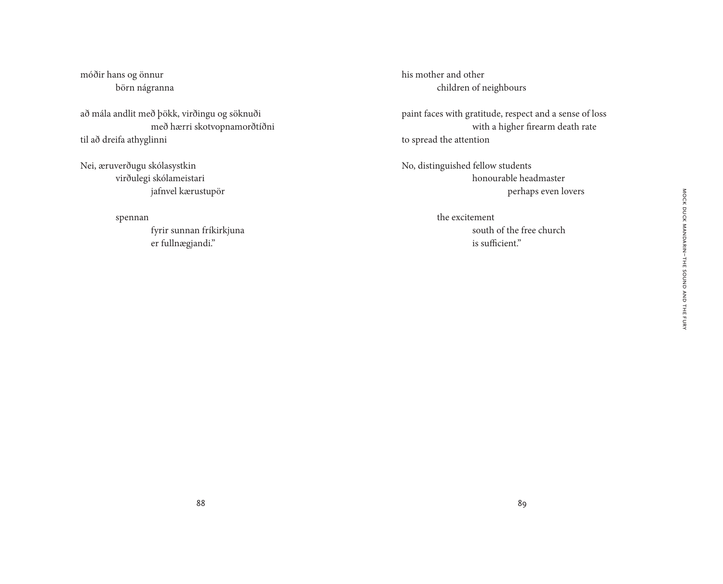móðir hans og önnur börn nágranna

að mála andlit með þökk, virðingu og söknuði með hærri skotvopnamorðtíðni til að dreifa athyglinni

Nei, æruverðugu skólasystkin virðulegi skólameistari jafnvel kærustupör

spennan

 fyrir sunnan fríkirkjuna er fullnægjandi."

his mother and other children of neighbours

paint faces with gratitude, respect and a sense of loss with a higher firearm death rate to spread the attention

No, distinguished fellow students honourable headmaster perhaps even lovers

> the excitement south of the free church is sufficient."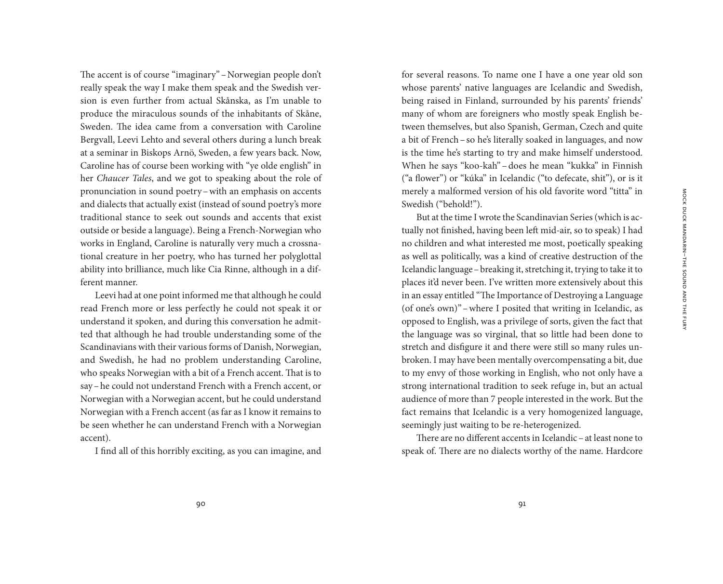The accent is of course "imaginary"–Norwegian people don't really speak the way I make them speak and the Swedish version is even further from actual Skånska, as I'm unable to produce the miraculous sounds of the inhabitants of Skåne, Sweden. The idea came from a conversation with Caroline Bergvall, Leevi Lehto and several others during a lunch break at a seminar in Biskops Arnö, Sweden, a few years back. Now, Caroline has of course been working with "ye olde english" in her *Chaucer Tales*, and we got to speaking about the role of pronunciation in sound poetry–with an emphasis on accents and dialects that actually exist (instead of sound poetry's more traditional stance to seek out sounds and accents that exist outside or beside a language). Being a French-Norwegian who works in England, Caroline is naturally very much a crossnational creature in her poetry, who has turned her polyglottal ability into brilliance, much like Cia Rinne, although in a different manner.

Leevi had at one point informed me that although he could read French more or less perfectly he could not speak it or understand it spoken, and during this conversation he admitted that although he had trouble understanding some of the Scandinavians with their various forms of Danish, Norwegian, and Swedish, he had no problem understanding Caroline, who speaks Norwegian with a bit of a French accent. That is to say–he could not understand French with a French accent, or Norwegian with a Norwegian accent, but he could understand Norwegian with a French accent (as far as I know it remains to be seen whether he can understand French with a Norwegian accent).

I find all of this horribly exciting, as you can imagine, and

for several reasons. To name one I have a one year old son whose parents' native languages are Icelandic and Swedish, being raised in Finland, surrounded by his parents' friends' many of whom are foreigners who mostly speak English between themselves, but also Spanish, German, Czech and quite a bit of French–so he's literally soaked in languages, and now is the time he's starting to try and make himself understood. When he says "koo-kah" – does he mean "kukka" in Finnish ("a flower") or "kúka" in Icelandic ("to defecate, shit"), or is it merely a malformed version of his old favorite word "titta" in Swedish ("behold!").

But at the time I wrote the Scandinavian Series (which is actually not finished, having been left mid-air, so to speak) I had no children and what interested me most, poetically speaking as well as politically, was a kind of creative destruction of the Icelandic language–breaking it, stretching it, trying to take it to places it'd never been. I've written more extensively about this in an essay entitled "The Importance of Destroying a Language (of one's own)"–where I posited that writing in Icelandic, as opposed to English, was a privilege of sorts, given the fact that the language was so virginal, that so little had been done to stretch and disfigure it and there were still so many rules unbroken. I may have been mentally overcompensating a bit, due to my envy of those working in English, who not only have a strong international tradition to seek refuge in, but an actual audience of more than 7 people interested in the work. But the fact remains that Icelandic is a very homogenized language, seemingly just waiting to be re-heterogenized.

There are no different accents in Icelandic–at least none to speak of. There are no dialects worthy of the name. Hardcore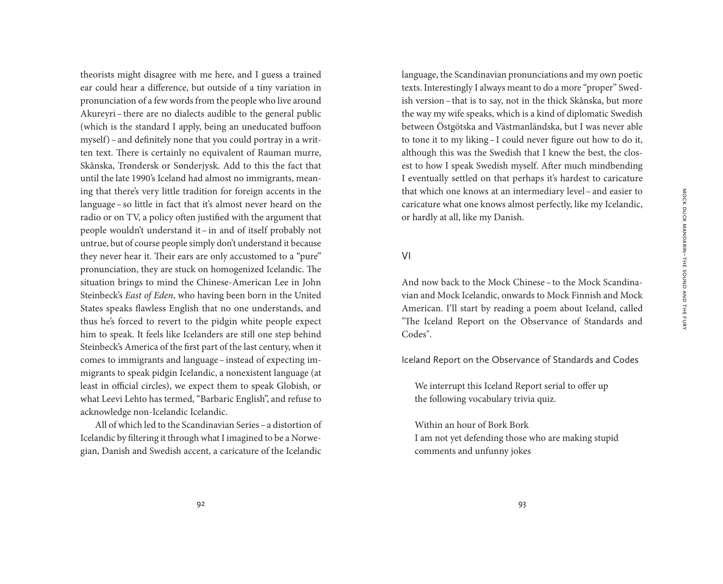Mock Duck Mandarin – the sound and the fury

MOCK DUCK MANDARIN-THE SOUND AND THE FURY

theorists might disagree with me here, and I guess a trained ear could hear a difference, but outside of a tiny variation in pronunciation of a few words from the people who live around Akureyri–there are no dialects audible to the general public (which is the standard I apply, being an uneducated buffoon myself)–and definitely none that you could portray in a written text. There is certainly no equivalent of Rauman murre, Skånska, Trøndersk or Sønderjysk. Add to this the fact that until the late 1990's Iceland had almost no immigrants, meaning that there's very little tradition for foreign accents in the language–so little in fact that it's almost never heard on the radio or on TV, a policy often justified with the argument that people wouldn't understand it–in and of itself probably not untrue, but of course people simply don't understand it because they never hear it. Their ears are only accustomed to a "pure" pronunciation, they are stuck on homogenized Icelandic. The situation brings to mind the Chinese-American Lee in John Steinbeck's *East of Eden*, who having been born in the United States speaks flawless English that no one understands, and thus he's forced to revert to the pidgin white people expect him to speak. It feels like Icelanders are still one step behind Steinbeck's America of the first part of the last century, when it comes to immigrants and language–instead of expecting immigrants to speak pidgin Icelandic, a nonexistent language (at least in official circles), we expect them to speak Globish, or what Leevi Lehto has termed, "Barbaric English", and refuse to acknowledge non-Icelandic Icelandic.

All of which led to the Scandinavian Series–a distortion of Icelandic by filtering it through what I imagined to be a Norwegian, Danish and Swedish accent, a caricature of the Icelandic

language, the Scandinavian pronunciations and my own poetic texts. Interestingly I always meant to do a more "proper" Swedish version–that is to say, not in the thick Skånska, but more the way my wife speaks, which is a kind of diplomatic Swedish between Östgötska and Västmanländska, but I was never able to tone it to my liking–I could never figure out how to do it, although this was the Swedish that I knew the best, the closest to how I speak Swedish myself. After much mindbending I eventually settled on that perhaps it's hardest to caricature that which one knows at an intermediary level–and easier to caricature what one knows almost perfectly, like my Icelandic, or hardly at all, like my Danish.

## VI

And now back to the Mock Chinese–to the Mock Scandinavian and Mock Icelandic, onwards to Mock Finnish and Mock American. I'll start by reading a poem about Iceland, called "The Iceland Report on the Observance of Standards and Codes".

Iceland Report on the Observance of Standards and Codes

We interrupt this Iceland Report serial to offer up the following vocabulary trivia quiz.

Within an hour of Bork Bork I am not yet defending those who are making stupid comments and unfunny jokes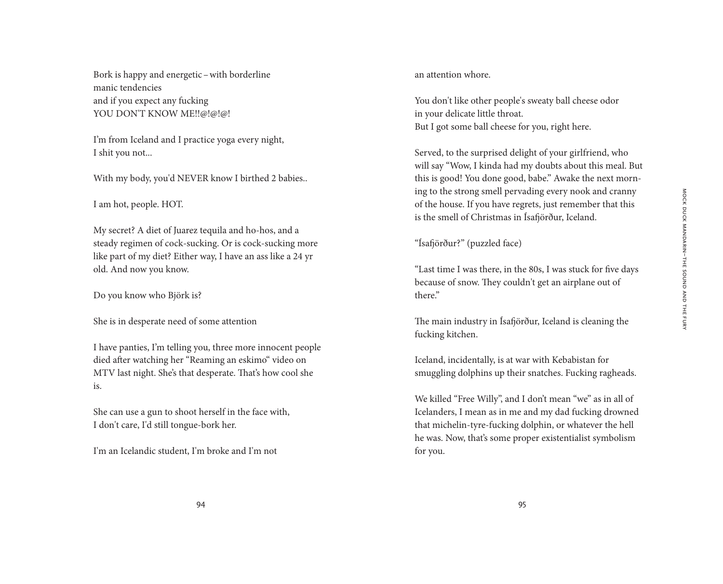Bork is happy and energetic–with borderline manic tendencies and if you expect any fucking YOU DON'T KNOW ME!!@!@!@!

I'm from Iceland and I practice yoga every night, I shit you not...

With my body, you'd NEVER know I birthed 2 babies..

I am hot, people. HOT.

My secret? A diet of Juarez tequila and ho-hos, and a steady regimen of cock-sucking. Or is cock-sucking more like part of my diet? Either way, I have an ass like a 24 yr old. And now you know.

Do you know who Björk is?

She is in desperate need of some attention

I have panties, I'm telling you, three more innocent people died after watching her "Reaming an eskimo" video on MTV last night. She's that desperate. That's how cool she is.

She can use a gun to shoot herself in the face with, I don't care, I'd still tongue-bork her.

I'm an Icelandic student, I'm broke and I'm not

an attention whore.

You don't like other people's sweaty ball cheese odor in your delicate little throat. But I got some ball cheese for you, right here.

Served, to the surprised delight of your girlfriend, who will say "Wow, I kinda had my doubts about this meal. But this is good! You done good, babe." Awake the next morning to the strong smell pervading every nook and cranny of the house. If you have regrets, just remember that this is the smell of Christmas in Ísafjörður, Iceland.

"Ísafjörður?" (puzzled face)

"Last time I was there, in the 80s, I was stuck for five days because of snow. They couldn't get an airplane out of there."

The main industry in Ísafjörður, Iceland is cleaning the fucking kitchen.

Iceland, incidentally, is at war with Kebabistan for smuggling dolphins up their snatches. Fucking ragheads.

We killed "Free Willy", and I don't mean "we" as in all of Icelanders, I mean as in me and my dad fucking drowned that michelin-tyre-fucking dolphin, or whatever the hell he was. Now, that's some proper existentialist symbolism for you.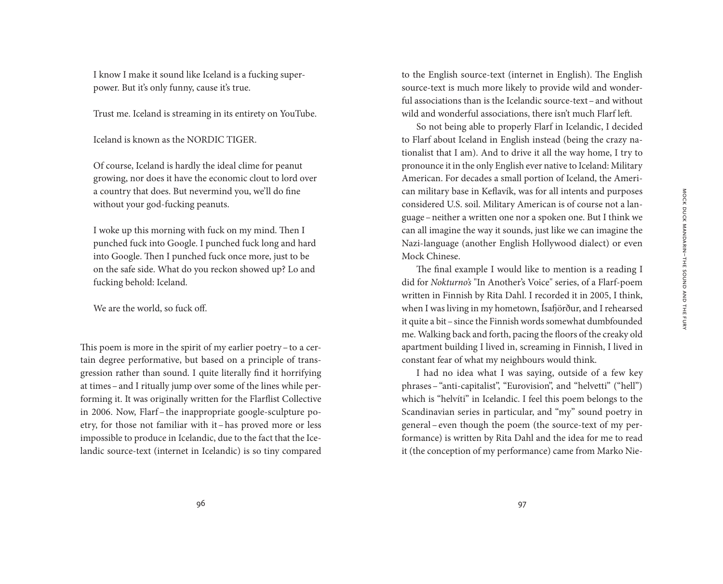I know I make it sound like Iceland is a fucking superpower. But it's only funny, cause it's true.

Trust me. Iceland is streaming in its entirety on YouTube.

Iceland is known as the NORDIC TIGER.

Of course, Iceland is hardly the ideal clime for peanut growing, nor does it have the economic clout to lord over a country that does. But nevermind you, we'll do fine without your god-fucking peanuts.

I woke up this morning with fuck on my mind. Then I punched fuck into Google. I punched fuck long and hard into Google. Then I punched fuck once more, just to be on the safe side. What do you reckon showed up? Lo and fucking behold: Iceland.

We are the world, so fuck off.

This poem is more in the spirit of my earlier poetry–to a certain degree performative, but based on a principle of transgression rather than sound. I quite literally find it horrifying at times–and I ritually jump over some of the lines while performing it. It was originally written for the Flarflist Collective in 2006. Now, Flarf– the inappropriate google-sculpture poetry, for those not familiar with it–has proved more or less impossible to produce in Icelandic, due to the fact that the Icelandic source-text (internet in Icelandic) is so tiny compared to the English source-text (internet in English). The English source-text is much more likely to provide wild and wonderful associations than is the Icelandic source-text–and without wild and wonderful associations, there isn't much Flarf left.

So not being able to properly Flarf in Icelandic, I decided to Flarf about Iceland in English instead (being the crazy nationalist that I am). And to drive it all the way home, I try to pronounce it in the only English ever native to Iceland: Military American. For decades a small portion of Iceland, the American military base in Keflavík, was for all intents and purposes considered U.S. soil. Military American is of course not a language–neither a written one nor a spoken one. But I think we can all imagine the way it sounds, just like we can imagine the Nazi-language (another English Hollywood dialect) or even Mock Chinese.

The final example I would like to mention is a reading I did for *Nokturno's* "In Another's Voice" series, of a Flarf-poem written in Finnish by Rita Dahl. I recorded it in 2005, I think, when I was living in my hometown, Ísafjörður, and I rehearsed it quite a bit–since the Finnish words somewhat dumbfounded me. Walking back and forth, pacing the floors of the creaky old apartment building I lived in, screaming in Finnish, I lived in constant fear of what my neighbours would think.

I had no idea what I was saying, outside of a few key phrases–"anti-capitalist", "Eurovision", and "helvetti" ("hell") which is "helvíti" in Icelandic. I feel this poem belongs to the Scandinavian series in particular, and "my" sound poetry in general – even though the poem (the source-text of my performance) is written by Rita Dahl and the idea for me to read it (the conception of my performance) came from Marko Nie-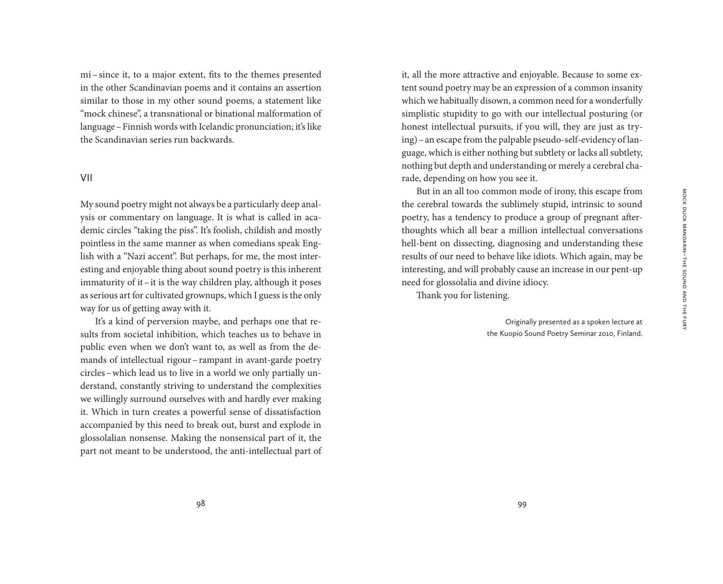mi–since it, to a major extent, fits to the themes presented in the other Scandinavian poems and it contains an assertion similar to those in my other sound poems, a statement like "mock chinese", a transnational or binational malformation of language–Finnish words with Icelandic pronunciation; it's like the Scandinavian series run backwards.

#### VII

My sound poetry might not always be a particularly deep analysis or commentary on language. It is what is called in academic circles "taking the piss". It's foolish, childish and mostly pointless in the same manner as when comedians speak English with a "Nazi accent". But perhaps, for me, the most interesting and enjoyable thing about sound poetry is this inherent immaturity of it–it is the way children play, although it poses as serious art for cultivated grownups, which I guess is the only way for us of getting away with it.

It's a kind of perversion maybe, and perhaps one that results from societal inhibition, which teaches us to behave in public even when we don't want to, as well as from the demands of intellectual rigour–rampant in avant-garde poetry circles–which lead us to live in a world we only partially understand, constantly striving to understand the complexities we willingly surround ourselves with and hardly ever making it. Which in turn creates a powerful sense of dissatisfaction accompanied by this need to break out, burst and explode in glossolalian nonsense. Making the nonsensical part of it, the part not meant to be understood, the anti-intellectual part of

it, all the more attractive and enjoyable. Because to some extent sound poetry may be an expression of a common insanity which we habitually disown, a common need for a wonderfully simplistic stupidity to go with our intellectual posturing (or honest intellectual pursuits, if you will, they are just as trying)–an escape from the palpable pseudo-self-evidency of language, which is either nothing but subtlety or lacks all subtlety, nothing but depth and understanding or merely a cerebral charade, depending on how you see it.

But in an all too common mode of irony, this escape from the cerebral towards the sublimely stupid, intrinsic to sound poetry, has a tendency to produce a group of pregnant afterthoughts which all bear a million intellectual conversations hell-bent on dissecting, diagnosing and understanding these results of our need to behave like idiots. Which again, may be interesting, and will probably cause an increase in our pent-up need for glossolalia and divine idiocy.

Thank you for listening.

Originally presented as a spoken lecture at the Kuopio Sound Poetry Seminar 2010, Finland.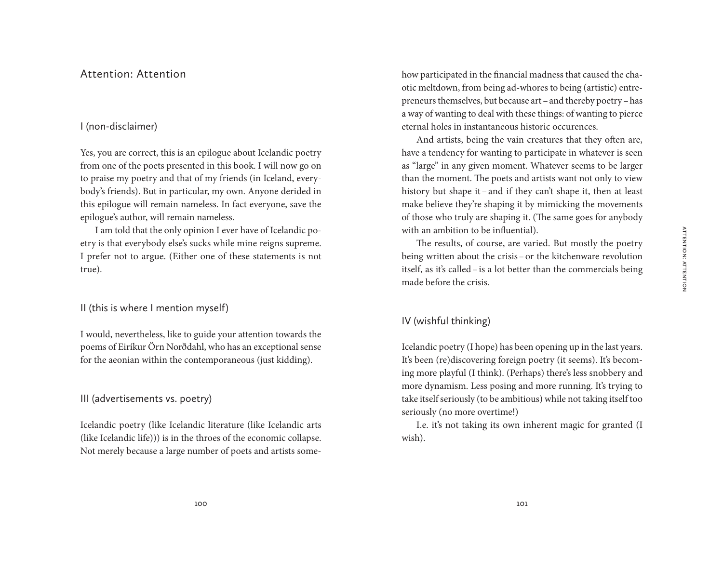## Attention: Attention

## I (non-disclaimer)

Yes, you are correct, this is an epilogue about Icelandic poetry from one of the poets presented in this book. I will now go on to praise my poetry and that of my friends (in Iceland, everybody's friends). But in particular, my own. Anyone derided in this epilogue will remain nameless. In fact everyone, save the epilogue's author, will remain nameless.

I am told that the only opinion I ever have of Icelandic poetry is that everybody else's sucks while mine reigns supreme. I prefer not to argue. (Either one of these statements is not true).

II (this is where I mention myself)

I would, nevertheless, like to guide your attention towards the poems of Eiríkur Örn Norðdahl, who has an exceptional sense for the aeonian within the contemporaneous (just kidding).

III (advertisements vs. poetry)

Icelandic poetry (like Icelandic literature (like Icelandic arts (like Icelandic life))) is in the throes of the economic collapse. Not merely because a large number of poets and artists somehow participated in the financial madness that caused the chaotic meltdown, from being ad-whores to being (artistic) entrepreneurs themselves, but because art –and thereby poetry–has a way of wanting to deal with these things: of wanting to pierce eternal holes in instantaneous historic occurences.

And artists, being the vain creatures that they often are, have a tendency for wanting to participate in whatever is seen as "large" in any given moment. Whatever seems to be larger than the moment. The poets and artists want not only to view history but shape it – and if they can't shape it, then at least make believe they're shaping it by mimicking the movements of those who truly are shaping it. (The same goes for anybody with an ambition to be influential).

The results, of course, are varied. But mostly the poetry being written about the crisis–or the kitchenware revolution itself, as it's called–is a lot better than the commercials being made before the crisis.

### IV (wishful thinking)

Icelandic poetry (I hope) has been opening up in the last years. It's been (re)discovering foreign poetry (it seems). It's becoming more playful (I think). (Perhaps) there's less snobbery and more dynamism. Less posing and more running. It's trying to take itself seriously (to be ambitious) while not taking itself too seriously (no more overtime!)

I.e. it's not taking its own inherent magic for granted (I wish).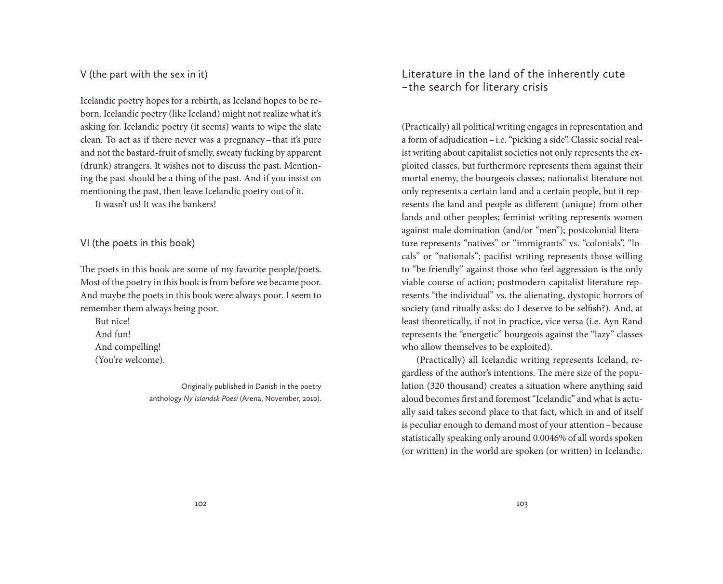V (the part with the sex in it)

Icelandic poetry hopes for a rebirth, as Iceland hopes to be reborn. Icelandic poetry (like Iceland) might not realize what it's asking for. Icelandic poetry (it seems) wants to wipe the slate clean. To act as if there never was a pregnancy–that it's pure and not the bastard-fruit of smelly, sweaty fucking by apparent (drunk) strangers. It wishes not to discuss the past. Mentioning the past should be a thing of the past. And if you insist on mentioning the past, then leave Icelandic poetry out of it. It wasn't us! It was the bankers!

VI (the poets in this book)

The poets in this book are some of my favorite people/poets. Most of the poetry in this book is from before we became poor. And maybe the poets in this book were always poor. I seem to remember them always being poor.

But nice! And fun! And compelling! (You're welcome).

> Originally published in Danish in the poetry anthology *Ny Islandsk Poesi* (Arena, November, 2010).

Literature in the land of the inherently cute  – the search for literary crisis

(Practically) all political writing engages in representation and a form of adjudication–i.e. "picking a side". Classic social realist writing about capitalist societies not only represents the exploited classes, but furthermore represents them against their mortal enemy, the bourgeois classes; nationalist literature not only represents a certain land and a certain people, but it represents the land and people as different (unique) from other lands and other peoples; feminist writing represents women against male domination (and/or "men"); postcolonial literature represents "natives" or "immigrants" vs. "colonials", "locals" or "nationals"; pacifist writing represents those willing to "be friendly" against those who feel aggression is the only viable course of action; postmodern capitalist literature represents "the individual" vs. the alienating, dystopic horrors of society (and ritually asks: do I deserve to be selfish?). And, at least theoretically, if not in practice, vice versa (i.e. Ayn Rand represents the "energetic" bourgeois against the "lazy" classes who allow themselves to be exploited).

(Practically) all Icelandic writing represents Iceland, regardless of the author's intentions. The mere size of the population (320 thousand) creates a situation where anything said aloud becomes first and foremost "Icelandic" and what is actually said takes second place to that fact, which in and of itself is peculiar enough to demand most of your attention–because statistically speaking only around 0.0046% of all words spoken (or written) in the world are spoken (or written) in Icelandic.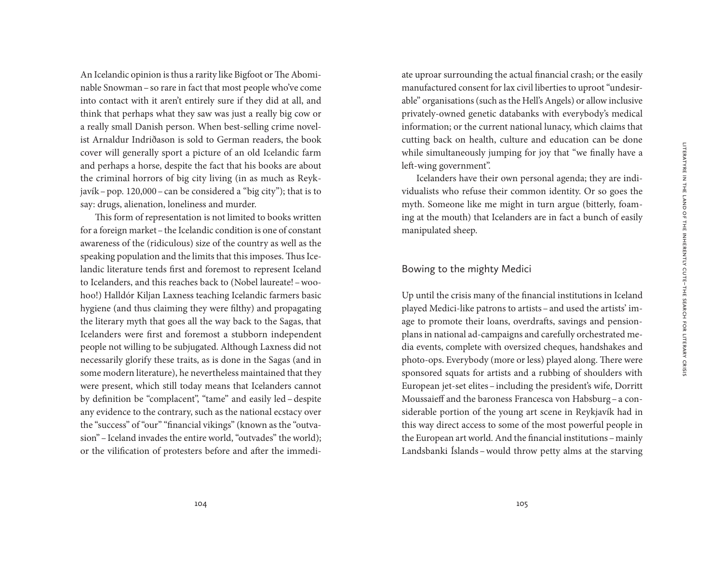An Icelandic opinion is thus a rarity like Bigfoot or The Abominable Snowman–so rare in fact that most people who've come into contact with it aren't entirely sure if they did at all, and think that perhaps what they saw was just a really big cow or a really small Danish person. When best-selling crime novelist Arnaldur Indriðason is sold to German readers, the book cover will generally sport a picture of an old Icelandic farm and perhaps a horse, despite the fact that his books are about the criminal horrors of big city living (in as much as Reykjavík–pop. 120,000–can be considered a "big city"); that is to say: drugs, alienation, loneliness and murder.

This form of representation is not limited to books written for a foreign market–the Icelandic condition is one of constant awareness of the (ridiculous) size of the country as well as the speaking population and the limits that this imposes. Thus Icelandic literature tends first and foremost to represent Iceland to Icelanders, and this reaches back to (Nobel laureate!–woohoo!) Halldór Kiljan Laxness teaching Icelandic farmers basic hygiene (and thus claiming they were filthy) and propagating the literary myth that goes all the way back to the Sagas, that Icelanders were first and foremost a stubborn independent people not willing to be subjugated. Although Laxness did not necessarily glorify these traits, as is done in the Sagas (and in some modern literature), he nevertheless maintained that they were present, which still today means that Icelanders cannot by definition be "complacent", "tame" and easily led –despite any evidence to the contrary, such as the national ecstacy over the "success" of "our" "financial vikings" (known as the "outvasion"–Iceland invades the entire world, "outvades" the world); or the vilification of protesters before and after the immedi-

ate uproar surrounding the actual financial crash; or the easily manufactured consent for lax civil liberties to uproot "undesirable" organisations (such as the Hell's Angels) or allow inclusive privately-owned genetic databanks with everybody's medical information; or the current national lunacy, which claims that cutting back on health, culture and education can be done while simultaneously jumping for joy that "we finally have a left-wing government".

Icelanders have their own personal agenda; they are individualists who refuse their common identity. Or so goes the myth. Someone like me might in turn argue (bitterly, foaming at the mouth) that Icelanders are in fact a bunch of easily manipulated sheep.

### Bowing to the mighty Medici

Up until the crisis many of the financial institutions in Iceland played Medici-like patrons to artists–and used the artists' image to promote their loans, overdrafts, savings and pensionplans in national ad-campaigns and carefully orchestrated media events, complete with oversized cheques, handshakes and photo-ops. Everybody (more or less) played along. There were sponsored squats for artists and a rubbing of shoulders with European jet-set elites–including the president's wife, Dorritt Moussaieff and the baroness Francesca von Habsburg–a considerable portion of the young art scene in Reykjavík had in this way direct access to some of the most powerful people in the European art world. And the financial institutions - mainly Landsbanki Íslands –would throw petty alms at the starving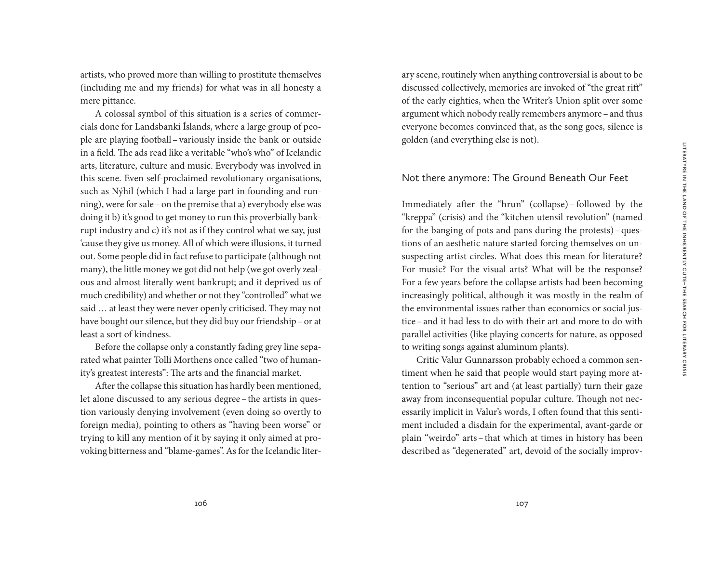artists, who proved more than willing to prostitute themselves (including me and my friends) for what was in all honesty a mere pittance.

A colossal symbol of this situation is a series of commercials done for Landsbanki Íslands, where a large group of people are playing football–variously inside the bank or outside in a field. The ads read like a veritable "who's who" of Icelandic arts, literature, culture and music. Everybody was involved in this scene. Even self-proclaimed revolutionary organisations, such as Nýhil (which I had a large part in founding and running), were for sale–on the premise that a) everybody else was doing it b) it's good to get money to run this proverbially bankrupt industry and c) it's not as if they control what we say, just 'cause they give us money. All of which were illusions, it turned out. Some people did in fact refuse to participate (although not many), the little money we got did not help (we got overly zealous and almost literally went bankrupt; and it deprived us of much credibility) and whether or not they "controlled" what we said … at least they were never openly criticised. They may not have bought our silence, but they did buy our friendship–or at least a sort of kindness.

Before the collapse only a constantly fading grey line separated what painter Tolli Morthens once called "two of humanity's greatest interests": The arts and the financial market.

After the collapse this situation has hardly been mentioned, let alone discussed to any serious degree–the artists in question variously denying involvement (even doing so overtly to foreign media), pointing to others as "having been worse" or trying to kill any mention of it by saying it only aimed at provoking bitterness and "blame-games". As for the Icelandic literary scene, routinely when anything controversial is about to be discussed collectively, memories are invoked of "the great rift" of the early eighties, when the Writer's Union split over some argument which nobody really remembers anymore –and thus everyone becomes convinced that, as the song goes, silence is golden (and everything else is not).

#### Not there anymore: The Ground Beneath Our Feet

Immediately after the "hrun" (collapse) – followed by the "kreppa" (crisis) and the "kitchen utensil revolution" (named for the banging of pots and pans during the protests)–questions of an aesthetic nature started forcing themselves on unsuspecting artist circles. What does this mean for literature? For music? For the visual arts? What will be the response? For a few years before the collapse artists had been becoming increasingly political, although it was mostly in the realm of the environmental issues rather than economics or social justice–and it had less to do with their art and more to do with parallel activities (like playing concerts for nature, as opposed to writing songs against aluminum plants).

Critic Valur Gunnarsson probably echoed a common sentiment when he said that people would start paying more attention to "serious" art and (at least partially) turn their gaze away from inconsequential popular culture. Though not necessarily implicit in Valur's words, I often found that this sentiment included a disdain for the experimental, avant-garde or plain "weirdo" arts–that which at times in history has been described as "degenerated" art, devoid of the socially improv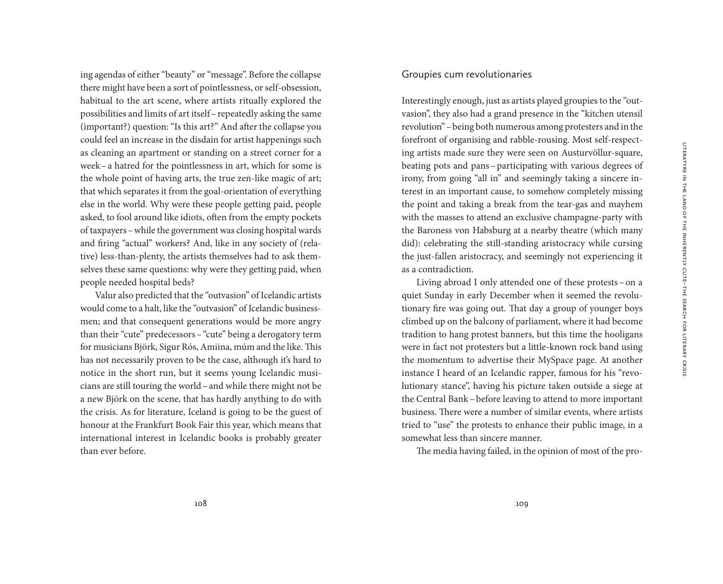ing agendas of either "beauty" or "message". Before the collapse there might have been a sort of pointlessness, or self-obsession, habitual to the art scene, where artists ritually explored the possibilities and limits of art itself–repeatedly asking the same (important?) question: "Is this art?" And after the collapse you could feel an increase in the disdain for artist happenings such as cleaning an apartment or standing on a street corner for a week–a hatred for the pointlessness in art, which for some is the whole point of having arts, the true zen-like magic of art; that which separates it from the goal-orientation of everything else in the world. Why were these people getting paid, people asked, to fool around like idiots, often from the empty pockets of taxpayers–while the government was closing hospital wards and firing "actual" workers? And, like in any society of (relative) less-than-plenty, the artists themselves had to ask themselves these same questions: why were they getting paid, when people needed hospital beds?

Valur also predicted that the "outvasion" of Icelandic artists would come to a halt, like the "outvasion" of Icelandic businessmen; and that consequent generations would be more angry than their "cute" predecessors–"cute" being a derogatory term for musicians Björk, Sigur Rós, Amiina, múm and the like. This has not necessarily proven to be the case, although it's hard to notice in the short run, but it seems young Icelandic musicians are still touring the world–and while there might not be a new Björk on the scene, that has hardly anything to do with the crisis. As for literature, Iceland is going to be the guest of honour at the Frankfurt Book Fair this year, which means that international interest in Icelandic books is probably greater than ever before.

#### Groupies cum revolutionaries

Interestingly enough, just as artists played groupies to the "outvasion", they also had a grand presence in the "kitchen utensil revolution"–being both numerous among protesters and in the forefront of organising and rabble-rousing. Most self-respecting artists made sure they were seen on Austurvöllur-square, beating pots and pans–participating with various degrees of irony, from going "all in" and seemingly taking a sincere interest in an important cause, to somehow completely missing the point and taking a break from the tear-gas and mayhem with the masses to attend an exclusive champagne-party with the Baroness von Habsburg at a nearby theatre (which many did): celebrating the still-standing aristocracy while cursing the just-fallen aristocracy, and seemingly not experiencing it as a contradiction.

Living abroad I only attended one of these protests–on a quiet Sunday in early December when it seemed the revolutionary fire was going out. That day a group of younger boys climbed up on the balcony of parliament, where it had become tradition to hang protest banners, but this time the hooligans were in fact not protesters but a little-known rock band using the momentum to advertise their MySpace page. At another instance I heard of an Icelandic rapper, famous for his "revolutionary stance", having his picture taken outside a siege at the Central Bank–before leaving to attend to more important business. There were a number of similar events, where artists tried to "use" the protests to enhance their public image, in a somewhat less than sincere manner.

The media having failed, in the opinion of most of the pro-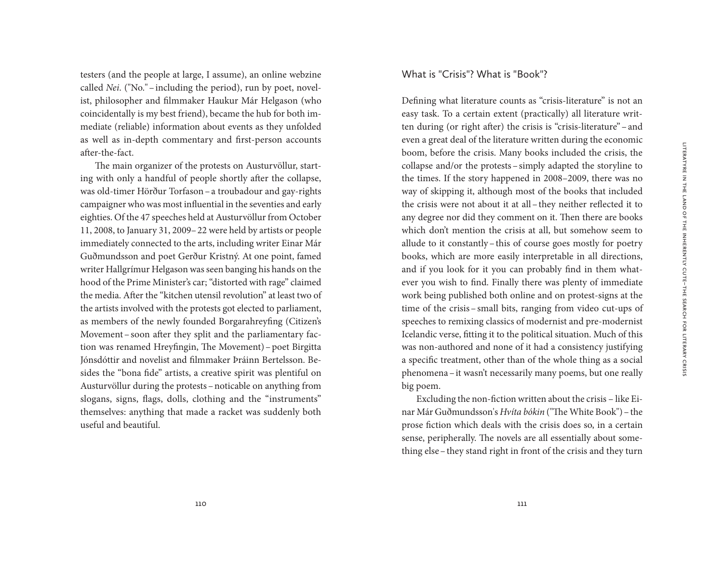testers (and the people at large, I assume), an online webzine called *Nei*. ("No."–including the period), run by poet, novelist, philosopher and filmmaker Haukur Már Helgason (who coincidentally is my best friend), became the hub for both immediate (reliable) information about events as they unfolded as well as in-depth commentary and first-person accounts after-the-fact.

The main organizer of the protests on Austurvöllur, starting with only a handful of people shortly after the collapse, was old-timer Hörður Torfason–a troubadour and gay-rights campaigner who was most influential in the seventies and early eighties. Of the 47 speeches held at Austurvöllur from October 11, 2008, to January 31, 2009–22 were held by artists or people immediately connected to the arts, including writer Einar Már Guðmundsson and poet Gerður Kristný. At one point, famed writer Hallgrímur Helgason was seen banging his hands on the hood of the Prime Minister's car; "distorted with rage" claimed the media. After the "kitchen utensil revolution" at least two of the artists involved with the protests got elected to parliament, as members of the newly founded Borgarahreyfing (Citizen's Movement–soon after they split and the parliamentary faction was renamed Hreyfingin, The Movement)–poet Birgitta Jónsdóttir and novelist and filmmaker Þráinn Bertelsson. Besides the "bona fide" artists, a creative spirit was plentiful on Austurvöllur during the protests–noticable on anything from slogans, signs, flags, dolls, clothing and the "instruments" themselves: anything that made a racket was suddenly both useful and beautiful.

### What is "Crisis"? What is "Book"?

Defining what literature counts as "crisis-literature" is not an easy task. To a certain extent (practically) all literature written during (or right after) the crisis is "crisis-literature"–and even a great deal of the literature written during the economic boom, before the crisis. Many books included the crisis, the collapse and/or the protests–simply adapted the storyline to the times. If the story happened in 2008–2009, there was no way of skipping it, although most of the books that included the crisis were not about it at all–they neither reflected it to any degree nor did they comment on it. Then there are books which don't mention the crisis at all, but somehow seem to allude to it constantly–this of course goes mostly for poetry books, which are more easily interpretable in all directions, and if you look for it you can probably find in them whatever you wish to find. Finally there was plenty of immediate work being published both online and on protest-signs at the time of the crisis– small bits, ranging from video cut-ups of speeches to remixing classics of modernist and pre-modernist Icelandic verse, fitting it to the political situation. Much of this was non-authored and none of it had a consistency justifying a specific treatment, other than of the whole thing as a social phenomena–it wasn't necessarily many poems, but one really big poem.

Excluding the non-fiction written about the crisis – like Einar Már Guðmundsson's *Hvíta bókin* ("The White Book")–the prose fiction which deals with the crisis does so, in a certain sense, peripherally. The novels are all essentially about something else–they stand right in front of the crisis and they turn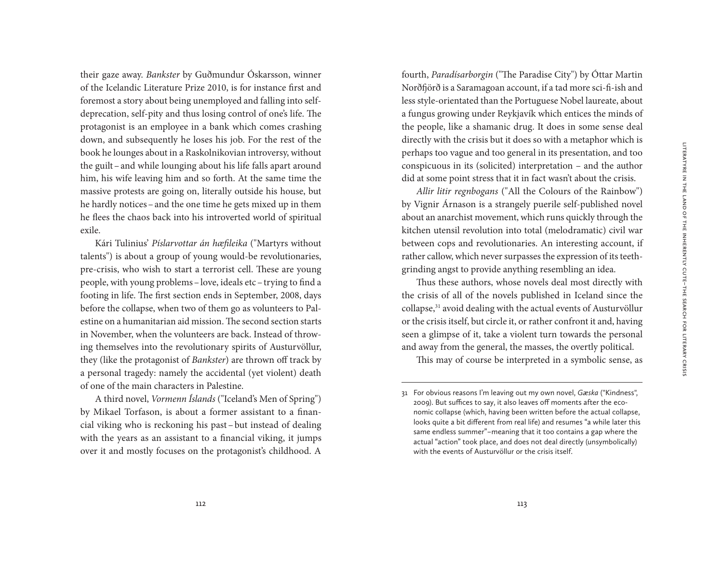their gaze away. *Bankster* by Guðmundur Óskarsson, winner of the Icelandic Literature Prize 2010, is for instance first and foremost a story about being unemployed and falling into selfdeprecation, self-pity and thus losing control of one's life. The protagonist is an employee in a bank which comes crashing down, and subsequently he loses his job. For the rest of the book he lounges about in a Raskolnikovian introversy, without the guilt–and while lounging about his life falls apart around him, his wife leaving him and so forth. At the same time the massive protests are going on, literally outside his house, but he hardly notices–and the one time he gets mixed up in them he flees the chaos back into his introverted world of spiritual exile.

Kári Tulinius' *Píslarvottar án hæfileika* ("Martyrs without talents") is about a group of young would-be revolutionaries, pre-crisis, who wish to start a terrorist cell. These are young people, with young problems–love, ideals etc–trying to find a footing in life. The first section ends in September, 2008, days before the collapse, when two of them go as volunteers to Palestine on a humanitarian aid mission. The second section starts in November, when the volunteers are back. Instead of throwing themselves into the revolutionary spirits of Austurvöllur, they (like the protagonist of *Bankster*) are thrown off track by a personal tragedy: namely the accidental (yet violent) death of one of the main characters in Palestine.

A third novel, *Vormenn Íslands* ("Iceland's Men of Spring") by Mikael Torfason, is about a former assistant to a financial viking who is reckoning his past –but instead of dealing with the years as an assistant to a financial viking, it jumps over it and mostly focuses on the protagonist's childhood. A

fourth, *Paradísarborgin* ("The Paradise City") by Óttar Martin Norðfjörð is a Saramagoan account, if a tad more sci-fi-ish and less style-orientated than the Portuguese Nobel laureate, about a fungus growing under Reykjavík which entices the minds of the people, like a shamanic drug. It does in some sense deal directly with the crisis but it does so with a metaphor which is perhaps too vague and too general in its presentation, and too conspicuous in its (solicited) interpretation – and the author did at some point stress that it in fact wasn't about the crisis.

*Allir litir regnbogans* ("All the Colours of the Rainbow") by Vignir Árnason is a strangely puerile self-published novel about an anarchist movement, which runs quickly through the kitchen utensil revolution into total (melodramatic) civil war between cops and revolutionaries. An interesting account, if rather callow, which never surpasses the expression of its teethgrinding angst to provide anything resembling an idea.

Thus these authors, whose novels deal most directly with the crisis of all of the novels published in Iceland since the collapse,31 avoid dealing with the actual events of Austurvöllur or the crisis itself, but circle it, or rather confront it and, having seen a glimpse of it, take a violent turn towards the personal and away from the general, the masses, the overtly political.

This may of course be interpreted in a symbolic sense, as

<sup>31</sup> For obvious reasons I'm leaving out my own novel, *Gæska* ("Kindness", 2009). But suffices to say, it also leaves off moments after the economic collapse (which, having been written before the actual collapse, looks quite a bit different from real life) and resumes "a while later this same endless summer" – meaning that it too contains a gap where the actual "action" took place, and does not deal directly (unsymbolically) with the events of Austurvöllur or the crisis itself.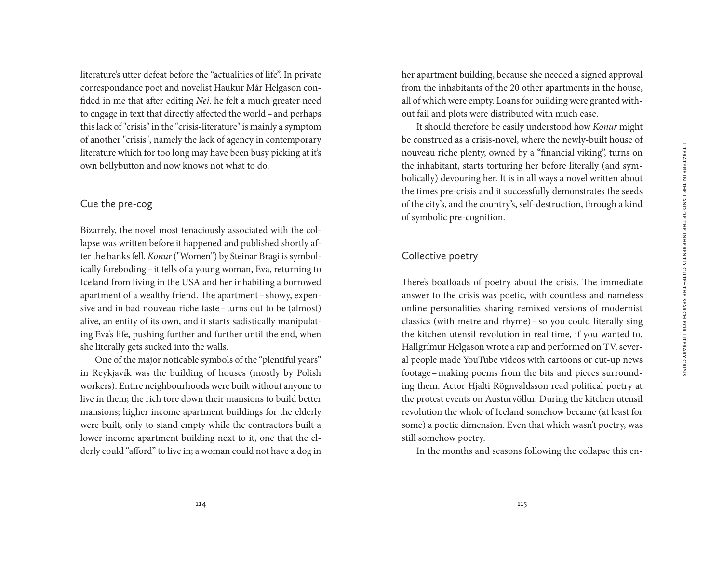literature's utter defeat before the "actualities of life". In private correspondance poet and novelist Haukur Már Helgason confided in me that after editing *Nei*. he felt a much greater need to engage in text that directly affected the world–and perhaps this lack of "crisis" in the "crisis-literature" is mainly a symptom of another "crisis", namely the lack of agency in contemporary literature which for too long may have been busy picking at it's own bellybutton and now knows not what to do.

# Cue the pre-cog

Bizarrely, the novel most tenaciously associated with the collapse was written before it happened and published shortly after the banks fell. *Konur* ("Women") by Steinar Bragi is symbolically foreboding–it tells of a young woman, Eva, returning to Iceland from living in the USA and her inhabiting a borrowed apartment of a wealthy friend. The apartment–showy, expensive and in bad nouveau riche taste–turns out to be (almost) alive, an entity of its own, and it starts sadistically manipulating Eva's life, pushing further and further until the end, when she literally gets sucked into the walls.

One of the major noticable symbols of the "plentiful years" in Reykjavík was the building of houses (mostly by Polish workers). Entire neighbourhoods were built without anyone to live in them; the rich tore down their mansions to build better mansions; higher income apartment buildings for the elderly were built, only to stand empty while the contractors built a lower income apartment building next to it, one that the elderly could "afford" to live in; a woman could not have a dog in her apartment building, because she needed a signed approval from the inhabitants of the 20 other apartments in the house, all of which were empty. Loans for building were granted without fail and plots were distributed with much ease.

It should therefore be easily understood how *Konur* might be construed as a crisis-novel, where the newly-built house of nouveau riche plenty, owned by a "financial viking", turns on the inhabitant, starts torturing her before literally (and symbolically) devouring her. It is in all ways a novel written about the times pre-crisis and it successfully demonstrates the seeds of the city's, and the country's, self-destruction, through a kind of symbolic pre-cognition.

## Collective poetry

There's boatloads of poetry about the crisis. The immediate answer to the crisis was poetic, with countless and nameless online personalities sharing remixed versions of modernist classics (with metre and rhyme)– so you could literally sing the kitchen utensil revolution in real time, if you wanted to. Hallgrímur Helgason wrote a rap and performed on TV, several people made YouTube videos with cartoons or cut-up news footage –making poems from the bits and pieces surrounding them. Actor Hjalti Rögnvaldsson read political poetry at the protest events on Austurvöllur. During the kitchen utensil revolution the whole of Iceland somehow became (at least for some) a poetic dimension. Even that which wasn't poetry, was still somehow poetry.

In the months and seasons following the collapse this en-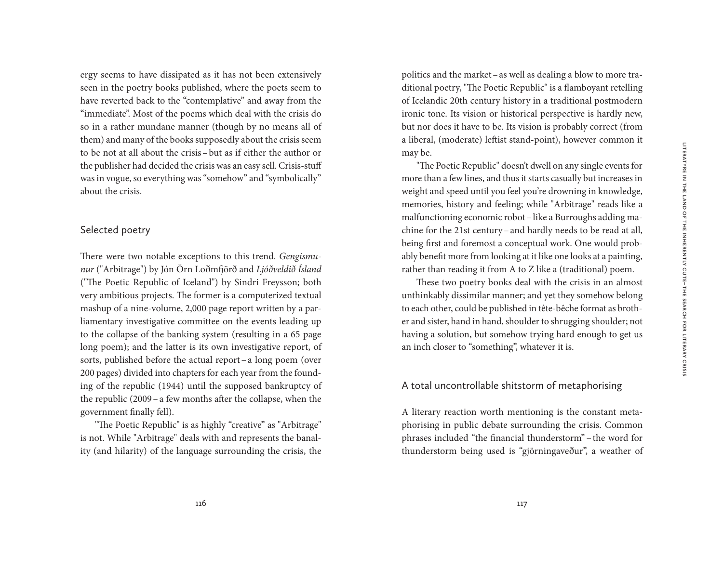ergy seems to have dissipated as it has not been extensively seen in the poetry books published, where the poets seem to have reverted back to the "contemplative" and away from the "immediate". Most of the poems which deal with the crisis do so in a rather mundane manner (though by no means all of them) and many of the books supposedly about the crisis seem to be not at all about the crisis–but as if either the author or the publisher had decided the crisis was an easy sell. Crisis-stuff was in vogue, so everything was "somehow" and "symbolically" about the crisis.

#### Selected poetry

There were two notable exceptions to this trend. *Gengismunur* ("Arbitrage") by Jón Örn Loðmfjörð and *Ljóðveldið Ísland* ("The Poetic Republic of Iceland") by Sindri Freysson; both very ambitious projects. The former is a computerized textual mashup of a nine-volume, 2,000 page report written by a parliamentary investigative committee on the events leading up to the collapse of the banking system (resulting in a 65 page long poem); and the latter is its own investigative report, of sorts, published before the actual report–a long poem (over 200 pages) divided into chapters for each year from the founding of the republic (1944) until the supposed bankruptcy of the republic (2009–a few months after the collapse, when the government finally fell).

"The Poetic Republic" is as highly "creative" as "Arbitrage" is not. While "Arbitrage" deals with and represents the banality (and hilarity) of the language surrounding the crisis, the

politics and the market–as well as dealing a blow to more traditional poetry, "The Poetic Republic" is a flamboyant retelling of Icelandic 20th century history in a traditional postmodern ironic tone. Its vision or historical perspective is hardly new, but nor does it have to be. Its vision is probably correct (from a liberal, (moderate) leftist stand-point), however common it may be.

"The Poetic Republic" doesn't dwell on any single events for more than a few lines, and thus it starts casually but increases in weight and speed until you feel you're drowning in knowledge, memories, history and feeling; while "Arbitrage" reads like a malfunctioning economic robot - like a Burroughs adding machine for the 21st century–and hardly needs to be read at all, being first and foremost a conceptual work. One would probably benefit more from looking at it like one looks at a painting, rather than reading it from A to Z like a (traditional) poem.

These two poetry books deal with the crisis in an almost unthinkably dissimilar manner; and yet they somehow belong to each other, could be published in tête-bêche format as brother and sister, hand in hand, shoulder to shrugging shoulder; not having a solution, but somehow trying hard enough to get us an inch closer to "something", whatever it is.

### A total uncontrollable shitstorm of metaphorising

A literary reaction worth mentioning is the constant metaphorising in public debate surrounding the crisis. Common phrases included "the financial thunderstorm" –the word for thunderstorm being used is "gjörningaveður", a weather of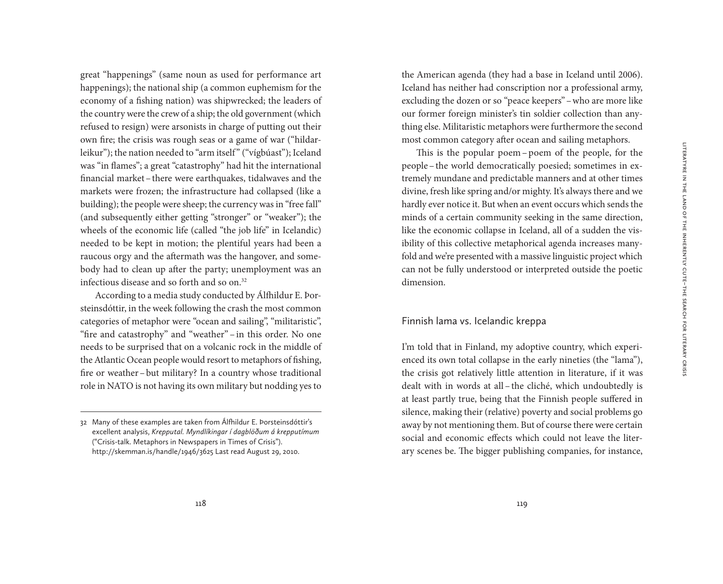great "happenings" (same noun as used for performance art happenings); the national ship (a common euphemism for the economy of a fishing nation) was shipwrecked; the leaders of the country were the crew of a ship; the old government (which refused to resign) were arsonists in charge of putting out their own fire; the crisis was rough seas or a game of war ("hildarleikur"); the nation needed to "arm itself" ("vígbúast"); Iceland was "in flames"; a great "catastrophy" had hit the international financial market–there were earthquakes, tidalwaves and the markets were frozen; the infrastructure had collapsed (like a building); the people were sheep; the currency was in "free fall" (and subsequently either getting "stronger" or "weaker"); the wheels of the economic life (called "the job life" in Icelandic) needed to be kept in motion; the plentiful years had been a raucous orgy and the aftermath was the hangover, and somebody had to clean up after the party; unemployment was an infectious disease and so forth and so on.32

According to a media study conducted by Álfhildur E. Þorsteinsdóttir, in the week following the crash the most common categories of metaphor were "ocean and sailing", "militaristic", "fire and catastrophy" and "weather" –in this order. No one needs to be surprised that on a volcanic rock in the middle of the Atlantic Ocean people would resort to metaphors of fishing, fire or weather–but military? In a country whose traditional role in NATO is not having its own military but nodding yes to

the American agenda (they had a base in Iceland until 2006). Iceland has neither had conscription nor a professional army, excluding the dozen or so "peace keepers"–who are more like our former foreign minister's tin soldier collection than anything else. Militaristic metaphors were furthermore the second most common category after ocean and sailing metaphors.

This is the popular poem– poem of the people, for the people–the world democratically poesied; sometimes in extremely mundane and predictable manners and at other times divine, fresh like spring and/or mighty. It's always there and we hardly ever notice it. But when an event occurs which sends the minds of a certain community seeking in the same direction, like the economic collapse in Iceland, all of a sudden the visibility of this collective metaphorical agenda increases manyfold and we're presented with a massive linguistic project which can not be fully understood or interpreted outside the poetic dimension.

### Finnish lama vs. Icelandic kreppa

I'm told that in Finland, my adoptive country, which experienced its own total collapse in the early nineties (the "lama"), the crisis got relatively little attention in literature, if it was dealt with in words at all – the cliché, which undoubtedly is at least partly true, being that the Finnish people suffered in silence, making their (relative) poverty and social problems go away by not mentioning them. But of course there were certain social and economic effects which could not leave the literary scenes be. The bigger publishing companies, for instance,

<sup>32</sup> Many of these examples are taken from Álfhildur E. Þorsteinsdóttir's excellent analysis, *Krepputal. Myndlíkingar í dagblöðum á krepputímum*  ("Crisis-talk. Metaphors in Newspapers in Times of Crisis"). http://skemman.is/handle/1946/3625 Last read August 29, 2010.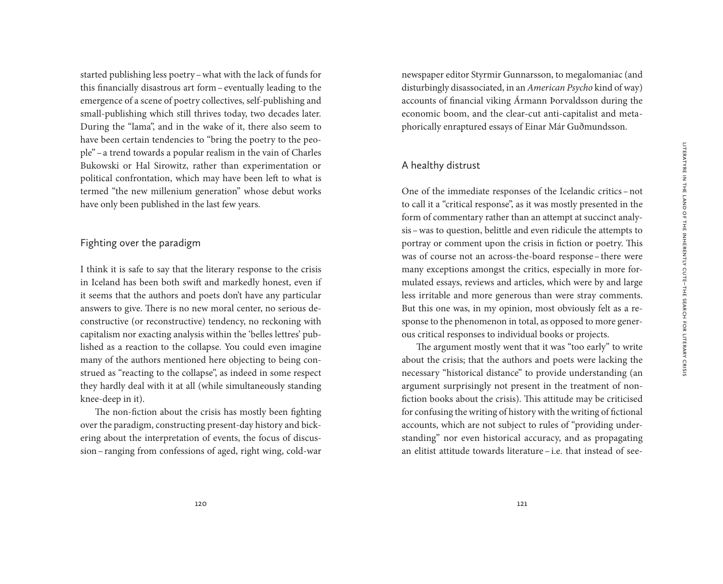started publishing less poetry–what with the lack of funds for this financially disastrous art form–eventually leading to the emergence of a scene of poetry collectives, self-publishing and small-publishing which still thrives today, two decades later. During the "lama", and in the wake of it, there also seem to have been certain tendencies to "bring the poetry to the people"–a trend towards a popular realism in the vain of Charles Bukowski or Hal Sirowitz, rather than experimentation or political confrontation, which may have been left to what is termed "the new millenium generation" whose debut works have only been published in the last few years.

# Fighting over the paradigm

I think it is safe to say that the literary response to the crisis in Iceland has been both swift and markedly honest, even if it seems that the authors and poets don't have any particular answers to give. There is no new moral center, no serious deconstructive (or reconstructive) tendency, no reckoning with capitalism nor exacting analysis within the 'belles lettres' published as a reaction to the collapse. You could even imagine many of the authors mentioned here objecting to being construed as "reacting to the collapse", as indeed in some respect they hardly deal with it at all (while simultaneously standing knee-deep in it).

The non-fiction about the crisis has mostly been fighting over the paradigm, constructing present-day history and bickering about the interpretation of events, the focus of discussion–ranging from confessions of aged, right wing, cold-war newspaper editor Styrmir Gunnarsson, to megalomaniac (and disturbingly disassociated, in an *American Psycho* kind of way) accounts of financial viking Ármann Þorvaldsson during the economic boom, and the clear-cut anti-capitalist and metaphorically enraptured essays of Einar Már Guðmundsson.

## A healthy distrust

One of the immediate responses of the Icelandic critics –not to call it a "critical response", as it was mostly presented in the form of commentary rather than an attempt at succinct analysis–was to question, belittle and even ridicule the attempts to portray or comment upon the crisis in fiction or poetry. This was of course not an across-the-board response– there were many exceptions amongst the critics, especially in more formulated essays, reviews and articles, which were by and large less irritable and more generous than were stray comments. But this one was, in my opinion, most obviously felt as a response to the phenomenon in total, as opposed to more generous critical responses to individual books or projects.

The argument mostly went that it was "too early" to write about the crisis; that the authors and poets were lacking the necessary "historical distance" to provide understanding (an argument surprisingly not present in the treatment of nonfiction books about the crisis). This attitude may be criticised for confusing the writing of history with the writing of fictional accounts, which are not subject to rules of "providing understanding" nor even historical accuracy, and as propagating an elitist attitude towards literature – i.e. that instead of see-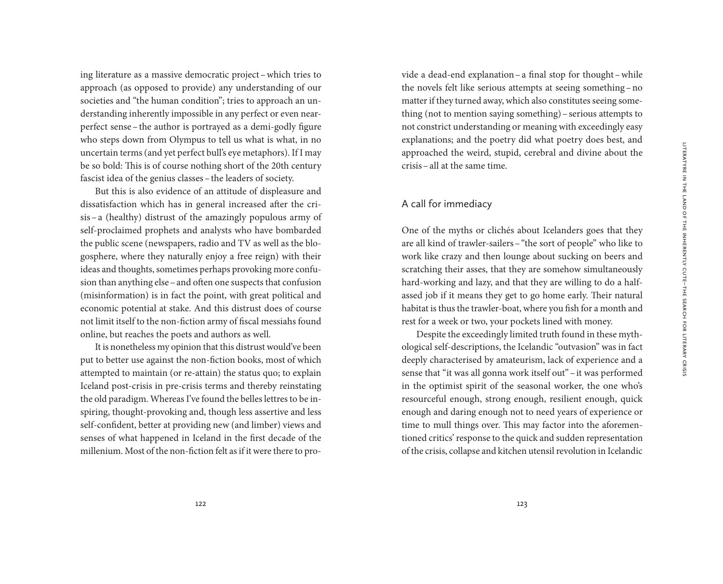ing literature as a massive democratic project–which tries to approach (as opposed to provide) any understanding of our societies and "the human condition"; tries to approach an understanding inherently impossible in any perfect or even nearperfect sense–the author is portrayed as a demi-godly figure who steps down from Olympus to tell us what is what, in no uncertain terms (and yet perfect bull's eye metaphors). If I may be so bold: This is of course nothing short of the 20th century fascist idea of the genius classes–the leaders of society.

But this is also evidence of an attitude of displeasure and dissatisfaction which has in general increased after the crisis– a (healthy) distrust of the amazingly populous army of self-proclaimed prophets and analysts who have bombarded the public scene (newspapers, radio and TV as well as the blogosphere, where they naturally enjoy a free reign) with their ideas and thoughts, sometimes perhaps provoking more confusion than anything else–and often one suspects that confusion (misinformation) is in fact the point, with great political and economic potential at stake. And this distrust does of course not limit itself to the non-fiction army of fiscal messiahs found online, but reaches the poets and authors as well.

It is nonetheless my opinion that this distrust would've been put to better use against the non-fiction books, most of which attempted to maintain (or re-attain) the status quo; to explain Iceland post-crisis in pre-crisis terms and thereby reinstating the old paradigm. Whereas I've found the belles lettres to be inspiring, thought-provoking and, though less assertive and less self-confident, better at providing new (and limber) views and senses of what happened in Iceland in the first decade of the millenium. Most of the non-fiction felt as if it were there to provide a dead-end explanation–a final stop for thought–while the novels felt like serious attempts at seeing something–no matter if they turned away, which also constitutes seeing something (not to mention saying something)–serious attempts to not constrict understanding or meaning with exceedingly easy explanations; and the poetry did what poetry does best, and approached the weird, stupid, cerebral and divine about the crisis–all at the same time.

### A call for immediacy

One of the myths or clichés about Icelanders goes that they are all kind of trawler-sailers–"the sort of people" who like to work like crazy and then lounge about sucking on beers and scratching their asses, that they are somehow simultaneously hard-working and lazy, and that they are willing to do a halfassed job if it means they get to go home early. Their natural habitat is thus the trawler-boat, where you fish for a month and rest for a week or two, your pockets lined with money.

Despite the exceedingly limited truth found in these mythological self-descriptions, the Icelandic "outvasion" was in fact deeply characterised by amateurism, lack of experience and a sense that "it was all gonna work itself out"–it was performed in the optimist spirit of the seasonal worker, the one who's resourceful enough, strong enough, resilient enough, quick enough and daring enough not to need years of experience or time to mull things over. This may factor into the aforementioned critics' response to the quick and sudden representation of the crisis, collapse and kitchen utensil revolution in Icelandic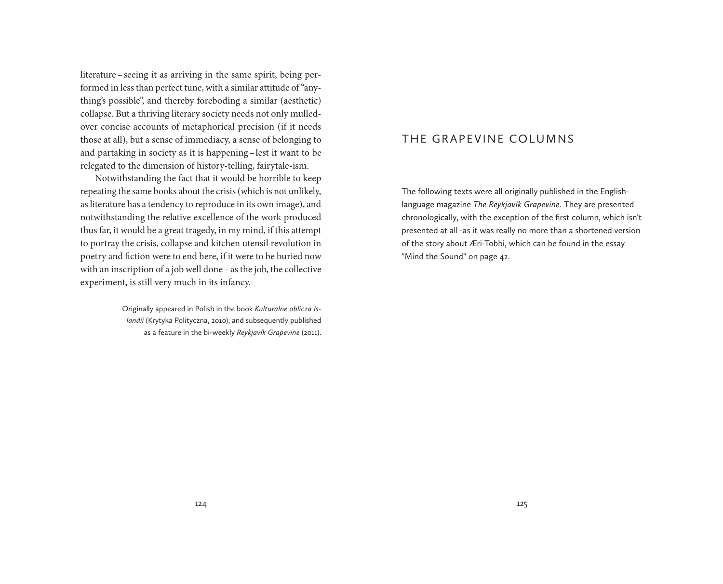literature–seeing it as arriving in the same spirit, being performed in less than perfect tune, with a similar attitude of "anything's possible", and thereby foreboding a similar (aesthetic) collapse. But a thriving literary society needs not only mulledover concise accounts of metaphorical precision (if it needs those at all), but a sense of immediacy, a sense of belonging to and partaking in society as it is happening–lest it want to be relegated to the dimension of history-telling, fairytale-ism.

Notwithstanding the fact that it would be horrible to keep repeating the same books about the crisis (which is not unlikely, as literature has a tendency to reproduce in its own image), and notwithstanding the relative excellence of the work produced thus far, it would be a great tragedy, in my mind, if this attempt to portray the crisis, collapse and kitchen utensil revolution in poetry and fiction were to end here, if it were to be buried now with an inscription of a job well done–as the job, the collective experiment, is still very much in its infancy.

> Originally appeared in Polish in the book *Kulturalne oblicza Islandii* (Krytyka Polityczna, 2010), and subsequently published as a feature in the bi-weekly *Reykjavík Grapevine* (2011).

# The Grapevine Columns

The following texts were all originally published in the Englishlanguage magazine *The Reykjavík Grapevine*. They are presented chronologically, with the exception of the first column, which isn't presented at all – as it was really no more than a shortened version of the story about Æri-Tobbi, which can be found in the essay "Mind the Sound" on page 42.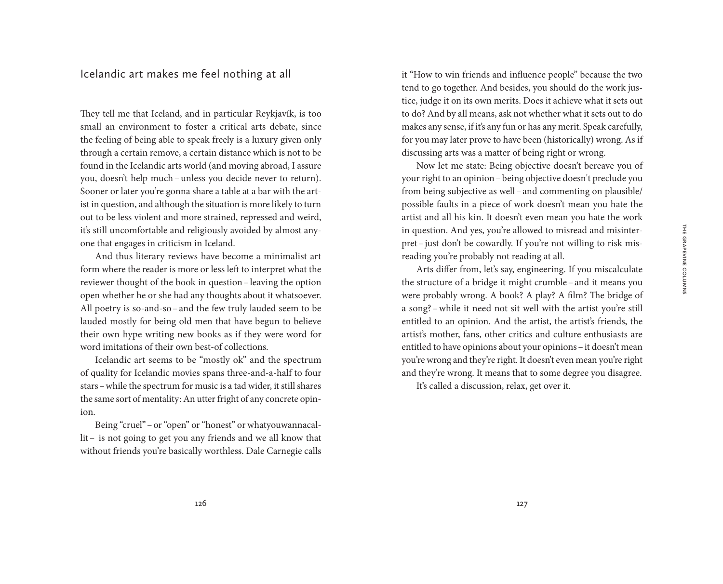Icelandic art makes me feel nothing at all

They tell me that Iceland, and in particular Reykjavík, is too small an environment to foster a critical arts debate, since the feeling of being able to speak freely is a luxury given only through a certain remove, a certain distance which is not to be found in the Icelandic arts world (and moving abroad, I assure you, doesn't help much –unless you decide never to return). Sooner or later you're gonna share a table at a bar with the artist in question, and although the situation is more likely to turn out to be less violent and more strained, repressed and weird, it's still uncomfortable and religiously avoided by almost anyone that engages in criticism in Iceland.

And thus literary reviews have become a minimalist art form where the reader is more or less left to interpret what the reviewer thought of the book in question–leaving the option open whether he or she had any thoughts about it whatsoever. All poetry is so-and-so–and the few truly lauded seem to be lauded mostly for being old men that have begun to believe their own hype writing new books as if they were word for word imitations of their own best-of collections.

Icelandic art seems to be "mostly ok" and the spectrum of quality for Icelandic movies spans three-and-a-half to four stars–while the spectrum for music is a tad wider, it still shares the same sort of mentality: An utter fright of any concrete opinion.

Being "cruel"–or "open" or "honest" or whatyouwannacallit– is not going to get you any friends and we all know that without friends you're basically worthless. Dale Carnegie calls it "How to win friends and influence people" because the two tend to go together. And besides, you should do the work justice, judge it on its own merits. Does it achieve what it sets out to do? And by all means, ask not whether what it sets out to do makes any sense, if it's any fun or has any merit. Speak carefully, for you may later prove to have been (historically) wrong. As if discussing arts was a matter of being right or wrong.

Now let me state: Being objective doesn't bereave you of your right to an opinion–being objective doesn't preclude you from being subjective as well–and commenting on plausible/ possible faults in a piece of work doesn't mean you hate the artist and all his kin. It doesn't even mean you hate the work in question. And yes, you're allowed to misread and misinterpret–just don't be cowardly. If you're not willing to risk misreading you're probably not reading at all.

Arts differ from, let's say, engineering. If you miscalculate the structure of a bridge it might crumble–and it means you were probably wrong. A book? A play? A film? The bridge of a song?–while it need not sit well with the artist you're still entitled to an opinion. And the artist, the artist's friends, the artist's mother, fans, other critics and culture enthusiasts are entitled to have opinions about your opinions–it doesn't mean you're wrong and they're right. It doesn't even mean you're right and they're wrong. It means that to some degree you disagree.

It's called a discussion, relax, get over it.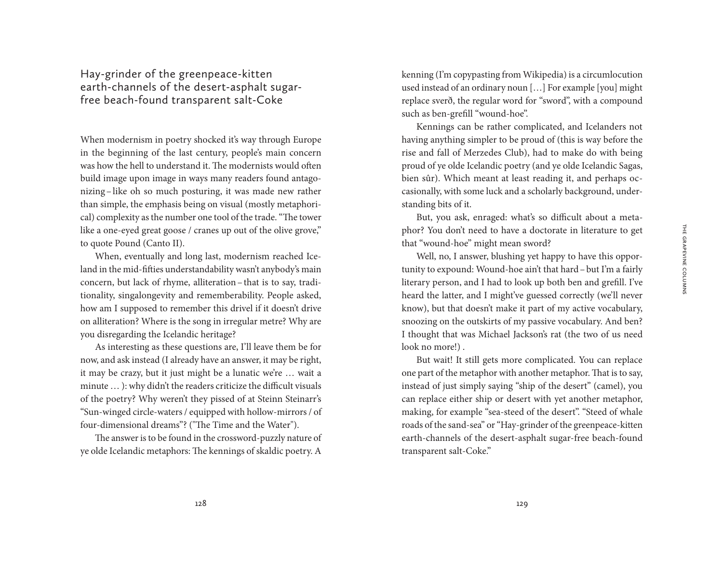Hay-grinder of the greenpeace-kitten earth-channels of the desert-asphalt sugarfree beach-found transparent salt-Coke

When modernism in poetry shocked it's way through Europe in the beginning of the last century, people's main concern was how the hell to understand it. The modernists would often build image upon image in ways many readers found antagonizing – like oh so much posturing, it was made new rather than simple, the emphasis being on visual (mostly metaphorical) complexity as the number one tool of the trade. "The tower like a one-eyed great goose / cranes up out of the olive grove," to quote Pound (Canto II).

When, eventually and long last, modernism reached Iceland in the mid-fifties understandability wasn't anybody's main concern, but lack of rhyme, alliteration - that is to say, traditionality, singalongevity and rememberability. People asked, how am I supposed to remember this drivel if it doesn't drive on alliteration? Where is the song in irregular metre? Why are you disregarding the Icelandic heritage?

As interesting as these questions are, I'll leave them be for now, and ask instead (I already have an answer, it may be right, it may be crazy, but it just might be a lunatic we're … wait a minute … ): why didn't the readers criticize the difficult visuals of the poetry? Why weren't they pissed of at Steinn Steinarr's "Sun-winged circle-waters / equipped with hollow-mirrors / of four-dimensional dreams"? ("The Time and the Water").

The answer is to be found in the crossword-puzzly nature of ye olde Icelandic metaphors: The kennings of skaldic poetry. A kenning (I'm copypasting from Wikipedia) is a circumlocution used instead of an ordinary noun […] For example [you] might replace sverð, the regular word for "sword", with a compound such as ben-grefill "wound-hoe".

Kennings can be rather complicated, and Icelanders not having anything simpler to be proud of (this is way before the rise and fall of Merzedes Club), had to make do with being proud of ye olde Icelandic poetry (and ye olde Icelandic Sagas, bien sûr). Which meant at least reading it, and perhaps occasionally, with some luck and a scholarly background, understanding bits of it.

But, you ask, enraged: what's so difficult about a metaphor? You don't need to have a doctorate in literature to get that "wound-hoe" might mean sword?

Well, no, I answer, blushing yet happy to have this opportunity to expound: Wound-hoe ain't that hard–but I'm a fairly literary person, and I had to look up both ben and grefill. I've heard the latter, and I might've guessed correctly (we'll never know), but that doesn't make it part of my active vocabulary, snoozing on the outskirts of my passive vocabulary. And ben? I thought that was Michael Jackson's rat (the two of us need look no more!) .

But wait! It still gets more complicated. You can replace one part of the metaphor with another metaphor. That is to say, instead of just simply saying "ship of the desert" (camel), you can replace either ship or desert with yet another metaphor, making, for example "sea-steed of the desert". "Steed of whale roads of the sand-sea" or "Hay-grinder of the greenpeace-kitten earth-channels of the desert-asphalt sugar-free beach-found transparent salt-Coke."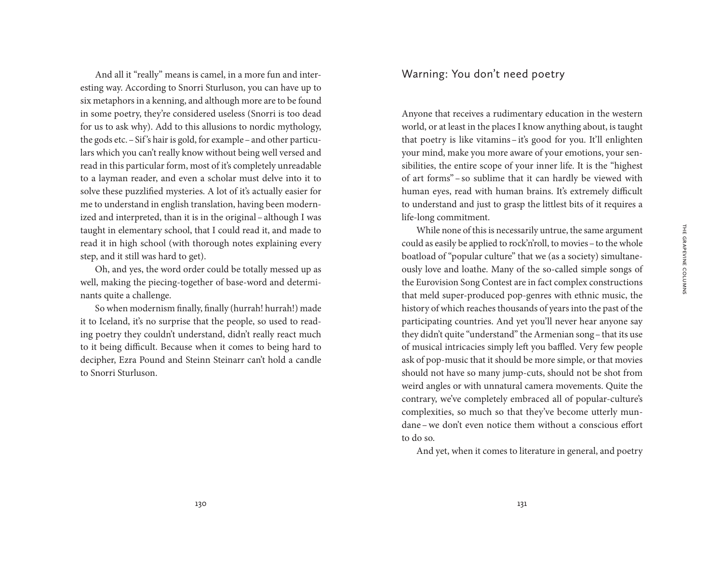And all it "really" means is camel, in a more fun and interesting way. According to Snorri Sturluson, you can have up to six metaphors in a kenning, and although more are to be found in some poetry, they're considered useless (Snorri is too dead for us to ask why). Add to this allusions to nordic mythology, the gods etc.–Sif 's hair is gold, for example–and other particulars which you can't really know without being well versed and read in this particular form, most of it's completely unreadable to a layman reader, and even a scholar must delve into it to solve these puzzlified mysteries. A lot of it's actually easier for me to understand in english translation, having been modernized and interpreted, than it is in the original–although I was taught in elementary school, that I could read it, and made to read it in high school (with thorough notes explaining every step, and it still was hard to get).

Oh, and yes, the word order could be totally messed up as well, making the piecing-together of base-word and determinants quite a challenge.

So when modernism finally, finally (hurrah! hurrah!) made it to Iceland, it's no surprise that the people, so used to reading poetry they couldn't understand, didn't really react much to it being difficult. Because when it comes to being hard to decipher, Ezra Pound and Steinn Steinarr can't hold a candle to Snorri Sturluson.

# Warning: You don't need poetry

Anyone that receives a rudimentary education in the western world, or at least in the places I know anything about, is taught that poetry is like vitamins– it's good for you. It'll enlighten your mind, make you more aware of your emotions, your sensibilities, the entire scope of your inner life. It is the "highest of art forms" – so sublime that it can hardly be viewed with human eyes, read with human brains. It's extremely difficult to understand and just to grasp the littlest bits of it requires a life-long commitment.

While none of this is necessarily untrue, the same argument could as easily be applied to rock'n'roll, to movies–to the whole boatload of "popular culture" that we (as a society) simultaneously love and loathe. Many of the so-called simple songs of the Eurovision Song Contest are in fact complex constructions that meld super-produced pop-genres with ethnic music, the history of which reaches thousands of years into the past of the participating countries. And yet you'll never hear anyone say they didn't quite "understand" the Armenian song–that its use of musical intricacies simply left you baffled. Very few people ask of pop-music that it should be more simple, or that movies should not have so many jump-cuts, should not be shot from weird angles or with unnatural camera movements. Quite the contrary, we've completely embraced all of popular-culture's complexities, so much so that they've become utterly mundane–we don't even notice them without a conscious effort to do so.

And yet, when it comes to literature in general, and poetry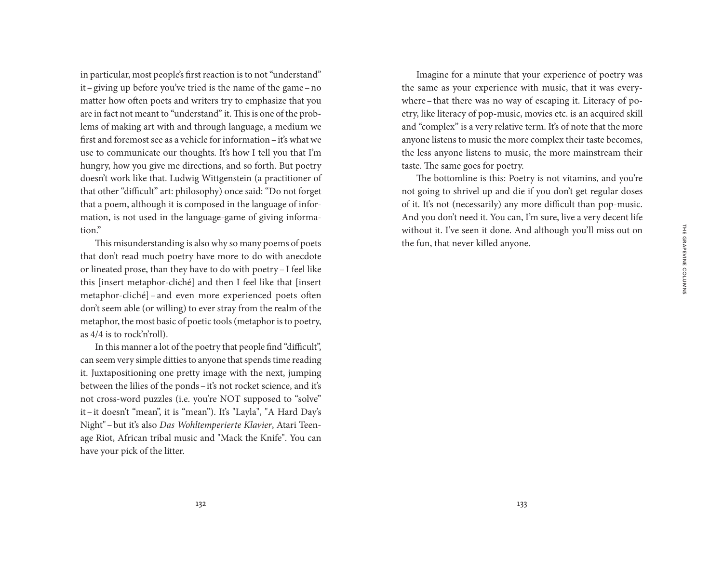in particular, most people's first reaction is to not "understand" it–giving up before you've tried is the name of the game–no matter how often poets and writers try to emphasize that you are in fact not meant to "understand" it. This is one of the problems of making art with and through language, a medium we first and foremost see as a vehicle for information–it's what we use to communicate our thoughts. It's how I tell you that I'm hungry, how you give me directions, and so forth. But poetry doesn't work like that. Ludwig Wittgenstein (a practitioner of that other "difficult" art: philosophy) once said: "Do not forget that a poem, although it is composed in the language of information, is not used in the language-game of giving information."

This misunderstanding is also why so many poems of poets that don't read much poetry have more to do with anecdote or lineated prose, than they have to do with poetry–I feel like this [insert metaphor-cliché] and then I feel like that [insert metaphor-cliché] – and even more experienced poets often don't seem able (or willing) to ever stray from the realm of the metaphor, the most basic of poetic tools (metaphor is to poetry, as 4/4 is to rock'n'roll).

In this manner a lot of the poetry that people find "difficult", can seem very simple ditties to anyone that spends time reading it. Juxtapositioning one pretty image with the next, jumping between the lilies of the ponds–it's not rocket science, and it's not cross-word puzzles (i.e. you're NOT supposed to "solve" it–it doesn't "mean", it is "mean"). It's "Layla", "A Hard Day's Night"–but it's also *Das Wohltemperierte Klavier*, Atari Teenage Riot, African tribal music and "Mack the Knife". You can have your pick of the litter.

Imagine for a minute that your experience of poetry was the same as your experience with music, that it was everywhere–that there was no way of escaping it. Literacy of poetry, like literacy of pop-music, movies etc. is an acquired skill and "complex" is a very relative term. It's of note that the more anyone listens to music the more complex their taste becomes, the less anyone listens to music, the more mainstream their taste. The same goes for poetry.

The bottomline is this: Poetry is not vitamins, and you're not going to shrivel up and die if you don't get regular doses of it. It's not (necessarily) any more difficult than pop-music. And you don't need it. You can, I'm sure, live a very decent life without it. I've seen it done. And although you'll miss out on the fun, that never killed anyone.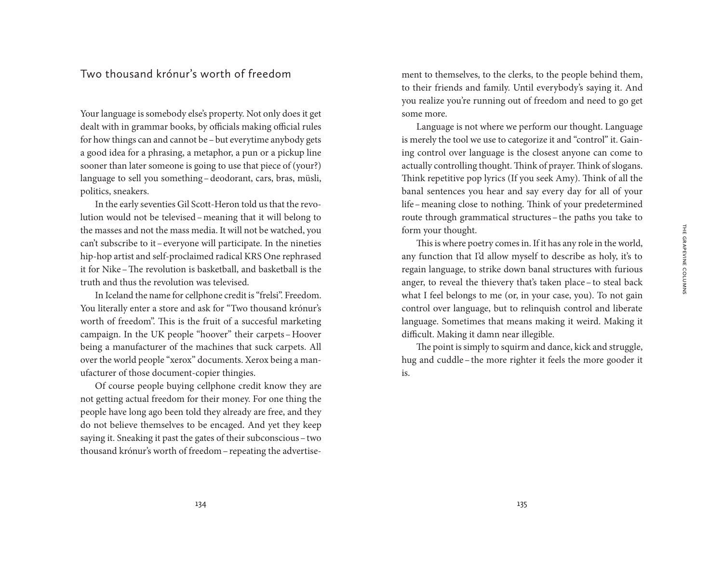# Two thousand krónur's worth of freedom

Your language is somebody else's property. Not only does it get dealt with in grammar books, by officials making official rules for how things can and cannot be –but everytime anybody gets a good idea for a phrasing, a metaphor, a pun or a pickup line sooner than later someone is going to use that piece of (your?) language to sell you something–deodorant, cars, bras, müsli, politics, sneakers.

In the early seventies Gil Scott-Heron told us that the revolution would not be televised–meaning that it will belong to the masses and not the mass media. It will not be watched, you can't subscribe to it–everyone will participate. In the nineties hip-hop artist and self-proclaimed radical KRS One rephrased it for Nike–The revolution is basketball, and basketball is the truth and thus the revolution was televised.

In Iceland the name for cellphone credit is "frelsi". Freedom. You literally enter a store and ask for "Two thousand krónur's worth of freedom". This is the fruit of a succesful marketing campaign. In the UK people "hoover" their carpets–Hoover being a manufacturer of the machines that suck carpets. All over the world people "xerox" documents. Xerox being a manufacturer of those document-copier thingies.

Of course people buying cellphone credit know they are not getting actual freedom for their money. For one thing the people have long ago been told they already are free, and they do not believe themselves to be encaged. And yet they keep saying it. Sneaking it past the gates of their subconscious–two thousand krónur's worth of freedom–repeating the advertisement to themselves, to the clerks, to the people behind them, to their friends and family. Until everybody's saying it. And you realize you're running out of freedom and need to go get some more.

Language is not where we perform our thought. Language is merely the tool we use to categorize it and "control" it. Gaining control over language is the closest anyone can come to actually controlling thought. Think of prayer. Think of slogans. Think repetitive pop lyrics (If you seek Amy). Think of all the banal sentences you hear and say every day for all of your life–meaning close to nothing. Think of your predetermined route through grammatical structures–the paths you take to form your thought.

This is where poetry comes in. If it has any role in the world, any function that I'd allow myself to describe as holy, it's to regain language, to strike down banal structures with furious anger, to reveal the thievery that's taken place–to steal back what I feel belongs to me (or, in your case, you). To not gain control over language, but to relinquish control and liberate language. Sometimes that means making it weird. Making it difficult. Making it damn near illegible.

The point is simply to squirm and dance, kick and struggle, hug and cuddle–the more righter it feels the more gooder it is.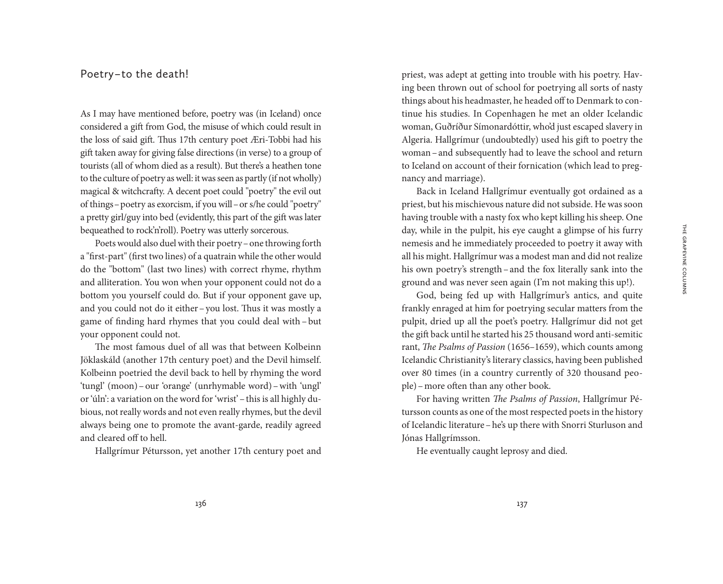## Poetry – to the death!

As I may have mentioned before, poetry was (in Iceland) once considered a gift from God, the misuse of which could result in the loss of said gift. Thus 17th century poet Æri-Tobbi had his gift taken away for giving false directions (in verse) to a group of tourists (all of whom died as a result). But there's a heathen tone to the culture of poetry as well: it was seen as partly (if not wholly) magical & witchcrafty. A decent poet could "poetry" the evil out of things–poetry as exorcism, if you will–or s/he could "poetry" a pretty girl/guy into bed (evidently, this part of the gift was later bequeathed to rock'n'roll). Poetry was utterly sorcerous.

Poets would also duel with their poetry–one throwing forth a "first-part" (first two lines) of a quatrain while the other would do the "bottom" (last two lines) with correct rhyme, rhythm and alliteration. You won when your opponent could not do a bottom you yourself could do. But if your opponent gave up, and you could not do it either–you lost. Thus it was mostly a game of finding hard rhymes that you could deal with –but your opponent could not.

The most famous duel of all was that between Kolbeinn Jöklaskáld (another 17th century poet) and the Devil himself. Kolbeinn poetried the devil back to hell by rhyming the word 'tungl' (moon)–our 'orange' (unrhymable word)–with 'ungl' or 'úln': a variation on the word for 'wrist' - this is all highly dubious, not really words and not even really rhymes, but the devil always being one to promote the avant-garde, readily agreed and cleared off to hell.

Hallgrímur Pétursson, yet another 17th century poet and

priest, was adept at getting into trouble with his poetry. Having been thrown out of school for poetrying all sorts of nasty things about his headmaster, he headed off to Denmark to continue his studies. In Copenhagen he met an older Icelandic woman, Guðríður Símonardóttir, who'd just escaped slavery in Algeria. Hallgrímur (undoubtedly) used his gift to poetry the woman–and subsequently had to leave the school and return to Iceland on account of their fornication (which lead to pregnancy and marriage).

Back in Iceland Hallgrímur eventually got ordained as a priest, but his mischievous nature did not subside. He was soon having trouble with a nasty fox who kept killing his sheep. One day, while in the pulpit, his eye caught a glimpse of his furry nemesis and he immediately proceeded to poetry it away with all his might. Hallgrímur was a modest man and did not realize his own poetry's strength–and the fox literally sank into the ground and was never seen again (I'm not making this up!).

God, being fed up with Hallgrímur's antics, and quite frankly enraged at him for poetrying secular matters from the pulpit, dried up all the poet's poetry. Hallgrímur did not get the gift back until he started his 25 thousand word anti-semitic rant, *The Psalms of Passion* (1656–1659), which counts among Icelandic Christianity's literary classics, having been published over 80 times (in a country currently of 320 thousand people)–more often than any other book.

For having written *The Psalms of Passion*, Hallgrímur Pétursson counts as one of the most respected poets in the history of Icelandic literature–he's up there with Snorri Sturluson and Jónas Hallgrímsson.

He eventually caught leprosy and died.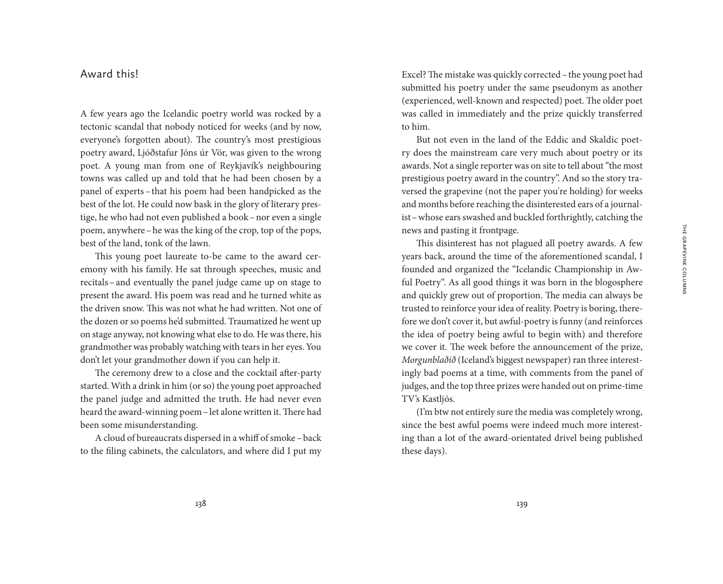## Award this!

A few years ago the Icelandic poetry world was rocked by a tectonic scandal that nobody noticed for weeks (and by now, everyone's forgotten about). The country's most prestigious poetry award, Ljóðstafur Jóns úr Vör, was given to the wrong poet. A young man from one of Reykjavík's neighbouring towns was called up and told that he had been chosen by a panel of experts-that his poem had been handpicked as the best of the lot. He could now bask in the glory of literary prestige, he who had not even published a book–nor even a single poem, anywhere–he was the king of the crop, top of the pops, best of the land, tonk of the lawn.

This young poet laureate to-be came to the award ceremony with his family. He sat through speeches, music and recitals–and eventually the panel judge came up on stage to present the award. His poem was read and he turned white as the driven snow. This was not what he had written. Not one of the dozen or so poems he'd submitted. Traumatized he went up on stage anyway, not knowing what else to do. He was there, his grandmother was probably watching with tears in her eyes. You don't let your grandmother down if you can help it.

The ceremony drew to a close and the cocktail after-party started. With a drink in him (or so) the young poet approached the panel judge and admitted the truth. He had never even heard the award-winning poem–let alone written it. There had been some misunderstanding.

A cloud of bureaucrats dispersed in a whiff of smoke –back to the filing cabinets, the calculators, and where did I put my Excel? The mistake was quickly corrected–the young poet had submitted his poetry under the same pseudonym as another (experienced, well-known and respected) poet. The older poet was called in immediately and the prize quickly transferred to him.

But not even in the land of the Eddic and Skaldic poetry does the mainstream care very much about poetry or its awards. Not a single reporter was on site to tell about "the most prestigious poetry award in the country". And so the story traversed the grapevine (not the paper you're holding) for weeks and months before reaching the disinterested ears of a journalist–whose ears swashed and buckled forthrightly, catching the news and pasting it frontpage.

This disinterest has not plagued all poetry awards. A few years back, around the time of the aforementioned scandal, I founded and organized the "Icelandic Championship in Awful Poetry". As all good things it was born in the blogosphere and quickly grew out of proportion. The media can always be trusted to reinforce your idea of reality. Poetry is boring, therefore we don't cover it, but awful-poetry is funny (and reinforces the idea of poetry being awful to begin with) and therefore we cover it. The week before the announcement of the prize, *Morgunblaðið* (Iceland's biggest newspaper) ran three interestingly bad poems at a time, with comments from the panel of judges, and the top three prizes were handed out on prime-time TV's Kastljós.

(I'm btw not entirely sure the media was completely wrong, since the best awful poems were indeed much more interesting than a lot of the award-orientated drivel being published these days).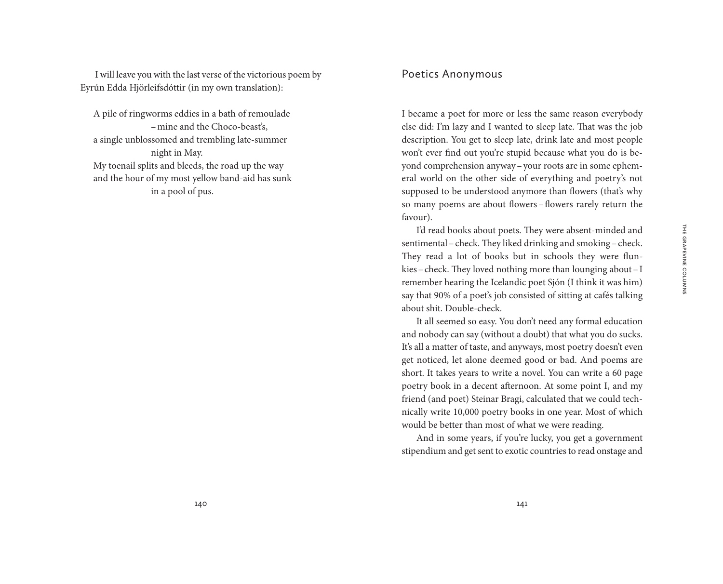I will leave you with the last verse of the victorious poem by Eyrún Edda Hjörleifsdóttir (in my own translation):

A pile of ringworms eddies in a bath of remoulade –mine and the Choco-beast's, a single unblossomed and trembling late-summer night in May. My toenail splits and bleeds, the road up the way and the hour of my most yellow band-aid has sunk in a pool of pus.

## Poetics Anonymous

I became a poet for more or less the same reason everybody else did: I'm lazy and I wanted to sleep late. That was the job description. You get to sleep late, drink late and most people won't ever find out you're stupid because what you do is beyond comprehension anyway–your roots are in some ephemeral world on the other side of everything and poetry's not supposed to be understood anymore than flowers (that's why so many poems are about flowers–flowers rarely return the favour).

I'd read books about poets. They were absent-minded and sentimental–check. They liked drinking and smoking–check. They read a lot of books but in schools they were flunkies–check. They loved nothing more than lounging about–I remember hearing the Icelandic poet Sjón (I think it was him) say that 90% of a poet's job consisted of sitting at cafés talking about shit. Double-check.

It all seemed so easy. You don't need any formal education and nobody can say (without a doubt) that what you do sucks. It's all a matter of taste, and anyways, most poetry doesn't even get noticed, let alone deemed good or bad. And poems are short. It takes years to write a novel. You can write a 60 page poetry book in a decent afternoon. At some point I, and my friend (and poet) Steinar Bragi, calculated that we could technically write 10,000 poetry books in one year. Most of which would be better than most of what we were reading.

And in some years, if you're lucky, you get a government stipendium and get sent to exotic countries to read onstage and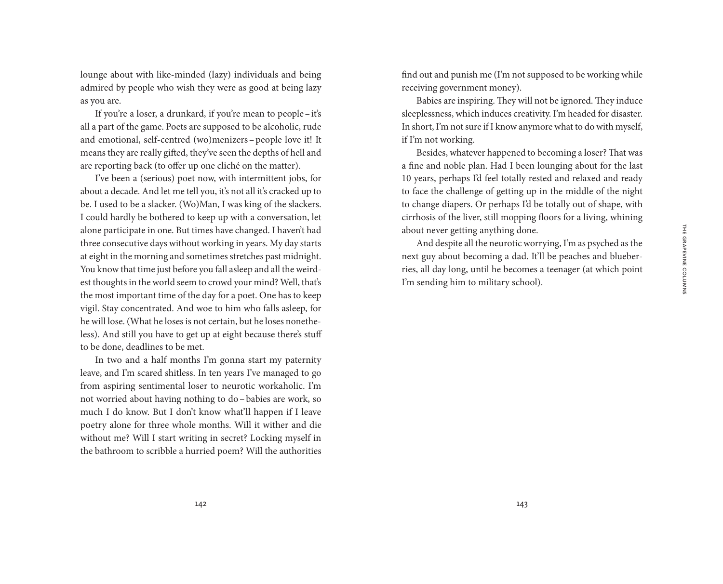lounge about with like-minded (lazy) individuals and being admired by people who wish they were as good at being lazy as you are.

If you're a loser, a drunkard, if you're mean to people–it's all a part of the game. Poets are supposed to be alcoholic, rude and emotional, self-centred (wo)menizers–people love it! It means they are really gifted, they've seen the depths of hell and are reporting back (to offer up one cliché on the matter).

I've been a (serious) poet now, with intermittent jobs, for about a decade. And let me tell you, it's not all it's cracked up to be. I used to be a slacker. (Wo)Man, I was king of the slackers. I could hardly be bothered to keep up with a conversation, let alone participate in one. But times have changed. I haven't had three consecutive days without working in years. My day starts at eight in the morning and sometimes stretches past midnight. You know that time just before you fall asleep and all the weirdest thoughts in the world seem to crowd your mind? Well, that's the most important time of the day for a poet. One has to keep vigil. Stay concentrated. And woe to him who falls asleep, for he will lose. (What he loses is not certain, but he loses nonetheless). And still you have to get up at eight because there's stuff to be done, deadlines to be met.

In two and a half months I'm gonna start my paternity leave, and I'm scared shitless. In ten years I've managed to go from aspiring sentimental loser to neurotic workaholic. I'm not worried about having nothing to do–babies are work, so much I do know. But I don't know what'll happen if I leave poetry alone for three whole months. Will it wither and die without me? Will I start writing in secret? Locking myself in the bathroom to scribble a hurried poem? Will the authorities find out and punish me (I'm not supposed to be working while receiving government money).

Babies are inspiring. They will not be ignored. They induce sleeplessness, which induces creativity. I'm headed for disaster. In short, I'm not sure if I know anymore what to do with myself, if I'm not working.

Besides, whatever happened to becoming a loser? That was a fine and noble plan. Had I been lounging about for the last 10 years, perhaps I'd feel totally rested and relaxed and ready to face the challenge of getting up in the middle of the night to change diapers. Or perhaps I'd be totally out of shape, with cirrhosis of the liver, still mopping floors for a living, whining about never getting anything done.

And despite all the neurotic worrying, I'm as psyched as the next guy about becoming a dad. It'll be peaches and blueberries, all day long, until he becomes a teenager (at which point I'm sending him to military school).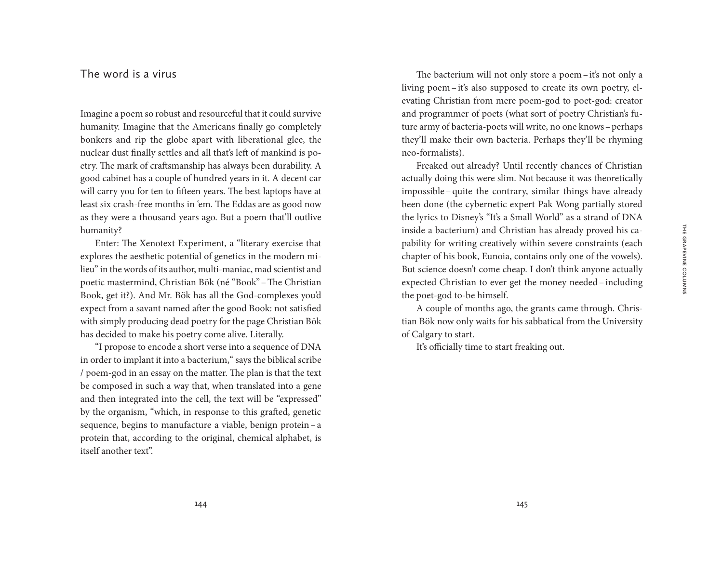Imagine a poem so robust and resourceful that it could survive humanity. Imagine that the Americans finally go completely bonkers and rip the globe apart with liberational glee, the nuclear dust finally settles and all that's left of mankind is poetry. The mark of craftsmanship has always been durability. A good cabinet has a couple of hundred years in it. A decent car will carry you for ten to fifteen years. The best laptops have at least six crash-free months in 'em. The Eddas are as good now as they were a thousand years ago. But a poem that'll outlive humanity?

Enter: The Xenotext Experiment, a "literary exercise that explores the aesthetic potential of genetics in the modern milieu" in the words of its author, multi-maniac, mad scientist and poetic mastermind, Christian Bök (né "Book"–The Christian Book, get it?). And Mr. Bök has all the God-complexes you'd expect from a savant named after the good Book: not satisfied with simply producing dead poetry for the page Christian Bök has decided to make his poetry come alive. Literally.

"I propose to encode a short verse into a sequence of DNA in order to implant it into a bacterium," says the biblical scribe / poem-god in an essay on the matter. The plan is that the text be composed in such a way that, when translated into a gene and then integrated into the cell, the text will be "expressed" by the organism, "which, in response to this grafted, genetic sequence, begins to manufacture a viable, benign protein–a protein that, according to the original, chemical alphabet, is itself another text".

The bacterium will not only store a poem-it's not only a living poem– it's also supposed to create its own poetry, elevating Christian from mere poem-god to poet-god: creator and programmer of poets (what sort of poetry Christian's future army of bacteria-poets will write, no one knows–perhaps they'll make their own bacteria. Perhaps they'll be rhyming neo-formalists).

Freaked out already? Until recently chances of Christian actually doing this were slim. Not because it was theoretically impossible – quite the contrary, similar things have already been done (the cybernetic expert Pak Wong partially stored the lyrics to Disney's "It's a Small World" as a strand of DNA inside a bacterium) and Christian has already proved his capability for writing creatively within severe constraints (each chapter of his book, Eunoia, contains only one of the vowels). But science doesn't come cheap. I don't think anyone actually expected Christian to ever get the money needed–including the poet-god to-be himself.

A couple of months ago, the grants came through. Christian Bök now only waits for his sabbatical from the University of Calgary to start.

It's officially time to start freaking out.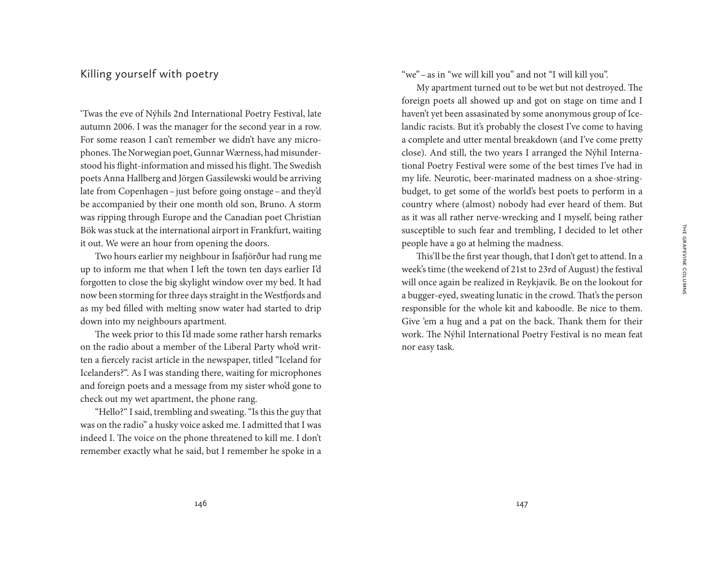## Killing yourself with poetry

'Twas the eve of Nýhils 2nd International Poetry Festival, late autumn 2006. I was the manager for the second year in a row. For some reason I can't remember we didn't have any microphones. The Norwegian poet, Gunnar Wærness, had misunderstood his flight-information and missed his flight. The Swedish poets Anna Hallberg and Jörgen Gassilewski would be arriving late from Copenhagen–just before going onstage–and they'd be accompanied by their one month old son, Bruno. A storm was ripping through Europe and the Canadian poet Christian Bök was stuck at the international airport in Frankfurt, waiting it out. We were an hour from opening the doors.

Two hours earlier my neighbour in Ísafjörður had rung me up to inform me that when I left the town ten days earlier I'd forgotten to close the big skylight window over my bed. It had now been storming for three days straight in the Westfjords and as my bed filled with melting snow water had started to drip down into my neighbours apartment.

The week prior to this I'd made some rather harsh remarks on the radio about a member of the Liberal Party who'd written a fiercely racist article in the newspaper, titled "Iceland for Icelanders?". As I was standing there, waiting for microphones and foreign poets and a message from my sister who'd gone to check out my wet apartment, the phone rang.

"Hello?" I said, trembling and sweating. "Is this the guy that was on the radio" a husky voice asked me. I admitted that I was indeed I. The voice on the phone threatened to kill me. I don't remember exactly what he said, but I remember he spoke in a

"we"–as in "we will kill you" and not "I will kill you".

My apartment turned out to be wet but not destroyed. The foreign poets all showed up and got on stage on time and I haven't yet been assasinated by some anonymous group of Icelandic racists. But it's probably the closest I've come to having a complete and utter mental breakdown (and I've come pretty close). And still, the two years I arranged the Nýhil International Poetry Festival were some of the best times I've had in my life. Neurotic, beer-marinated madness on a shoe-stringbudget, to get some of the world's best poets to perform in a country where (almost) nobody had ever heard of them. But as it was all rather nerve-wrecking and I myself, being rather susceptible to such fear and trembling, I decided to let other people have a go at helming the madness.

This'll be the first year though, that I don't get to attend. In a week's time (the weekend of 21st to 23rd of August) the festival will once again be realized in Reykjavík. Be on the lookout for a bugger-eyed, sweating lunatic in the crowd. That's the person responsible for the whole kit and kaboodle. Be nice to them. Give 'em a hug and a pat on the back. Thank them for their work. The Nýhil International Poetry Festival is no mean feat nor easy task.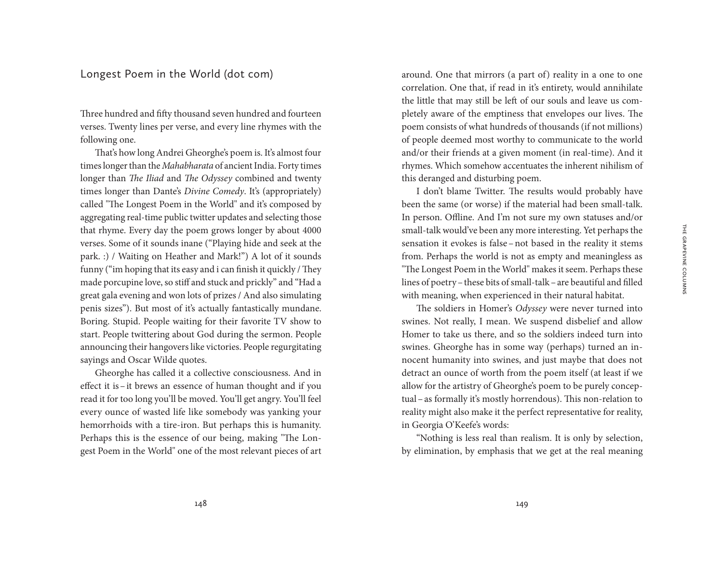### Longest Poem in the World (dot com)

Three hundred and fifty thousand seven hundred and fourteen verses. Twenty lines per verse, and every line rhymes with the following one.

That's how long Andrei Gheorghe's poem is. It's almost four times longer than the *Mahabharata* of ancient India. Forty times longer than *The Iliad* and *The Odyssey* combined and twenty times longer than Dante's *Divine Comedy*. It's (appropriately) called "The Longest Poem in the World" and it's composed by aggregating real-time public twitter updates and selecting those that rhyme. Every day the poem grows longer by about 4000 verses. Some of it sounds inane ("Playing hide and seek at the park. :) / Waiting on Heather and Mark!") A lot of it sounds funny ("im hoping that its easy and i can finish it quickly / They made porcupine love, so stiff and stuck and prickly" and "Had a great gala evening and won lots of prizes / And also simulating penis sizes"). But most of it's actually fantastically mundane. Boring. Stupid. People waiting for their favorite TV show to start. People twittering about God during the sermon. People announcing their hangovers like victories. People regurgitating sayings and Oscar Wilde quotes.

Gheorghe has called it a collective consciousness. And in effect it is–it brews an essence of human thought and if you read it for too long you'll be moved. You'll get angry. You'll feel every ounce of wasted life like somebody was yanking your hemorrhoids with a tire-iron. But perhaps this is humanity. Perhaps this is the essence of our being, making "The Longest Poem in the World" one of the most relevant pieces of art

around. One that mirrors (a part of) reality in a one to one correlation. One that, if read in it's entirety, would annihilate the little that may still be left of our souls and leave us completely aware of the emptiness that envelopes our lives. The poem consists of what hundreds of thousands (if not millions) of people deemed most worthy to communicate to the world and/or their friends at a given moment (in real-time). And it rhymes. Which somehow accentuates the inherent nihilism of this deranged and disturbing poem.

I don't blame Twitter. The results would probably have been the same (or worse) if the material had been small-talk. In person. Offline. And I'm not sure my own statuses and/or small-talk would've been any more interesting. Yet perhaps the sensation it evokes is false–not based in the reality it stems from. Perhaps the world is not as empty and meaningless as "The Longest Poem in the World" makes it seem. Perhaps these lines of poetry–these bits of small-talk–are beautiful and filled with meaning, when experienced in their natural habitat.

The soldiers in Homer's *Odyssey* were never turned into swines. Not really, I mean. We suspend disbelief and allow Homer to take us there, and so the soldiers indeed turn into swines. Gheorghe has in some way (perhaps) turned an innocent humanity into swines, and just maybe that does not detract an ounce of worth from the poem itself (at least if we allow for the artistry of Gheorghe's poem to be purely conceptual–as formally it's mostly horrendous). This non-relation to reality might also make it the perfect representative for reality, in Georgia O'Keefe's words:

"Nothing is less real than realism. It is only by selection, by elimination, by emphasis that we get at the real meaning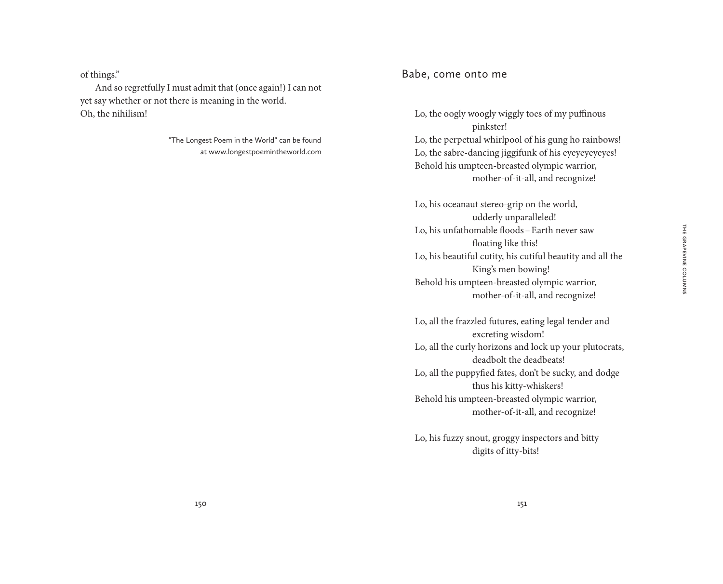of things."

And so regretfully I must admit that (once again!) I can not yet say whether or not there is meaning in the world. Oh, the nihilism!

> "The Longest Poem in the World" can be found at www.longestpoemintheworld.com

### Babe, come onto me

Lo, the oogly woogly wiggly toes of my puffinous pinkster! Lo, the perpetual whirlpool of his gung ho rainbows! Lo, the sabre-dancing jiggifunk of his eyeyeyeyeyes! Behold his umpteen-breasted olympic warrior, mother-of-it-all, and recognize!

Lo, his oceanaut stereo-grip on the world, udderly unparalleled! Lo, his unfathomable floods–Earth never saw floating like this! Lo, his beautiful cutity, his cutiful beautity and all the King's men bowing! Behold his umpteen-breasted olympic warrior, mother-of-it-all, and recognize!

Lo, all the frazzled futures, eating legal tender and excreting wisdom! Lo, all the curly horizons and lock up your plutocrats, deadbolt the deadbeats! Lo, all the puppyfied fates, don't be sucky, and dodge thus his kitty-whiskers! Behold his umpteen-breasted olympic warrior, mother-of-it-all, and recognize!

Lo, his fuzzy snout, groggy inspectors and bitty digits of itty-bits!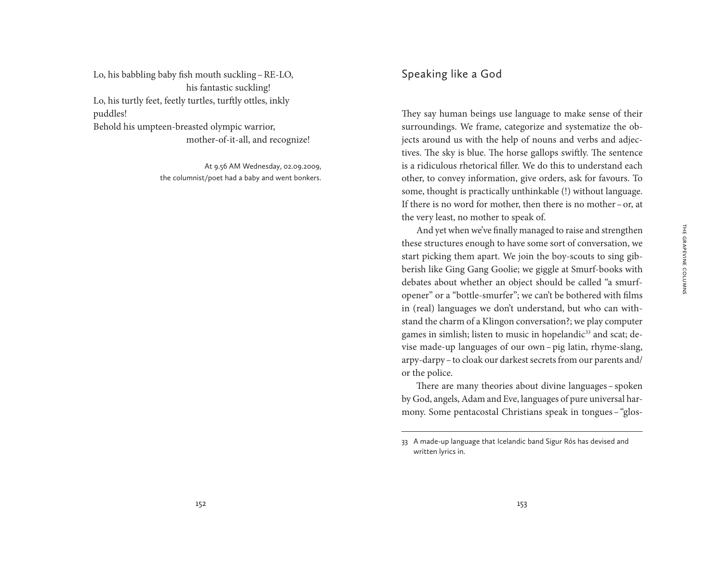Lo, his babbling baby fish mouth suckling–RE-LO, his fantastic suckling! Lo, his turtly feet, feetly turtles, turftly ottles, inkly puddles! Behold his umpteen-breasted olympic warrior, mother-of-it-all, and recognize!

> At 9.56 AM Wednesday, 02.09.2009, the columnist/poet had a baby and went bonkers.

# Speaking like a God

They say human beings use language to make sense of their surroundings. We frame, categorize and systematize the objects around us with the help of nouns and verbs and adjectives. The sky is blue. The horse gallops swiftly. The sentence is a ridiculous rhetorical filler. We do this to understand each other, to convey information, give orders, ask for favours. To some, thought is practically unthinkable (!) without language. If there is no word for mother, then there is no mother–or, at the very least, no mother to speak of.

And yet when we've finally managed to raise and strengthen these structures enough to have some sort of conversation, we start picking them apart. We join the boy-scouts to sing gibberish like Ging Gang Goolie; we giggle at Smurf-books with debates about whether an object should be called "a smurfopener" or a "bottle-smurfer"; we can't be bothered with films in (real) languages we don't understand, but who can withstand the charm of a Klingon conversation?; we play computer games in simlish; listen to music in hopelandic<sup>33</sup> and scat; devise made-up languages of our own–pig latin, rhyme-slang, arpy-darpy–to cloak our darkest secrets from our parents and/ or the police.

There are many theories about divine languages – spoken by God, angels, Adam and Eve, languages of pure universal harmony. Some pentacostal Christians speak in tongues–"glos-

<sup>33</sup> A made-up language that Icelandic band Sigur Rós has devised and written lyrics in.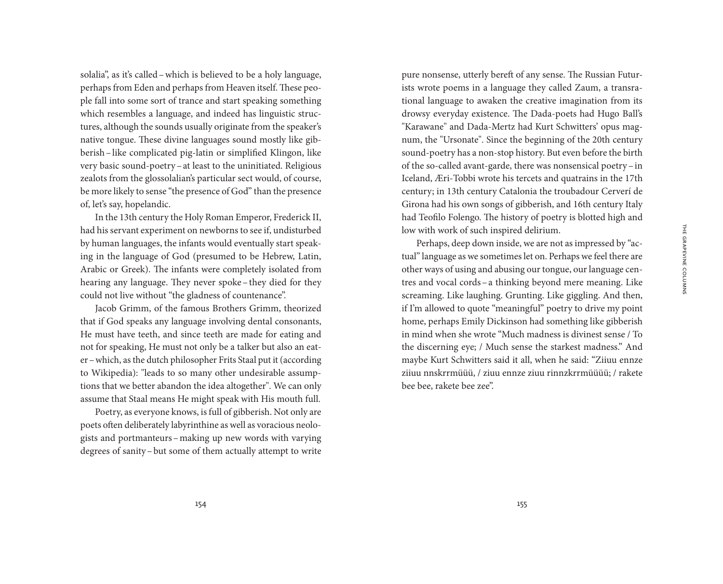THE GRAPEVINE COLUMNS The Grapevine Columns

solalia", as it's called–which is believed to be a holy language, perhaps from Eden and perhaps from Heaven itself. These people fall into some sort of trance and start speaking something which resembles a language, and indeed has linguistic structures, although the sounds usually originate from the speaker's native tongue. These divine languages sound mostly like gibberish–like complicated pig-latin or simplified Klingon, like very basic sound-poetry–at least to the uninitiated. Religious zealots from the glossolalian's particular sect would, of course, be more likely to sense "the presence of God" than the presence of, let's say, hopelandic.

In the 13th century the Holy Roman Emperor, Frederick II, had his servant experiment on newborns to see if, undisturbed by human languages, the infants would eventually start speaking in the language of God (presumed to be Hebrew, Latin, Arabic or Greek). The infants were completely isolated from hearing any language. They never spoke–they died for they could not live without "the gladness of countenance".

Jacob Grimm, of the famous Brothers Grimm, theorized that if God speaks any language involving dental consonants, He must have teeth, and since teeth are made for eating and not for speaking, He must not only be a talker but also an eater–which, as the dutch philosopher Frits Staal put it (according to Wikipedia): "leads to so many other undesirable assumptions that we better abandon the idea altogether". We can only assume that Staal means He might speak with His mouth full.

Poetry, as everyone knows, is full of gibberish. Not only are poets often deliberately labyrinthine as well as voracious neologists and portmanteurs–making up new words with varying degrees of sanity–but some of them actually attempt to write

pure nonsense, utterly bereft of any sense. The Russian Futurists wrote poems in a language they called Zaum, a transrational language to awaken the creative imagination from its drowsy everyday existence. The Dada-poets had Hugo Ball's "Karawane" and Dada-Mertz had Kurt Schwitters' opus magnum, the "Ursonate". Since the beginning of the 20th century sound-poetry has a non-stop history. But even before the birth of the so-called avant-garde, there was nonsensical poetry–in Iceland, Æri-Tobbi wrote his tercets and quatrains in the 17th century; in 13th century Catalonia the troubadour Cerverí de Girona had his own songs of gibberish, and 16th century Italy had Teofilo Folengo. The history of poetry is blotted high and low with work of such inspired delirium.

Perhaps, deep down inside, we are not as impressed by "actual" language as we sometimes let on. Perhaps we feel there are other ways of using and abusing our tongue, our language centres and vocal cords–a thinking beyond mere meaning. Like screaming. Like laughing. Grunting. Like giggling. And then, if I'm allowed to quote "meaningful" poetry to drive my point home, perhaps Emily Dickinson had something like gibberish in mind when she wrote "Much madness is divinest sense / To the discerning eye; / Much sense the starkest madness." And maybe Kurt Schwitters said it all, when he said: "Ziiuu ennze ziiuu nnskrrmüüü, / ziuu ennze ziuu rinnzkrrmüüüü; / rakete bee bee, rakete bee zee".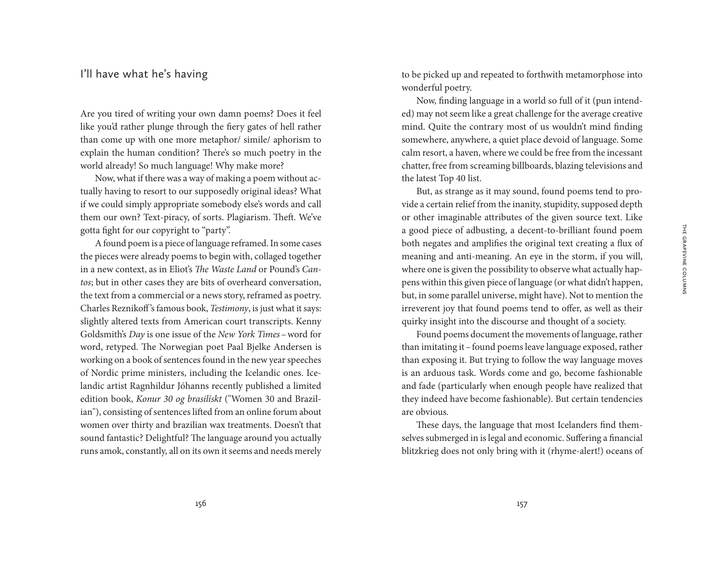## I'll have what he's having

Are you tired of writing your own damn poems? Does it feel like you'd rather plunge through the fiery gates of hell rather than come up with one more metaphor/ simile/ aphorism to explain the human condition? There's so much poetry in the world already! So much language! Why make more?

Now, what if there was a way of making a poem without actually having to resort to our supposedly original ideas? What if we could simply appropriate somebody else's words and call them our own? Text-piracy, of sorts. Plagiarism. Theft. We've gotta fight for our copyright to "party".

A found poem is a piece of language reframed. In some cases the pieces were already poems to begin with, collaged together in a new context, as in Eliot's *The Waste Land* or Pound's *Cantos*; but in other cases they are bits of overheard conversation, the text from a commercial or a news story, reframed as poetry. Charles Reznikoff 's famous book, *Testimony*, is just what it says: slightly altered texts from American court transcripts. Kenny Goldsmith's *Day* is one issue of the *New York Times*–word for word, retyped. The Norwegian poet Paal Bjelke Andersen is working on a book of sentences found in the new year speeches of Nordic prime ministers, including the Icelandic ones. Icelandic artist Ragnhildur Jóhanns recently published a limited edition book, *Konur 30 og brasilískt* ("Women 30 and Brazilian"), consisting of sentences lifted from an online forum about women over thirty and brazilian wax treatments. Doesn't that sound fantastic? Delightful? The language around you actually runs amok, constantly, all on its own it seems and needs merely to be picked up and repeated to forthwith metamorphose into wonderful poetry.

Now, finding language in a world so full of it (pun intended) may not seem like a great challenge for the average creative mind. Quite the contrary most of us wouldn't mind finding somewhere, anywhere, a quiet place devoid of language. Some calm resort, a haven, where we could be free from the incessant chatter, free from screaming billboards, blazing televisions and the latest Top 40 list.

But, as strange as it may sound, found poems tend to provide a certain relief from the inanity, stupidity, supposed depth or other imaginable attributes of the given source text. Like a good piece of adbusting, a decent-to-brilliant found poem both negates and amplifies the original text creating a flux of meaning and anti-meaning. An eye in the storm, if you will, where one is given the possibility to observe what actually happens within this given piece of language (or what didn't happen, but, in some parallel universe, might have). Not to mention the irreverent joy that found poems tend to offer, as well as their quirky insight into the discourse and thought of a society.

Found poems document the movements of language, rather than imitating it–found poems leave language exposed, rather than exposing it. But trying to follow the way language moves is an arduous task. Words come and go, become fashionable and fade (particularly when enough people have realized that they indeed have become fashionable). But certain tendencies are obvious.

These days, the language that most Icelanders find themselves submerged in is legal and economic. Suffering a financial blitzkrieg does not only bring with it (rhyme-alert!) oceans of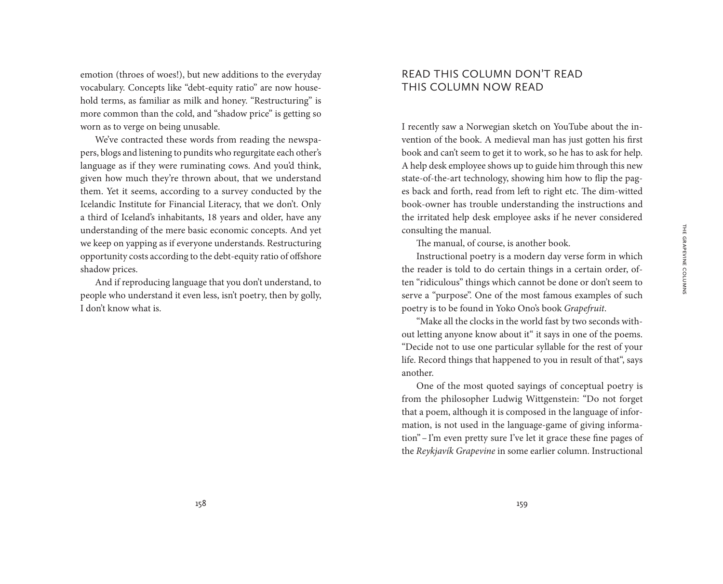emotion (throes of woes!), but new additions to the everyday vocabulary. Concepts like "debt-equity ratio" are now household terms, as familiar as milk and honey. "Restructuring" is more common than the cold, and "shadow price" is getting so worn as to verge on being unusable.

We've contracted these words from reading the newspapers, blogs and listening to pundits who regurgitate each other's language as if they were ruminating cows. And you'd think, given how much they're thrown about, that we understand them. Yet it seems, according to a survey conducted by the Icelandic Institute for Financial Literacy, that we don't. Only a third of Iceland's inhabitants, 18 years and older, have any understanding of the mere basic economic concepts. And yet we keep on yapping as if everyone understands. Restructuring opportunity costs according to the debt-equity ratio of offshore shadow prices.

And if reproducing language that you don't understand, to people who understand it even less, isn't poetry, then by golly, I don't know what is.

## READ THIS COLUMN DON'T READ THIS COLUMN NOW READ

I recently saw a Norwegian sketch on YouTube about the invention of the book. A medieval man has just gotten his first book and can't seem to get it to work, so he has to ask for help. A help desk employee shows up to guide him through this new state-of-the-art technology, showing him how to flip the pages back and forth, read from left to right etc. The dim-witted book-owner has trouble understanding the instructions and the irritated help desk employee asks if he never considered consulting the manual.

The manual, of course, is another book.

Instructional poetry is a modern day verse form in which the reader is told to do certain things in a certain order, often "ridiculous" things which cannot be done or don't seem to serve a "purpose". One of the most famous examples of such poetry is to be found in Yoko Ono's book *Grapefruit*.

"Make all the clocks in the world fast by two seconds without letting anyone know about it" it says in one of the poems. "Decide not to use one particular syllable for the rest of your life. Record things that happened to you in result of that", says another.

One of the most quoted sayings of conceptual poetry is from the philosopher Ludwig Wittgenstein: "Do not forget that a poem, although it is composed in the language of information, is not used in the language-game of giving information"–I'm even pretty sure I've let it grace these fine pages of the *Reykjavík Grapevine* in some earlier column. Instructional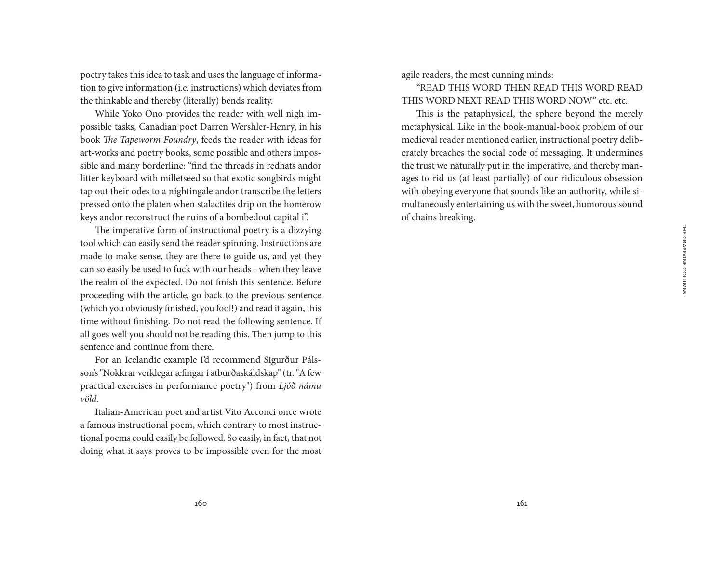poetry takes this idea to task and uses the language of information to give information (i.e. instructions) which deviates from the thinkable and thereby (literally) bends reality.

While Yoko Ono provides the reader with well nigh impossible tasks, Canadian poet Darren Wershler-Henry, in his book *The Tapeworm Foundry*, feeds the reader with ideas for art-works and poetry books, some possible and others impossible and many borderline: "find the threads in redhats andor litter keyboard with milletseed so that exotic songbirds might tap out their odes to a nightingale andor transcribe the letters pressed onto the platen when stalactites drip on the homerow keys andor reconstruct the ruins of a bombedout capital i".

The imperative form of instructional poetry is a dizzying tool which can easily send the reader spinning. Instructions are made to make sense, they are there to guide us, and yet they can so easily be used to fuck with our heads–when they leave the realm of the expected. Do not finish this sentence. Before proceeding with the article, go back to the previous sentence (which you obviously finished, you fool!) and read it again, this time without finishing. Do not read the following sentence. If all goes well you should not be reading this. Then jump to this sentence and continue from there.

For an Icelandic example I'd recommend Sigurður Pálsson's "Nokkrar verklegar æfingar í atburðaskáldskap" (tr. "A few practical exercises in performance poetry") from *Ljóð námu völd*.

Italian-American poet and artist Vito Acconci once wrote a famous instructional poem, which contrary to most instructional poems could easily be followed. So easily, in fact, that not doing what it says proves to be impossible even for the most agile readers, the most cunning minds:

"READ THIS WORD THEN READ THIS WORD READ THIS WORD NEXT READ THIS WORD NOW" etc. etc.

This is the pataphysical, the sphere beyond the merely metaphysical. Like in the book-manual-book problem of our medieval reader mentioned earlier, instructional poetry deliberately breaches the social code of messaging. It undermines the trust we naturally put in the imperative, and thereby manages to rid us (at least partially) of our ridiculous obsession with obeying everyone that sounds like an authority, while simultaneously entertaining us with the sweet, humorous sound of chains breaking.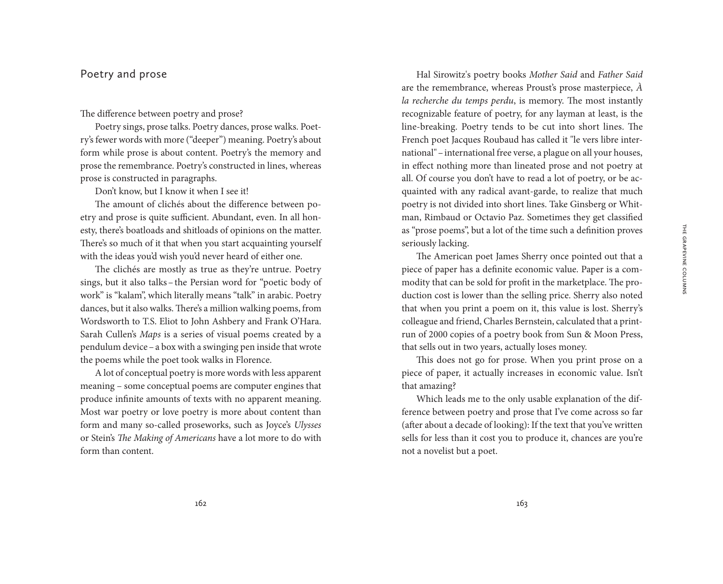### Poetry and prose

#### The difference between poetry and prose?

Poetry sings, prose talks. Poetry dances, prose walks. Poetry's fewer words with more ("deeper") meaning. Poetry's about form while prose is about content. Poetry's the memory and prose the remembrance. Poetry's constructed in lines, whereas prose is constructed in paragraphs.

Don't know, but I know it when I see it!

The amount of clichés about the difference between poetry and prose is quite sufficient. Abundant, even. In all honesty, there's boatloads and shitloads of opinions on the matter. There's so much of it that when you start acquainting yourself with the ideas you'd wish you'd never heard of either one.

The clichés are mostly as true as they're untrue. Poetry sings, but it also talks–the Persian word for "poetic body of work" is "kalam", which literally means "talk" in arabic. Poetry dances, but it also walks. There's a million walking poems, from Wordsworth to T.S. Eliot to John Ashbery and Frank O'Hara. Sarah Cullen's *Maps* is a series of visual poems created by a pendulum device–a box with a swinging pen inside that wrote the poems while the poet took walks in Florence.

A lot of conceptual poetry is more words with less apparent meaning – some conceptual poems are computer engines that produce infinite amounts of texts with no apparent meaning. Most war poetry or love poetry is more about content than form and many so-called proseworks, such as Joyce's *Ulysses* or Stein's *The Making of Americans* have a lot more to do with form than content.

Hal Sirowitz's poetry books *Mother Said* and *Father Said* are the remembrance, whereas Proust's prose masterpiece, *À la recherche du temps perdu*, is memory. The most instantly recognizable feature of poetry, for any layman at least, is the line-breaking. Poetry tends to be cut into short lines. The French poet Jacques Roubaud has called it "le vers libre international"–international free verse, a plague on all your houses, in effect nothing more than lineated prose and not poetry at all. Of course you don't have to read a lot of poetry, or be acquainted with any radical avant-garde, to realize that much poetry is not divided into short lines. Take Ginsberg or Whitman, Rimbaud or Octavio Paz. Sometimes they get classified as "prose poems", but a lot of the time such a definition proves seriously lacking.

The American poet James Sherry once pointed out that a piece of paper has a definite economic value. Paper is a commodity that can be sold for profit in the marketplace. The production cost is lower than the selling price. Sherry also noted that when you print a poem on it, this value is lost. Sherry's colleague and friend, Charles Bernstein, calculated that a printrun of 2000 copies of a poetry book from Sun & Moon Press, that sells out in two years, actually loses money.

This does not go for prose. When you print prose on a piece of paper, it actually increases in economic value. Isn't that amazing?

Which leads me to the only usable explanation of the difference between poetry and prose that I've come across so far (after about a decade of looking): If the text that you've written sells for less than it cost you to produce it, chances are you're not a novelist but a poet.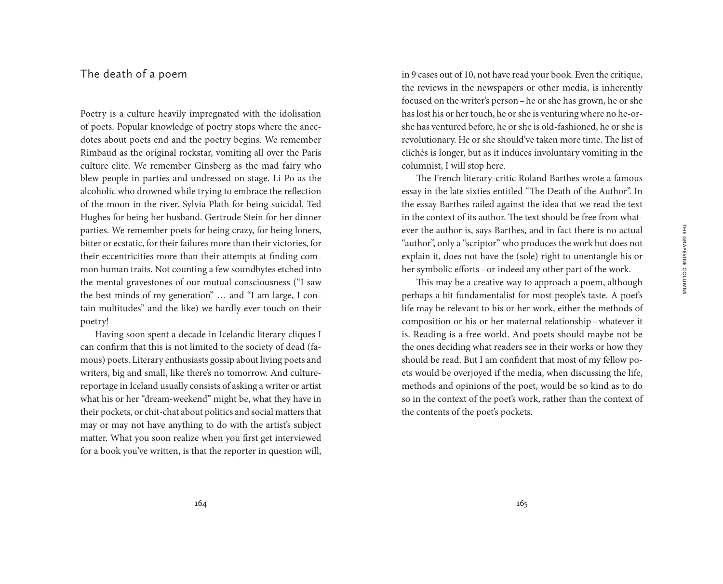#### The death of a poem

Poetry is a culture heavily impregnated with the idolisation of poets. Popular knowledge of poetry stops where the anecdotes about poets end and the poetry begins. We remember Rimbaud as the original rockstar, vomiting all over the Paris culture elite. We remember Ginsberg as the mad fairy who blew people in parties and undressed on stage. Li Po as the alcoholic who drowned while trying to embrace the reflection of the moon in the river. Sylvia Plath for being suicidal. Ted Hughes for being her husband. Gertrude Stein for her dinner parties. We remember poets for being crazy, for being loners, bitter or ecstatic, for their failures more than their victories, for their eccentricities more than their attempts at finding common human traits. Not counting a few soundbytes etched into the mental gravestones of our mutual consciousness ("I saw the best minds of my generation" … and "I am large, I contain multitudes" and the like) we hardly ever touch on their poetry!

Having soon spent a decade in Icelandic literary cliques I can confirm that this is not limited to the society of dead (famous) poets. Literary enthusiasts gossip about living poets and writers, big and small, like there's no tomorrow. And culturereportage in Iceland usually consists of asking a writer or artist what his or her "dream-weekend" might be, what they have in their pockets, or chit-chat about politics and social matters that may or may not have anything to do with the artist's subject matter. What you soon realize when you first get interviewed for a book you've written, is that the reporter in question will,

in 9 cases out of 10, not have read your book. Even the critique, the reviews in the newspapers or other media, is inherently focused on the writer's person–he or she has grown, he or she has lost his or her touch, he or she is venturing where no he-orshe has ventured before, he or she is old-fashioned, he or she is revolutionary. He or she should've taken more time. The list of clichés is longer, but as it induces involuntary vomiting in the columnist, I will stop here.

The French literary-critic Roland Barthes wrote a famous essay in the late sixties entitled "The Death of the Author". In the essay Barthes railed against the idea that we read the text in the context of its author. The text should be free from whatever the author is, says Barthes, and in fact there is no actual "author", only a "scriptor" who produces the work but does not explain it, does not have the (sole) right to unentangle his or her symbolic efforts–or indeed any other part of the work.

This may be a creative way to approach a poem, although perhaps a bit fundamentalist for most people's taste. A poet's life may be relevant to his or her work, either the methods of composition or his or her maternal relationship–whatever it is. Reading is a free world. And poets should maybe not be the ones deciding what readers see in their works or how they should be read. But I am confident that most of my fellow poets would be overjoyed if the media, when discussing the life, methods and opinions of the poet, would be so kind as to do so in the context of the poet's work, rather than the context of the contents of the poet's pockets.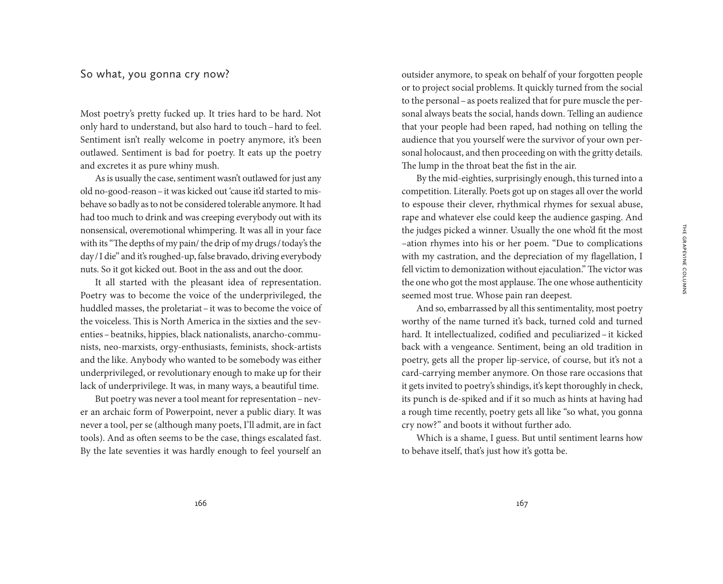### So what, you gonna cry now?

Most poetry's pretty fucked up. It tries hard to be hard. Not only hard to understand, but also hard to touch–hard to feel. Sentiment isn't really welcome in poetry anymore, it's been outlawed. Sentiment is bad for poetry. It eats up the poetry and excretes it as pure whiny mush.

As is usually the case, sentiment wasn't outlawed for just any old no-good-reason–it was kicked out 'cause it'd started to misbehave so badly as to not be considered tolerable anymore. It had had too much to drink and was creeping everybody out with its nonsensical, overemotional whimpering. It was all in your face with its "The depths of my pain/ the drip of my drugs/today's the day/I die" and it's roughed-up, false bravado, driving everybody nuts. So it got kicked out. Boot in the ass and out the door.

It all started with the pleasant idea of representation. Poetry was to become the voice of the underprivileged, the huddled masses, the proletariat–it was to become the voice of the voiceless. This is North America in the sixties and the seventies–beatniks, hippies, black nationalists, anarcho-communists, neo-marxists, orgy-enthusiasts, feminists, shock-artists and the like. Anybody who wanted to be somebody was either underprivileged, or revolutionary enough to make up for their lack of underprivilege. It was, in many ways, a beautiful time.

But poetry was never a tool meant for representation–never an archaic form of Powerpoint, never a public diary. It was never a tool, per se (although many poets, I'll admit, are in fact tools). And as often seems to be the case, things escalated fast. By the late seventies it was hardly enough to feel yourself an outsider anymore, to speak on behalf of your forgotten people or to project social problems. It quickly turned from the social to the personal–as poets realized that for pure muscle the personal always beats the social, hands down. Telling an audience that your people had been raped, had nothing on telling the audience that you yourself were the survivor of your own personal holocaust, and then proceeding on with the gritty details. The lump in the throat beat the fist in the air.

By the mid-eighties, surprisingly enough, this turned into a competition. Literally. Poets got up on stages all over the world to espouse their clever, rhythmical rhymes for sexual abuse, rape and whatever else could keep the audience gasping. And the judges picked a winner. Usually the one who'd fit the most –ation rhymes into his or her poem. "Due to complications with my castration, and the depreciation of my flagellation, I fell victim to demonization without ejaculation." The victor was the one who got the most applause. The one whose authenticity seemed most true. Whose pain ran deepest.

And so, embarrassed by all this sentimentality, most poetry worthy of the name turned it's back, turned cold and turned hard. It intellectualized, codified and peculiarized –it kicked back with a vengeance. Sentiment, being an old tradition in poetry, gets all the proper lip-service, of course, but it's not a card-carrying member anymore. On those rare occasions that it gets invited to poetry's shindigs, it's kept thoroughly in check, its punch is de-spiked and if it so much as hints at having had a rough time recently, poetry gets all like "so what, you gonna cry now?" and boots it without further ado.

Which is a shame, I guess. But until sentiment learns how to behave itself, that's just how it's gotta be.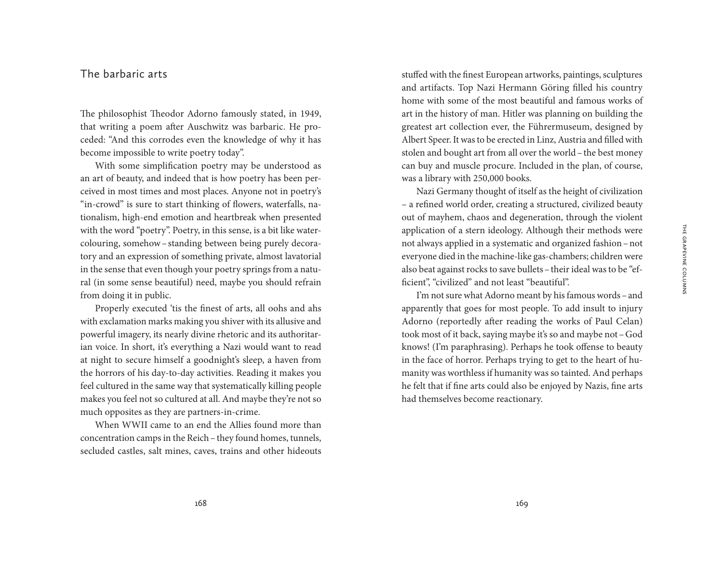### The barbaric arts

The philosophist Theodor Adorno famously stated, in 1949, that writing a poem after Auschwitz was barbaric. He proceded: "And this corrodes even the knowledge of why it has become impossible to write poetry today".

With some simplification poetry may be understood as an art of beauty, and indeed that is how poetry has been perceived in most times and most places. Anyone not in poetry's "in-crowd" is sure to start thinking of flowers, waterfalls, nationalism, high-end emotion and heartbreak when presented with the word "poetry". Poetry, in this sense, is a bit like watercolouring, somehow–standing between being purely decoratory and an expression of something private, almost lavatorial in the sense that even though your poetry springs from a natural (in some sense beautiful) need, maybe you should refrain from doing it in public.

Properly executed 'tis the finest of arts, all oohs and ahs with exclamation marks making you shiver with its allusive and powerful imagery, its nearly divine rhetoric and its authoritarian voice. In short, it's everything a Nazi would want to read at night to secure himself a goodnight's sleep, a haven from the horrors of his day-to-day activities. Reading it makes you feel cultured in the same way that systematically killing people makes you feel not so cultured at all. And maybe they're not so much opposites as they are partners-in-crime.

When WWII came to an end the Allies found more than concentration camps in the Reich – they found homes, tunnels, secluded castles, salt mines, caves, trains and other hideouts stuffed with the finest European artworks, paintings, sculptures and artifacts. Top Nazi Hermann Göring filled his country home with some of the most beautiful and famous works of art in the history of man. Hitler was planning on building the greatest art collection ever, the Führermuseum, designed by Albert Speer. It was to be erected in Linz, Austria and filled with stolen and bought art from all over the world–the best money can buy and muscle procure. Included in the plan, of course, was a library with 250,000 books.

Nazi Germany thought of itself as the height of civilization – a refined world order, creating a structured, civilized beauty out of mayhem, chaos and degeneration, through the violent application of a stern ideology. Although their methods were not always applied in a systematic and organized fashion–not everyone died in the machine-like gas-chambers; children were also beat against rocks to save bullets–their ideal was to be "efficient", "civilized" and not least "beautiful".

I'm not sure what Adorno meant by his famous words - and apparently that goes for most people. To add insult to injury Adorno (reportedly after reading the works of Paul Celan) took most of it back, saying maybe it's so and maybe not–God knows! (I'm paraphrasing). Perhaps he took offense to beauty in the face of horror. Perhaps trying to get to the heart of humanity was worthless if humanity was so tainted. And perhaps he felt that if fine arts could also be enjoyed by Nazis, fine arts had themselves become reactionary.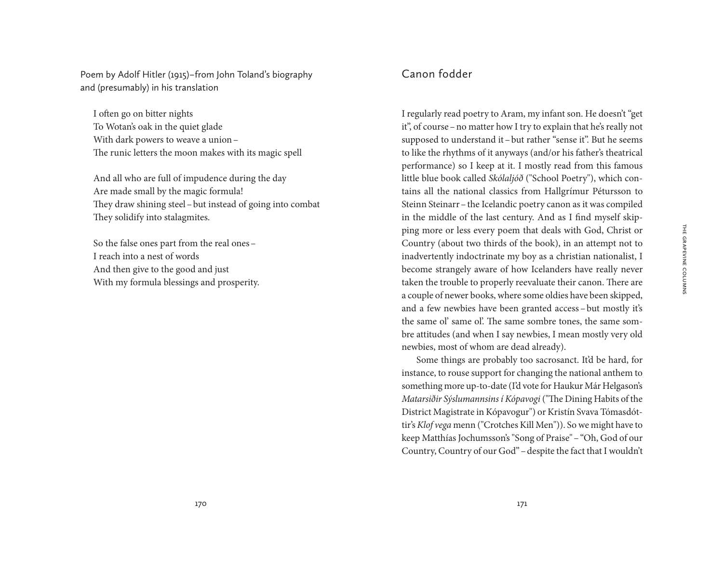Poem by Adolf Hitler (1915) – from John Toland's biography and (presumably) in his translation

I often go on bitter nights To Wotan's oak in the quiet glade With dark powers to weave a union– The runic letters the moon makes with its magic spell

And all who are full of impudence during the day Are made small by the magic formula! They draw shining steel–but instead of going into combat They solidify into stalagmites.

So the false ones part from the real ones– I reach into a nest of words And then give to the good and just With my formula blessings and prosperity.

## Canon fodder

I regularly read poetry to Aram, my infant son. He doesn't "get it", of course–no matter how I try to explain that he's really not supposed to understand it–but rather "sense it". But he seems to like the rhythms of it anyways (and/or his father's theatrical performance) so I keep at it. I mostly read from this famous little blue book called *Skólaljóð* ("School Poetry"), which contains all the national classics from Hallgrímur Pétursson to Steinn Steinarr–the Icelandic poetry canon as it was compiled in the middle of the last century. And as I find myself skipping more or less every poem that deals with God, Christ or Country (about two thirds of the book), in an attempt not to inadvertently indoctrinate my boy as a christian nationalist, I become strangely aware of how Icelanders have really never taken the trouble to properly reevaluate their canon. There are a couple of newer books, where some oldies have been skipped, and a few newbies have been granted access –but mostly it's the same ol' same ol'. The same sombre tones, the same sombre attitudes (and when I say newbies, I mean mostly very old newbies, most of whom are dead already).

Some things are probably too sacrosanct. It'd be hard, for instance, to rouse support for changing the national anthem to something more up-to-date (I'd vote for Haukur Már Helgason's *Matarsiðir Sýslumannsins í Kópavogi* ("The Dining Habits of the District Magistrate in Kópavogur") or Kristín Svava Tómasdóttir's *Klof vega* menn ("Crotches Kill Men")). So we might have to keep Matthías Jochumsson's "Song of Praise"–"Oh, God of our Country, Country of our God"–despite the fact that I wouldn't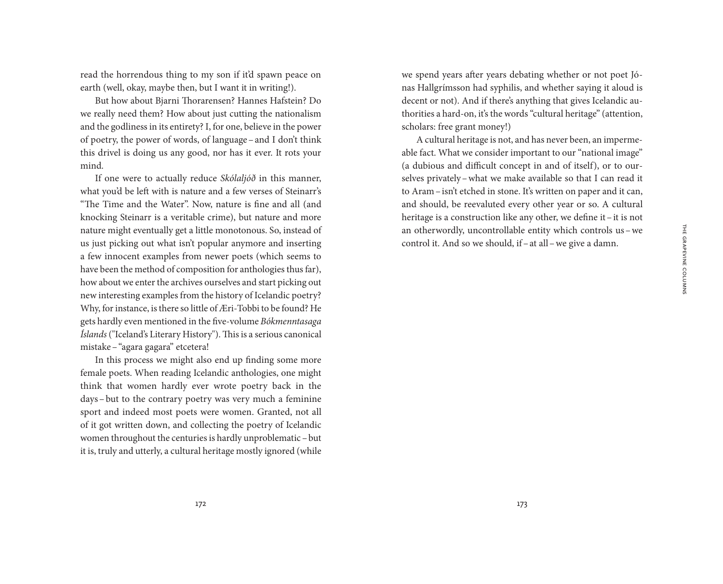read the horrendous thing to my son if it'd spawn peace on earth (well, okay, maybe then, but I want it in writing!).

But how about Bjarni Thorarensen? Hannes Hafstein? Do we really need them? How about just cutting the nationalism and the godliness in its entirety? I, for one, believe in the power of poetry, the power of words, of language–and I don't think this drivel is doing us any good, nor has it ever. It rots your mind.

If one were to actually reduce *Skólaljóð* in this manner, what you'd be left with is nature and a few verses of Steinarr's "The Time and the Water". Now, nature is fine and all (and knocking Steinarr is a veritable crime), but nature and more nature might eventually get a little monotonous. So, instead of us just picking out what isn't popular anymore and inserting a few innocent examples from newer poets (which seems to have been the method of composition for anthologies thus far), how about we enter the archives ourselves and start picking out new interesting examples from the history of Icelandic poetry? Why, for instance, is there so little of Æri-Tobbi to be found? He gets hardly even mentioned in the five-volume *Bókmenntasaga Íslands* ("Iceland's Literary History"). This is a serious canonical mistake–"agara gagara" etcetera!

In this process we might also end up finding some more female poets. When reading Icelandic anthologies, one might think that women hardly ever wrote poetry back in the days–but to the contrary poetry was very much a feminine sport and indeed most poets were women. Granted, not all of it got written down, and collecting the poetry of Icelandic women throughout the centuries is hardly unproblematic –but it is, truly and utterly, a cultural heritage mostly ignored (while we spend years after years debating whether or not poet Jónas Hallgrímsson had syphilis, and whether saying it aloud is decent or not). And if there's anything that gives Icelandic authorities a hard-on, it's the words "cultural heritage" (attention, scholars: free grant money!)

A cultural heritage is not, and has never been, an impermeable fact. What we consider important to our "national image" (a dubious and difficult concept in and of itself), or to ourselves privately–what we make available so that I can read it to Aram–isn't etched in stone. It's written on paper and it can, and should, be reevaluted every other year or so. A cultural heritage is a construction like any other, we define it–it is not an otherwordly, uncontrollable entity which controls us–we control it. And so we should, if–at all–we give a damn.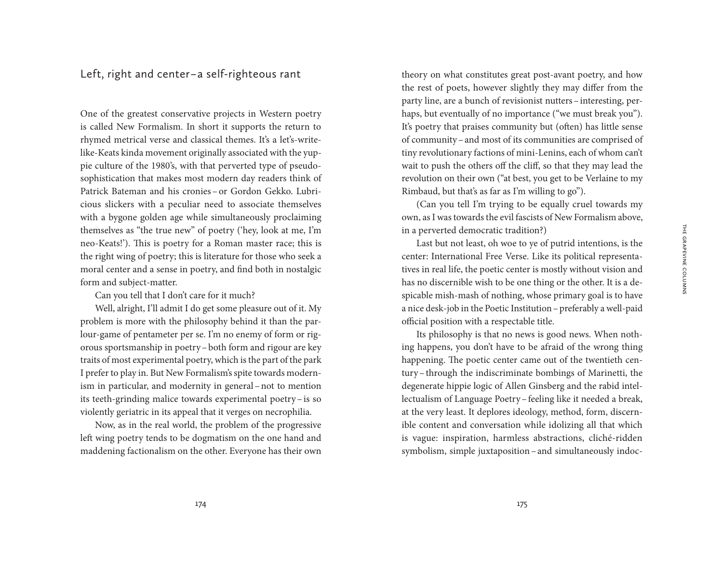Left, right and center – a self-righteous rant

One of the greatest conservative projects in Western poetry is called New Formalism. In short it supports the return to rhymed metrical verse and classical themes. It's a let's-writelike-Keats kinda movement originally associated with the yuppie culture of the 1980's, with that perverted type of pseudosophistication that makes most modern day readers think of Patrick Bateman and his cronies – or Gordon Gekko. Lubricious slickers with a peculiar need to associate themselves with a bygone golden age while simultaneously proclaiming themselves as "the true new" of poetry ('hey, look at me, I'm neo-Keats!'). This is poetry for a Roman master race; this is the right wing of poetry; this is literature for those who seek a moral center and a sense in poetry, and find both in nostalgic form and subject-matter.

Can you tell that I don't care for it much?

Well, alright, I'll admit I do get some pleasure out of it. My problem is more with the philosophy behind it than the parlour-game of pentameter per se. I'm no enemy of form or rigorous sportsmanship in poetry–both form and rigour are key traits of most experimental poetry, which is the part of the park I prefer to play in. But New Formalism's spite towards modernism in particular, and modernity in general–not to mention its teeth-grinding malice towards experimental poetry–is so violently geriatric in its appeal that it verges on necrophilia.

Now, as in the real world, the problem of the progressive left wing poetry tends to be dogmatism on the one hand and maddening factionalism on the other. Everyone has their own

theory on what constitutes great post-avant poetry, and how the rest of poets, however slightly they may differ from the party line, are a bunch of revisionist nutters–interesting, perhaps, but eventually of no importance ("we must break you"). It's poetry that praises community but (often) has little sense of community–and most of its communities are comprised of tiny revolutionary factions of mini-Lenins, each of whom can't wait to push the others off the cliff, so that they may lead the revolution on their own ("at best, you get to be Verlaine to my Rimbaud, but that's as far as I'm willing to go").

(Can you tell I'm trying to be equally cruel towards my own, as I was towards the evil fascists of New Formalism above, in a perverted democratic tradition?)

Last but not least, oh woe to ye of putrid intentions, is the center: International Free Verse. Like its political representatives in real life, the poetic center is mostly without vision and has no discernible wish to be one thing or the other. It is a despicable mish-mash of nothing, whose primary goal is to have a nice desk-job in the Poetic Institution–preferably a well-paid official position with a respectable title.

Its philosophy is that no news is good news. When nothing happens, you don't have to be afraid of the wrong thing happening. The poetic center came out of the twentieth century–through the indiscriminate bombings of Marinetti, the degenerate hippie logic of Allen Ginsberg and the rabid intellectualism of Language Poetry–feeling like it needed a break, at the very least. It deplores ideology, method, form, discernible content and conversation while idolizing all that which is vague: inspiration, harmless abstractions, cliché-ridden symbolism, simple juxtaposition–and simultaneously indoc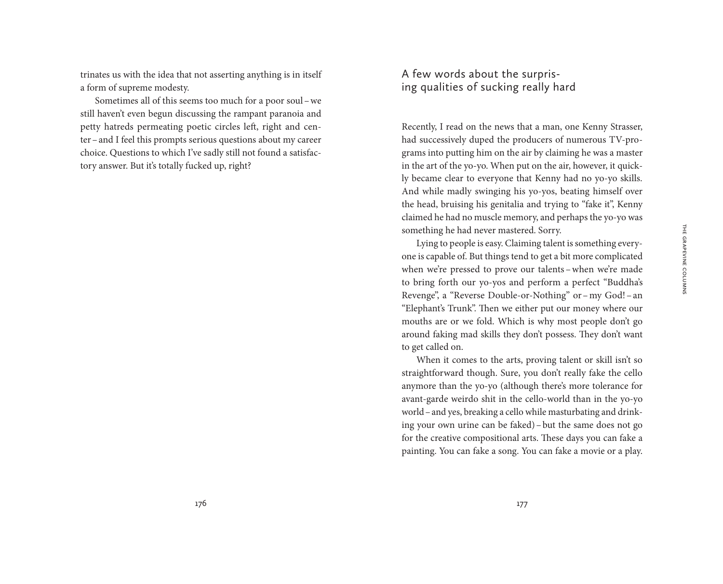trinates us with the idea that not asserting anything is in itself a form of supreme modesty.

Sometimes all of this seems too much for a poor soul–we still haven't even begun discussing the rampant paranoia and petty hatreds permeating poetic circles left, right and center–and I feel this prompts serious questions about my career choice. Questions to which I've sadly still not found a satisfactory answer. But it's totally fucked up, right?

# A few words about the surprising qualities of sucking really hard

Recently, I read on the news that a man, one Kenny Strasser, had successively duped the producers of numerous TV-programs into putting him on the air by claiming he was a master in the art of the yo-yo. When put on the air, however, it quickly became clear to everyone that Kenny had no yo-yo skills. And while madly swinging his yo-yos, beating himself over the head, bruising his genitalia and trying to "fake it", Kenny claimed he had no muscle memory, and perhaps the yo-yo was something he had never mastered. Sorry.

Lying to people is easy. Claiming talent is something everyone is capable of. But things tend to get a bit more complicated when we're pressed to prove our talents - when we're made to bring forth our yo-yos and perform a perfect "Buddha's Revenge", a "Reverse Double-or-Nothing" or–my God!– an "Elephant's Trunk". Then we either put our money where our mouths are or we fold. Which is why most people don't go around faking mad skills they don't possess. They don't want to get called on.

When it comes to the arts, proving talent or skill isn't so straightforward though. Sure, you don't really fake the cello anymore than the yo-yo (although there's more tolerance for avant-garde weirdo shit in the cello-world than in the yo-yo world–and yes, breaking a cello while masturbating and drinking your own urine can be faked)–but the same does not go for the creative compositional arts. These days you can fake a painting. You can fake a song. You can fake a movie or a play.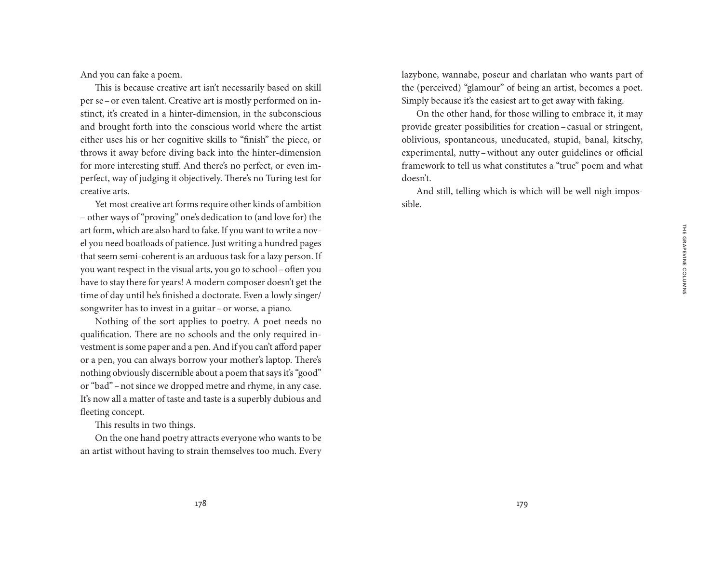And you can fake a poem.

This is because creative art isn't necessarily based on skill per se–or even talent. Creative art is mostly performed on instinct, it's created in a hinter-dimension, in the subconscious and brought forth into the conscious world where the artist either uses his or her cognitive skills to "finish" the piece, or throws it away before diving back into the hinter-dimension for more interesting stuff. And there's no perfect, or even imperfect, way of judging it objectively. There's no Turing test for creative arts.

Yet most creative art forms require other kinds of ambition – other ways of "proving" one's dedication to (and love for) the art form, which are also hard to fake. If you want to write a novel you need boatloads of patience. Just writing a hundred pages that seem semi-coherent is an arduous task for a lazy person. If you want respect in the visual arts, you go to school–often you have to stay there for years! A modern composer doesn't get the time of day until he's finished a doctorate. Even a lowly singer/ songwriter has to invest in a guitar–or worse, a piano.

Nothing of the sort applies to poetry. A poet needs no qualification. There are no schools and the only required investment is some paper and a pen. And if you can't afford paper or a pen, you can always borrow your mother's laptop. There's nothing obviously discernible about a poem that says it's "good" or "bad"–not since we dropped metre and rhyme, in any case. It's now all a matter of taste and taste is a superbly dubious and fleeting concept.

This results in two things.

On the one hand poetry attracts everyone who wants to be an artist without having to strain themselves too much. Every lazybone, wannabe, poseur and charlatan who wants part of the (perceived) "glamour" of being an artist, becomes a poet. Simply because it's the easiest art to get away with faking.

On the other hand, for those willing to embrace it, it may provide greater possibilities for creation–casual or stringent, oblivious, spontaneous, uneducated, stupid, banal, kitschy, experimental, nutty–without any outer guidelines or official framework to tell us what constitutes a "true" poem and what doesn't.

And still, telling which is which will be well nigh impossible.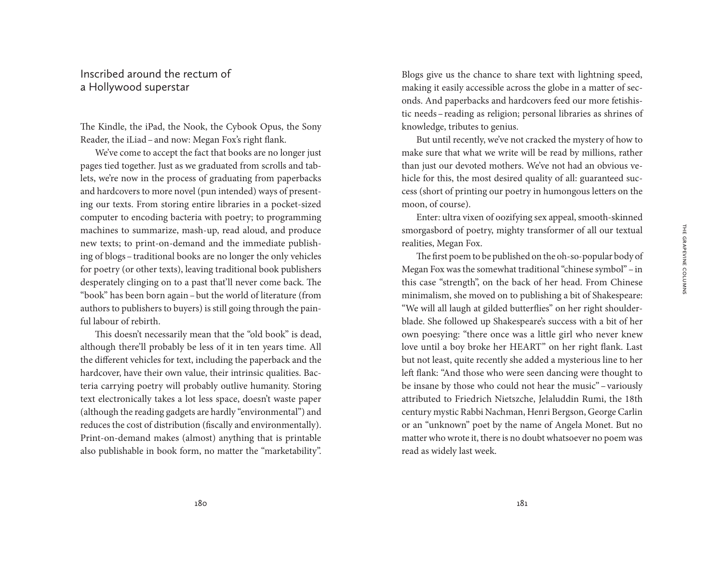## Inscribed around the rectum of a Hollywood superstar

The Kindle, the iPad, the Nook, the Cybook Opus, the Sony Reader, the iLiad–and now: Megan Fox's right flank.

We've come to accept the fact that books are no longer just pages tied together. Just as we graduated from scrolls and tablets, we're now in the process of graduating from paperbacks and hardcovers to more novel (pun intended) ways of presenting our texts. From storing entire libraries in a pocket-sized computer to encoding bacteria with poetry; to programming machines to summarize, mash-up, read aloud, and produce new texts; to print-on-demand and the immediate publishing of blogs–traditional books are no longer the only vehicles for poetry (or other texts), leaving traditional book publishers desperately clinging on to a past that'll never come back. The "book" has been born again–but the world of literature (from authors to publishers to buyers) is still going through the painful labour of rebirth.

This doesn't necessarily mean that the "old book" is dead, although there'll probably be less of it in ten years time. All the different vehicles for text, including the paperback and the hardcover, have their own value, their intrinsic qualities. Bacteria carrying poetry will probably outlive humanity. Storing text electronically takes a lot less space, doesn't waste paper (although the reading gadgets are hardly "environmental") and reduces the cost of distribution (fiscally and environmentally). Print-on-demand makes (almost) anything that is printable also publishable in book form, no matter the "marketability".

Blogs give us the chance to share text with lightning speed, making it easily accessible across the globe in a matter of seconds. And paperbacks and hardcovers feed our more fetishistic needs–reading as religion; personal libraries as shrines of knowledge, tributes to genius.

But until recently, we've not cracked the mystery of how to make sure that what we write will be read by millions, rather than just our devoted mothers. We've not had an obvious vehicle for this, the most desired quality of all: guaranteed success (short of printing our poetry in humongous letters on the moon, of course).

Enter: ultra vixen of oozifying sex appeal, smooth-skinned smorgasbord of poetry, mighty transformer of all our textual realities, Megan Fox.

The first poem to be published on the oh-so-popular body of Megan Fox was the somewhat traditional "chinese symbol" –in this case "strength", on the back of her head. From Chinese minimalism, she moved on to publishing a bit of Shakespeare: "We will all laugh at gilded butterflies" on her right shoulderblade. She followed up Shakespeare's success with a bit of her own poesying: "there once was a little girl who never knew love until a boy broke her HEART" on her right flank. Last but not least, quite recently she added a mysterious line to her left flank: "And those who were seen dancing were thought to be insane by those who could not hear the music"–variously attributed to Friedrich Nietszche, Jelaluddin Rumi, the 18th century mystic Rabbi Nachman, Henri Bergson, George Carlin or an "unknown" poet by the name of Angela Monet. But no matter who wrote it, there is no doubt whatsoever no poem was read as widely last week.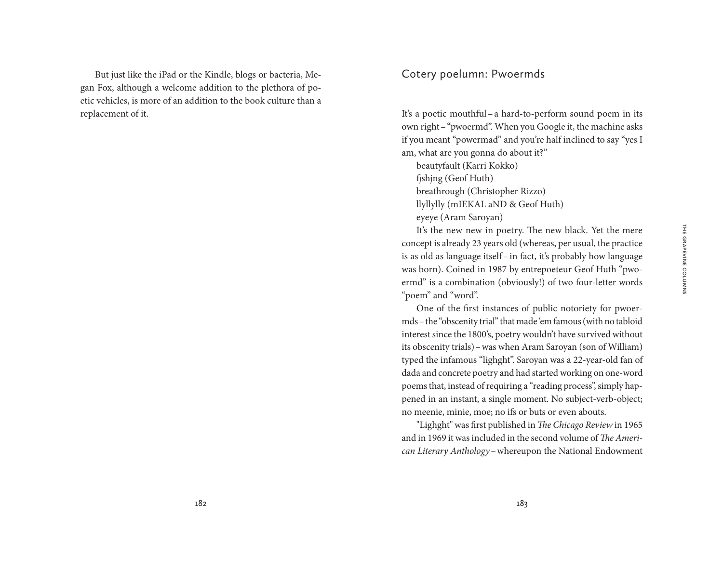But just like the iPad or the Kindle, blogs or bacteria, Megan Fox, although a welcome addition to the plethora of poetic vehicles, is more of an addition to the book culture than a replacement of it.

## Cotery poelumn: Pwoermds

It's a poetic mouthful–a hard-to-perform sound poem in its own right–"pwoermd". When you Google it, the machine asks if you meant "powermad" and you're half inclined to say "yes I am, what are you gonna do about it?"

beautyfault (Karri Kokko) fjshjng (Geof Huth) breathrough (Christopher Rizzo) llyllylly (mIEKAL aND & Geof Huth) eyeye (Aram Saroyan)

It's the new new in poetry. The new black. Yet the mere concept is already 23 years old (whereas, per usual, the practice is as old as language itself–in fact, it's probably how language was born). Coined in 1987 by entrepoeteur Geof Huth "pwoermd" is a combination (obviously!) of two four-letter words "poem" and "word".

One of the first instances of public notoriety for pwoermds–the "obscenity trial" that made 'em famous (with no tabloid interest since the 1800's, poetry wouldn't have survived without its obscenity trials)–was when Aram Saroyan (son of William) typed the infamous "lighght". Saroyan was a 22-year-old fan of dada and concrete poetry and had started working on one-word poems that, instead of requiring a "reading process", simply happened in an instant, a single moment. No subject-verb-object; no meenie, minie, moe; no ifs or buts or even abouts.

"Lighght" was first published in *The Chicago Review* in 1965 and in 1969 it was included in the second volume of *The American Literary Anthology*–whereupon the National Endowment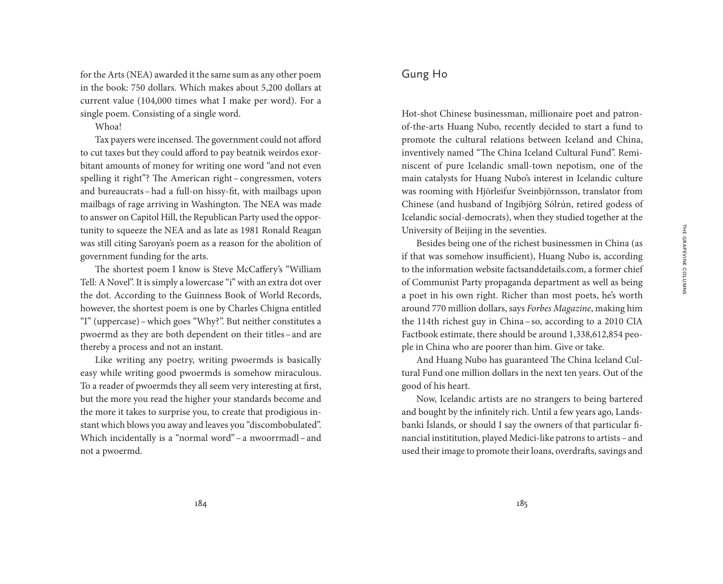for the Arts (NEA) awarded it the same sum as any other poem in the book: 750 dollars. Which makes about 5,200 dollars at current value (104,000 times what I make per word). For a single poem. Consisting of a single word.

Whoa!

Tax payers were incensed. The government could not afford to cut taxes but they could afford to pay beatnik weirdos exorbitant amounts of money for writing one word "and not even spelling it right"? The American right-congressmen, voters and bureaucrats–had a full-on hissy-fit, with mailbags upon mailbags of rage arriving in Washington. The NEA was made to answer on Capitol Hill, the Republican Party used the opportunity to squeeze the NEA and as late as 1981 Ronald Reagan was still citing Saroyan's poem as a reason for the abolition of government funding for the arts.

The shortest poem I know is Steve McCaffery's "William Tell: A Novel". It is simply a lowercase "i" with an extra dot over the dot. According to the Guinness Book of World Records, however, the shortest poem is one by Charles Chigna entitled "I" (uppercase)–which goes "Why?". But neither constitutes a pwoermd as they are both dependent on their titles–and are thereby a process and not an instant.

Like writing any poetry, writing pwoermds is basically easy while writing good pwoermds is somehow miraculous. To a reader of pwoermds they all seem very interesting at first, but the more you read the higher your standards become and the more it takes to surprise you, to create that prodigious instant which blows you away and leaves you "discombobulated". Which incidentally is a "normal word" – a nwoorrmadl – and not a pwoermd.

## Gung Ho

Hot-shot Chinese businessman, millionaire poet and patronof-the-arts Huang Nubo, recently decided to start a fund to promote the cultural relations between Iceland and China, inventively named "The China Iceland Cultural Fund". Reminiscent of pure Icelandic small-town nepotism, one of the main catalysts for Huang Nubo's interest in Icelandic culture was rooming with Hjörleifur Sveinbjörnsson, translator from Chinese (and husband of Ingibjörg Sólrún, retired godess of Icelandic social-democrats), when they studied together at the University of Beijing in the seventies.

Besides being one of the richest businessmen in China (as if that was somehow insufficient), Huang Nubo is, according to the information website factsanddetails.com, a former chief of Communist Party propaganda department as well as being a poet in his own right. Richer than most poets, he's worth around 770 million dollars, says *Forbes Magazine*, making him the 114th richest guy in China–so, according to a 2010 CIA Factbook estimate, there should be around 1,338,612,854 people in China who are poorer than him. Give or take.

And Huang Nubo has guaranteed The China Iceland Cultural Fund one million dollars in the next ten years. Out of the good of his heart.

Now, Icelandic artists are no strangers to being bartered and bought by the infinitely rich. Until a few years ago, Landsbanki Íslands, or should I say the owners of that particular financial instititution, played Medici-like patrons to artists –and used their image to promote their loans, overdrafts, savings and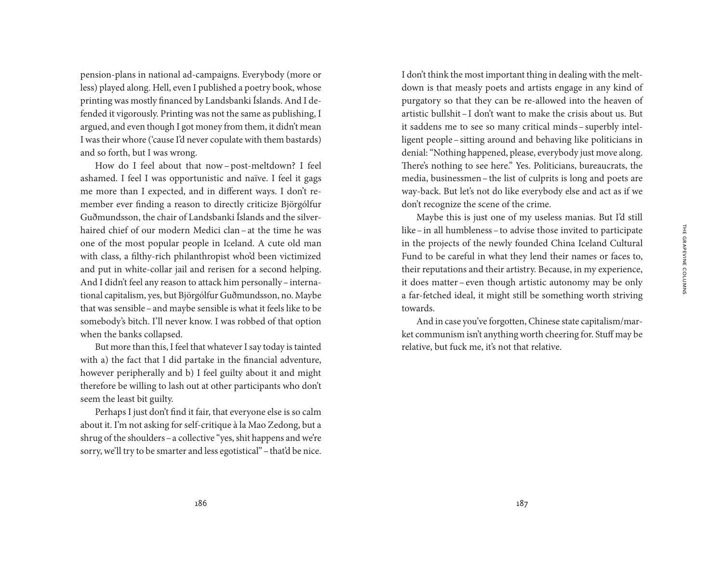pension-plans in national ad-campaigns. Everybody (more or less) played along. Hell, even I published a poetry book, whose printing was mostly financed by Landsbanki Íslands. And I defended it vigorously. Printing was not the same as publishing, I argued, and even though I got money from them, it didn't mean I was their whore ('cause I'd never copulate with them bastards) and so forth, but I was wrong.

How do I feel about that now– post-meltdown? I feel ashamed. I feel I was opportunistic and naïve. I feel it gags me more than I expected, and in different ways. I don't remember ever finding a reason to directly criticize Björgólfur Guðmundsson, the chair of Landsbanki Íslands and the silverhaired chief of our modern Medici clan–at the time he was one of the most popular people in Iceland. A cute old man with class, a filthy-rich philanthropist who'd been victimized and put in white-collar jail and rerisen for a second helping. And I didn't feel any reason to attack him personally–international capitalism, yes, but Björgólfur Guðmundsson, no. Maybe that was sensible–and maybe sensible is what it feels like to be somebody's bitch. I'll never know. I was robbed of that option when the banks collapsed.

But more than this, I feel that whatever I say today is tainted with a) the fact that I did partake in the financial adventure, however peripherally and b) I feel guilty about it and might therefore be willing to lash out at other participants who don't seem the least bit guilty.

Perhaps I just don't find it fair, that everyone else is so calm about it. I'm not asking for self-critique à la Mao Zedong, but a shrug of the shoulders–a collective "yes, shit happens and we're sorry, we'll try to be smarter and less egotistical" – that'd be nice.

I don't think the most important thing in dealing with the meltdown is that measly poets and artists engage in any kind of purgatory so that they can be re-allowed into the heaven of artistic bullshit–I don't want to make the crisis about us. But it saddens me to see so many critical minds–superbly intelligent people–sitting around and behaving like politicians in denial: "Nothing happened, please, everybody just move along. There's nothing to see here." Yes. Politicians, bureaucrats, the media, businessmen–the list of culprits is long and poets are way-back. But let's not do like everybody else and act as if we don't recognize the scene of the crime.

Maybe this is just one of my useless manias. But I'd still like–in all humbleness–to advise those invited to participate in the projects of the newly founded China Iceland Cultural Fund to be careful in what they lend their names or faces to, their reputations and their artistry. Because, in my experience, it does matter –even though artistic autonomy may be only a far-fetched ideal, it might still be something worth striving towards.

And in case you've forgotten, Chinese state capitalism/market communism isn't anything worth cheering for. Stuff may be relative, but fuck me, it's not that relative.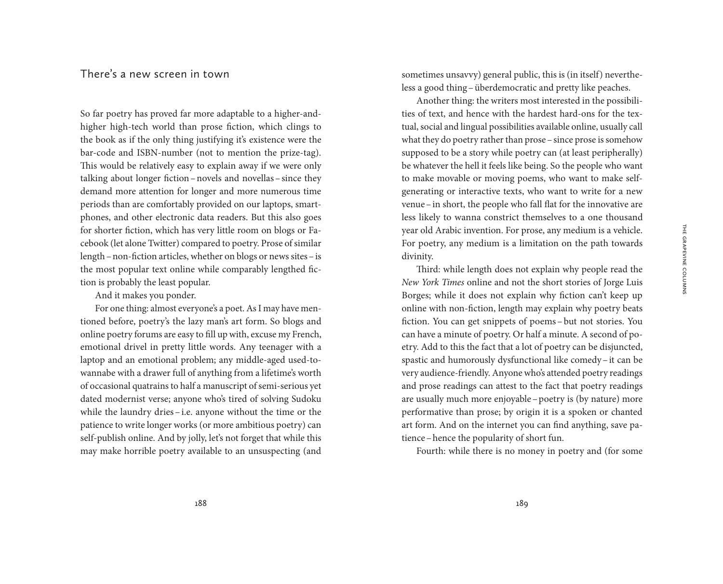## There's a new screen in town

So far poetry has proved far more adaptable to a higher-andhigher high-tech world than prose fiction, which clings to the book as if the only thing justifying it's existence were the bar-code and ISBN-number (not to mention the prize-tag). This would be relatively easy to explain away if we were only talking about longer fiction–novels and novellas–since they demand more attention for longer and more numerous time periods than are comfortably provided on our laptops, smartphones, and other electronic data readers. But this also goes for shorter fiction, which has very little room on blogs or Facebook (let alone Twitter) compared to poetry. Prose of similar length–non-fiction articles, whether on blogs or news sites–is the most popular text online while comparably lengthed fiction is probably the least popular.

And it makes you ponder.

For one thing: almost everyone's a poet. As I may have mentioned before, poetry's the lazy man's art form. So blogs and online poetry forums are easy to fill up with, excuse my French, emotional drivel in pretty little words. Any teenager with a laptop and an emotional problem; any middle-aged used-towannabe with a drawer full of anything from a lifetime's worth of occasional quatrains to half a manuscript of semi-serious yet dated modernist verse; anyone who's tired of solving Sudoku while the laundry dries-i.e. anyone without the time or the patience to write longer works (or more ambitious poetry) can self-publish online. And by jolly, let's not forget that while this may make horrible poetry available to an unsuspecting (and

sometimes unsavvy) general public, this is (in itself) nevertheless a good thing–überdemocratic and pretty like peaches.

Another thing: the writers most interested in the possibilities of text, and hence with the hardest hard-ons for the textual, social and lingual possibilities available online, usually call what they do poetry rather than prose–since prose is somehow supposed to be a story while poetry can (at least peripherally) be whatever the hell it feels like being. So the people who want to make movable or moving poems, who want to make selfgenerating or interactive texts, who want to write for a new venue–in short, the people who fall flat for the innovative are less likely to wanna constrict themselves to a one thousand year old Arabic invention. For prose, any medium is a vehicle. For poetry, any medium is a limitation on the path towards divinity.

Third: while length does not explain why people read the *New York Times* online and not the short stories of Jorge Luis Borges; while it does not explain why fiction can't keep up online with non-fiction, length may explain why poetry beats fiction. You can get snippets of poems –but not stories. You can have a minute of poetry. Or half a minute. A second of poetry. Add to this the fact that a lot of poetry can be disjuncted, spastic and humorously dysfunctional like comedy–it can be very audience-friendly. Anyone who's attended poetry readings and prose readings can attest to the fact that poetry readings are usually much more enjoyable–poetry is (by nature) more performative than prose; by origin it is a spoken or chanted art form. And on the internet you can find anything, save patience–hence the popularity of short fun.

Fourth: while there is no money in poetry and (for some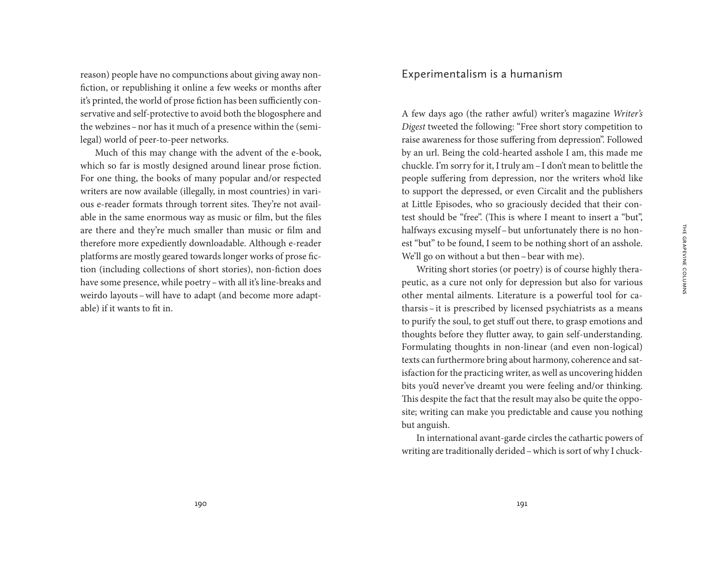reason) people have no compunctions about giving away nonfiction, or republishing it online a few weeks or months after it's printed, the world of prose fiction has been sufficiently conservative and self-protective to avoid both the blogosphere and the webzines–nor has it much of a presence within the (semilegal) world of peer-to-peer networks.

Much of this may change with the advent of the e-book, which so far is mostly designed around linear prose fiction. For one thing, the books of many popular and/or respected writers are now available (illegally, in most countries) in various e-reader formats through torrent sites. They're not available in the same enormous way as music or film, but the files are there and they're much smaller than music or film and therefore more expediently downloadable. Although e-reader platforms are mostly geared towards longer works of prose fiction (including collections of short stories), non-fiction does have some presence, while poetry–with all it's line-breaks and weirdo layouts–will have to adapt (and become more adaptable) if it wants to fit in.

## Experimentalism is a humanism

A few days ago (the rather awful) writer's magazine *Writer's Digest* tweeted the following: "Free short story competition to raise awareness for those suffering from depression". Followed by an url. Being the cold-hearted asshole I am, this made me chuckle. I'm sorry for it, I truly am–I don't mean to belittle the people suffering from depression, nor the writers who'd like to support the depressed, or even Circalit and the publishers at Little Episodes, who so graciously decided that their contest should be "free". (This is where I meant to insert a "but", halfways excusing myself–but unfortunately there is no honest "but" to be found, I seem to be nothing short of an asshole. We'll go on without a but then–bear with me).

Writing short stories (or poetry) is of course highly therapeutic, as a cure not only for depression but also for various other mental ailments. Literature is a powerful tool for catharsis–it is prescribed by licensed psychiatrists as a means to purify the soul, to get stuff out there, to grasp emotions and thoughts before they flutter away, to gain self-understanding. Formulating thoughts in non-linear (and even non-logical) texts can furthermore bring about harmony, coherence and satisfaction for the practicing writer, as well as uncovering hidden bits you'd never've dreamt you were feeling and/or thinking. This despite the fact that the result may also be quite the opposite; writing can make you predictable and cause you nothing but anguish.

In international avant-garde circles the cathartic powers of writing are traditionally derided–which is sort of why I chuck-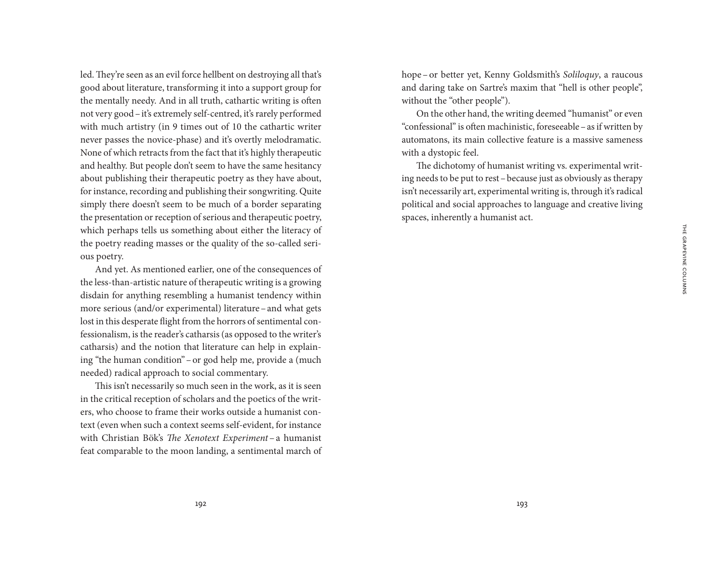**THE GRAPEVINE COLUMNS** The Grapevine Columns

led.They're seen as an evil force hellbent on destroying all that's good about literature, transforming it into a support group for the mentally needy. And in all truth, cathartic writing is often not very good–it's extremely self-centred, it's rarely performed with much artistry (in 9 times out of 10 the cathartic writer never passes the novice-phase) and it's overtly melodramatic. None of which retracts from the fact that it's highly therapeutic and healthy. But people don't seem to have the same hesitancy about publishing their therapeutic poetry as they have about, for instance, recording and publishing their songwriting. Quite simply there doesn't seem to be much of a border separating the presentation or reception of serious and therapeutic poetry, which perhaps tells us something about either the literacy of the poetry reading masses or the quality of the so-called serious poetry.

And yet. As mentioned earlier, one of the consequences of the less-than-artistic nature of therapeutic writing is a growing disdain for anything resembling a humanist tendency within more serious (and/or experimental) literature–and what gets lost in this desperate flight from the horrors of sentimental confessionalism, is the reader's catharsis (as opposed to the writer's catharsis) and the notion that literature can help in explaining "the human condition"–or god help me, provide a (much needed) radical approach to social commentary.

This isn't necessarily so much seen in the work, as it is seen in the critical reception of scholars and the poetics of the writers, who choose to frame their works outside a humanist context (even when such a context seems self-evident, for instance with Christian Bök's *The Xenotext Experiment* – a humanist feat comparable to the moon landing, a sentimental march of hope –or better yet, Kenny Goldsmith's *Soliloquy*, a raucous and daring take on Sartre's maxim that "hell is other people", without the "other people").

On the other hand, the writing deemed "humanist" or even "confessional" is often machinistic, foreseeable–as if written by automatons, its main collective feature is a massive sameness with a dystopic feel.

The dichotomy of humanist writing vs. experimental writing needs to be put to rest–because just as obviously as therapy isn't necessarily art, experimental writing is, through it's radical political and social approaches to language and creative living spaces, inherently a humanist act.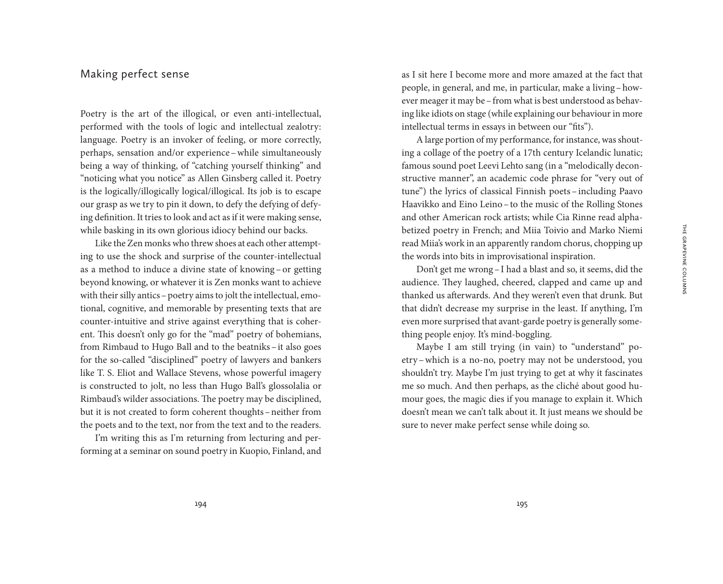### Making perfect sense

Poetry is the art of the illogical, or even anti-intellectual, performed with the tools of logic and intellectual zealotry: language. Poetry is an invoker of feeling, or more correctly, perhaps, sensation and/or experience–while simultaneously being a way of thinking, of "catching yourself thinking" and "noticing what you notice" as Allen Ginsberg called it. Poetry is the logically/illogically logical/illogical. Its job is to escape our grasp as we try to pin it down, to defy the defying of defying definition. It tries to look and act as if it were making sense, while basking in its own glorious idiocy behind our backs.

Like the Zen monks who threw shoes at each other attempting to use the shock and surprise of the counter-intellectual as a method to induce a divine state of knowing - or getting beyond knowing, or whatever it is Zen monks want to achieve with their silly antics – poetry aims to jolt the intellectual, emotional, cognitive, and memorable by presenting texts that are counter-intuitive and strive against everything that is coherent. This doesn't only go for the "mad" poetry of bohemians, from Rimbaud to Hugo Ball and to the beatniks–it also goes for the so-called "disciplined" poetry of lawyers and bankers like T. S. Eliot and Wallace Stevens, whose powerful imagery is constructed to jolt, no less than Hugo Ball's glossolalia or Rimbaud's wilder associations. The poetry may be disciplined, but it is not created to form coherent thoughts–neither from the poets and to the text, nor from the text and to the readers.

I'm writing this as I'm returning from lecturing and performing at a seminar on sound poetry in Kuopio, Finland, and

as I sit here I become more and more amazed at the fact that people, in general, and me, in particular, make a living–however meager it may be–from what is best understood as behaving like idiots on stage (while explaining our behaviour in more intellectual terms in essays in between our "fits").

A large portion of my performance, for instance, was shouting a collage of the poetry of a 17th century Icelandic lunatic; famous sound poet Leevi Lehto sang (in a "melodically deconstructive manner", an academic code phrase for "very out of tune") the lyrics of classical Finnish poets – including Paavo Haavikko and Eino Leino–to the music of the Rolling Stones and other American rock artists; while Cia Rinne read alphabetized poetry in French; and Miia Toivio and Marko Niemi read Miia's work in an apparently random chorus, chopping up the words into bits in improvisational inspiration.

Don't get me wrong–I had a blast and so, it seems, did the audience. They laughed, cheered, clapped and came up and thanked us afterwards. And they weren't even that drunk. But that didn't decrease my surprise in the least. If anything, I'm even more surprised that avant-garde poetry is generally something people enjoy. It's mind-boggling.

Maybe I am still trying (in vain) to "understand" poetry –which is a no-no, poetry may not be understood, you shouldn't try. Maybe I'm just trying to get at why it fascinates me so much. And then perhaps, as the cliché about good humour goes, the magic dies if you manage to explain it. Which doesn't mean we can't talk about it. It just means we should be sure to never make perfect sense while doing so.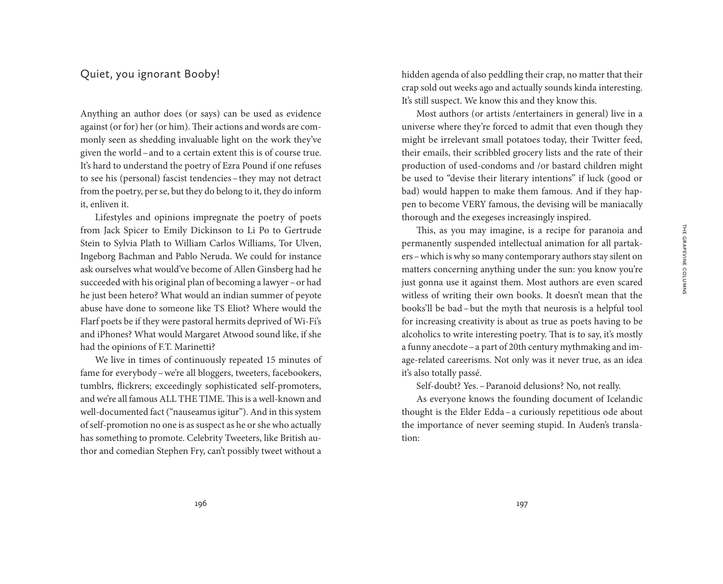## Quiet, you ignorant Booby!

Anything an author does (or says) can be used as evidence against (or for) her (or him). Their actions and words are commonly seen as shedding invaluable light on the work they've given the world–and to a certain extent this is of course true. It's hard to understand the poetry of Ezra Pound if one refuses to see his (personal) fascist tendencies–they may not detract from the poetry, per se, but they do belong to it, they do inform it, enliven it.

Lifestyles and opinions impregnate the poetry of poets from Jack Spicer to Emily Dickinson to Li Po to Gertrude Stein to Sylvia Plath to William Carlos Williams, Tor Ulven, Ingeborg Bachman and Pablo Neruda. We could for instance ask ourselves what would've become of Allen Ginsberg had he succeeded with his original plan of becoming a lawyer–or had he just been hetero? What would an indian summer of peyote abuse have done to someone like TS Eliot? Where would the Flarf poets be if they were pastoral hermits deprived of Wi-Fi's and iPhones? What would Margaret Atwood sound like, if she had the opinions of F.T. Marinetti?

We live in times of continuously repeated 15 minutes of fame for everybody–we're all bloggers, tweeters, facebookers, tumblrs, flickrers; exceedingly sophisticated self-promoters, and we're all famous ALL THE TIME. This is a well-known and well-documented fact ("nauseamus igitur"). And in this system of self-promotion no one is as suspect as he or she who actually has something to promote. Celebrity Tweeters, like British author and comedian Stephen Fry, can't possibly tweet without a hidden agenda of also peddling their crap, no matter that their crap sold out weeks ago and actually sounds kinda interesting. It's still suspect. We know this and they know this.

Most authors (or artists /entertainers in general) live in a universe where they're forced to admit that even though they might be irrelevant small potatoes today, their Twitter feed, their emails, their scribbled grocery lists and the rate of their production of used-condoms and /or bastard children might be used to "devise their literary intentions" if luck (good or bad) would happen to make them famous. And if they happen to become VERY famous, the devising will be maniacally thorough and the exegeses increasingly inspired.

This, as you may imagine, is a recipe for paranoia and permanently suspended intellectual animation for all partakers–which is why so many contemporary authors stay silent on matters concerning anything under the sun: you know you're just gonna use it against them. Most authors are even scared witless of writing their own books. It doesn't mean that the books'll be bad–but the myth that neurosis is a helpful tool for increasing creativity is about as true as poets having to be alcoholics to write interesting poetry. That is to say, it's mostly a funny anecdote–a part of 20th century mythmaking and image-related careerisms. Not only was it never true, as an idea it's also totally passé.

Self-doubt? Yes.–Paranoid delusions? No, not really.

As everyone knows the founding document of Icelandic thought is the Elder Edda–a curiously repetitious ode about the importance of never seeming stupid. In Auden's translation: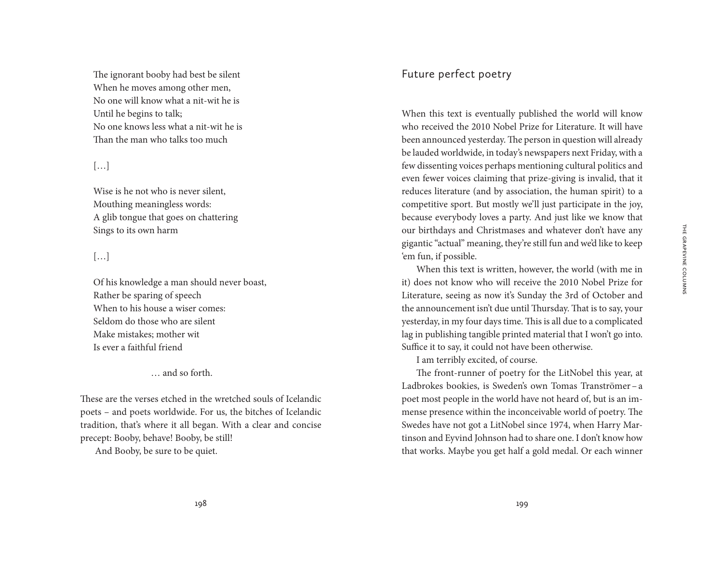The ignorant booby had best be silent When he moves among other men, No one will know what a nit-wit he is Until he begins to talk; No one knows less what a nit-wit he is Than the man who talks too much

#### […]

Wise is he not who is never silent, Mouthing meaningless words: A glib tongue that goes on chattering Sings to its own harm

## […]

Of his knowledge a man should never boast, Rather be sparing of speech When to his house a wiser comes: Seldom do those who are silent Make mistakes; mother wit Is ever a faithful friend

… and so forth.

These are the verses etched in the wretched souls of Icelandic poets – and poets worldwide. For us, the bitches of Icelandic tradition, that's where it all began. With a clear and concise precept: Booby, behave! Booby, be still!

And Booby, be sure to be quiet.

## Future perfect poetry

When this text is eventually published the world will know who received the 2010 Nobel Prize for Literature. It will have been announced yesterday. The person in question will already be lauded worldwide, in today's newspapers next Friday, with a few dissenting voices perhaps mentioning cultural politics and even fewer voices claiming that prize-giving is invalid, that it reduces literature (and by association, the human spirit) to a competitive sport. But mostly we'll just participate in the joy, because everybody loves a party. And just like we know that our birthdays and Christmases and whatever don't have any gigantic "actual" meaning, they're still fun and we'd like to keep 'em fun, if possible.

When this text is written, however, the world (with me in it) does not know who will receive the 2010 Nobel Prize for Literature, seeing as now it's Sunday the 3rd of October and the announcement isn't due until Thursday. That is to say, your yesterday, in my four days time. This is all due to a complicated lag in publishing tangible printed material that I won't go into. Suffice it to say, it could not have been otherwise.

I am terribly excited, of course.

The front-runner of poetry for the LitNobel this year, at Ladbrokes bookies, is Sweden's own Tomas Tranströmer – a poet most people in the world have not heard of, but is an immense presence within the inconceivable world of poetry. The Swedes have not got a LitNobel since 1974, when Harry Martinson and Eyvind Johnson had to share one. I don't know how that works. Maybe you get half a gold medal. Or each winner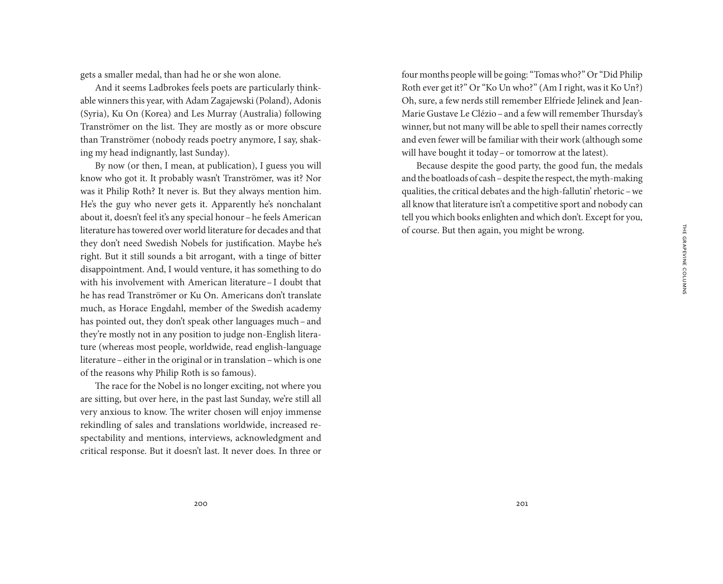gets a smaller medal, than had he or she won alone.

And it seems Ladbrokes feels poets are particularly thinkable winners this year, with Adam Zagajewski (Poland), Adonis (Syria), Ku On (Korea) and Les Murray (Australia) following Tranströmer on the list. They are mostly as or more obscure than Tranströmer (nobody reads poetry anymore, I say, shaking my head indignantly, last Sunday).

By now (or then, I mean, at publication), I guess you will know who got it. It probably wasn't Tranströmer, was it? Nor was it Philip Roth? It never is. But they always mention him. He's the guy who never gets it. Apparently he's nonchalant about it, doesn't feel it's any special honour–he feels American literature has towered over world literature for decades and that they don't need Swedish Nobels for justification. Maybe he's right. But it still sounds a bit arrogant, with a tinge of bitter disappointment. And, I would venture, it has something to do with his involvement with American literature–I doubt that he has read Tranströmer or Ku On. Americans don't translate much, as Horace Engdahl, member of the Swedish academy has pointed out, they don't speak other languages much–and they're mostly not in any position to judge non-English literature (whereas most people, worldwide, read english-language literature–either in the original or in translation–which is one of the reasons why Philip Roth is so famous).

The race for the Nobel is no longer exciting, not where you are sitting, but over here, in the past last Sunday, we're still all very anxious to know. The writer chosen will enjoy immense rekindling of sales and translations worldwide, increased respectability and mentions, interviews, acknowledgment and critical response. But it doesn't last. It never does. In three or

four months people will be going: "Tomas who?" Or "Did Philip Roth ever get it?" Or "Ko Un who?" (Am I right, was it Ko Un?) Oh, sure, a few nerds still remember Elfriede Jelinek and Jean-Marie Gustave Le Clézio–and a few will remember Thursday's winner, but not many will be able to spell their names correctly and even fewer will be familiar with their work (although some will have bought it today–or tomorrow at the latest).

Because despite the good party, the good fun, the medals and the boatloads of cash–despite the respect, the myth-making qualities, the critical debates and the high-fallutin' rhetoric –we all know that literature isn't a competitive sport and nobody can tell you which books enlighten and which don't. Except for you, of course. But then again, you might be wrong.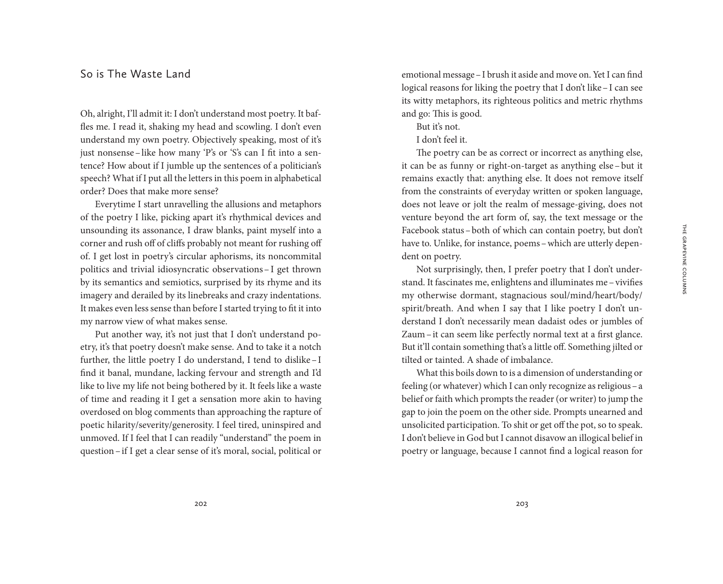#### So is The Waste Land

Oh, alright, I'll admit it: I don't understand most poetry. It baffles me. I read it, shaking my head and scowling. I don't even understand my own poetry. Objectively speaking, most of it's just nonsense–like how many 'P's or 'S's can I fit into a sentence? How about if I jumble up the sentences of a politician's speech? What if I put all the letters in this poem in alphabetical order? Does that make more sense?

Everytime I start unravelling the allusions and metaphors of the poetry I like, picking apart it's rhythmical devices and unsounding its assonance, I draw blanks, paint myself into a corner and rush off of cliffs probably not meant for rushing off of. I get lost in poetry's circular aphorisms, its noncommital politics and trivial idiosyncratic observations–I get thrown by its semantics and semiotics, surprised by its rhyme and its imagery and derailed by its linebreaks and crazy indentations. It makes even less sense than before I started trying to fit it into my narrow view of what makes sense.

Put another way, it's not just that I don't understand poetry, it's that poetry doesn't make sense. And to take it a notch further, the little poetry I do understand, I tend to dislike–I find it banal, mundane, lacking fervour and strength and I'd like to live my life not being bothered by it. It feels like a waste of time and reading it I get a sensation more akin to having overdosed on blog comments than approaching the rapture of poetic hilarity/severity/generosity. I feel tired, uninspired and unmoved. If I feel that I can readily "understand" the poem in question–if I get a clear sense of it's moral, social, political or emotional message–I brush it aside and move on. Yet I can find logical reasons for liking the poetry that I don't like–I can see its witty metaphors, its righteous politics and metric rhythms and go: This is good.

But it's not.

#### I don't feel it.

The poetry can be as correct or incorrect as anything else, it can be as funny or right-on-target as anything else–but it remains exactly that: anything else. It does not remove itself from the constraints of everyday written or spoken language, does not leave or jolt the realm of message-giving, does not venture beyond the art form of, say, the text message or the Facebook status–both of which can contain poetry, but don't have to. Unlike, for instance, poems–which are utterly dependent on poetry.

Not surprisingly, then, I prefer poetry that I don't understand. It fascinates me, enlightens and illuminates me–vivifies my otherwise dormant, stagnacious soul/mind/heart/body/ spirit/breath. And when I say that I like poetry I don't understand I don't necessarily mean dadaist odes or jumbles of Zaum–it can seem like perfectly normal text at a first glance. But it'll contain something that's a little off. Something jilted or tilted or tainted. A shade of imbalance.

What this boils down to is a dimension of understanding or feeling (or whatever) which I can only recognize as religious–a belief or faith which prompts the reader (or writer) to jump the gap to join the poem on the other side. Prompts unearned and unsolicited participation. To shit or get off the pot, so to speak. I don't believe in God but I cannot disavow an illogical belief in poetry or language, because I cannot find a logical reason for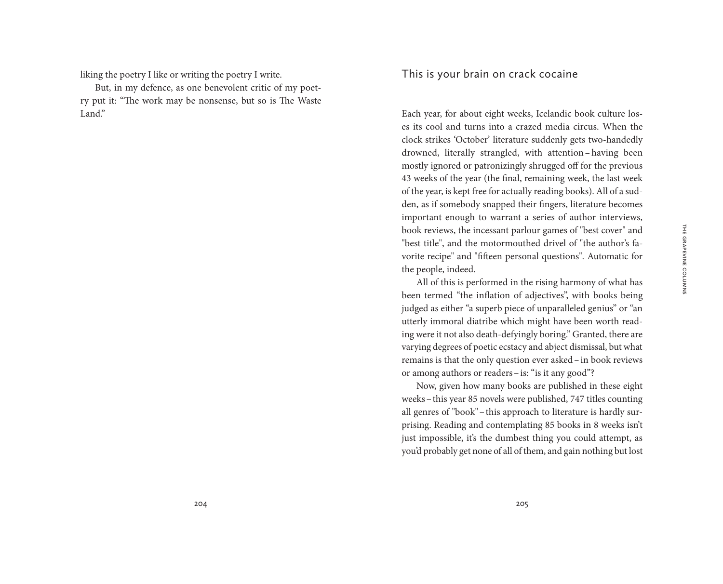liking the poetry I like or writing the poetry I write.

But, in my defence, as one benevolent critic of my poetry put it: "The work may be nonsense, but so is The Waste Land."

## This is your brain on crack cocaine

Each year, for about eight weeks, Icelandic book culture loses its cool and turns into a crazed media circus. When the clock strikes 'October' literature suddenly gets two-handedly drowned, literally strangled, with attention– having been mostly ignored or patronizingly shrugged off for the previous 43 weeks of the year (the final, remaining week, the last week of the year, is kept free for actually reading books). All of a sudden, as if somebody snapped their fingers, literature becomes important enough to warrant a series of author interviews, book reviews, the incessant parlour games of "best cover" and "best title", and the motormouthed drivel of "the author's favorite recipe" and "fifteen personal questions". Automatic for the people, indeed.

All of this is performed in the rising harmony of what has been termed "the inflation of adjectives", with books being judged as either "a superb piece of unparalleled genius" or "an utterly immoral diatribe which might have been worth reading were it not also death-defyingly boring." Granted, there are varying degrees of poetic ecstacy and abject dismissal, but what remains is that the only question ever asked–in book reviews or among authors or readers–is: "is it any good"?

Now, given how many books are published in these eight weeks–this year 85 novels were published, 747 titles counting all genres of "book"–this approach to literature is hardly surprising. Reading and contemplating 85 books in 8 weeks isn't just impossible, it's the dumbest thing you could attempt, as you'd probably get none of all of them, and gain nothing but lost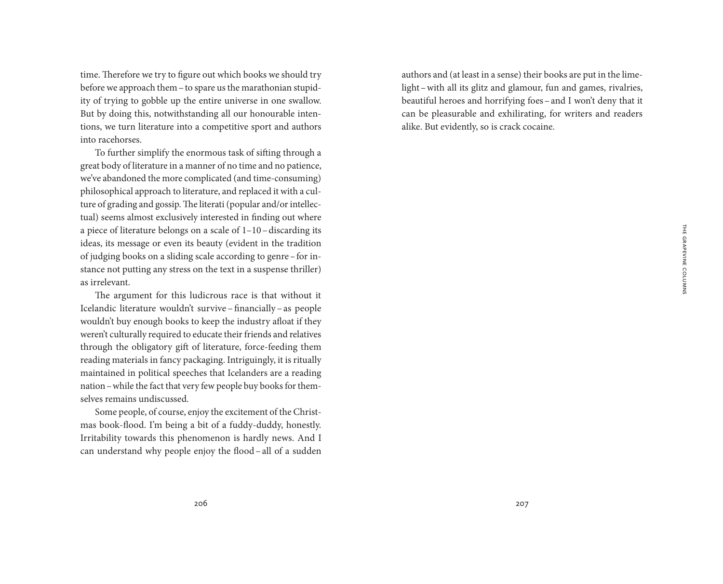time. Therefore we try to figure out which books we should try before we approach them–to spare us the marathonian stupidity of trying to gobble up the entire universe in one swallow. But by doing this, notwithstanding all our honourable intentions, we turn literature into a competitive sport and authors into racehorses.

To further simplify the enormous task of sifting through a great body of literature in a manner of no time and no patience, we've abandoned the more complicated (and time-consuming) philosophical approach to literature, and replaced it with a culture of grading and gossip. The literati (popular and/or intellectual) seems almost exclusively interested in finding out where a piece of literature belongs on a scale of 1–10–discarding its ideas, its message or even its beauty (evident in the tradition of judging books on a sliding scale according to genre–for instance not putting any stress on the text in a suspense thriller) as irrelevant.

The argument for this ludicrous race is that without it Icelandic literature wouldn't survive – financially – as people wouldn't buy enough books to keep the industry afloat if they weren't culturally required to educate their friends and relatives through the obligatory gift of literature, force-feeding them reading materials in fancy packaging. Intriguingly, it is ritually maintained in political speeches that Icelanders are a reading nation–while the fact that very few people buy books for themselves remains undiscussed.

Some people, of course, enjoy the excitement of the Christmas book-flood. I'm being a bit of a fuddy-duddy, honestly. Irritability towards this phenomenon is hardly news. And I can understand why people enjoy the flood–all of a sudden authors and (at least in a sense) their books are put in the limelight–with all its glitz and glamour, fun and games, rivalries, beautiful heroes and horrifying foes–and I won't deny that it can be pleasurable and exhilirating, for writers and readers alike. But evidently, so is crack cocaine.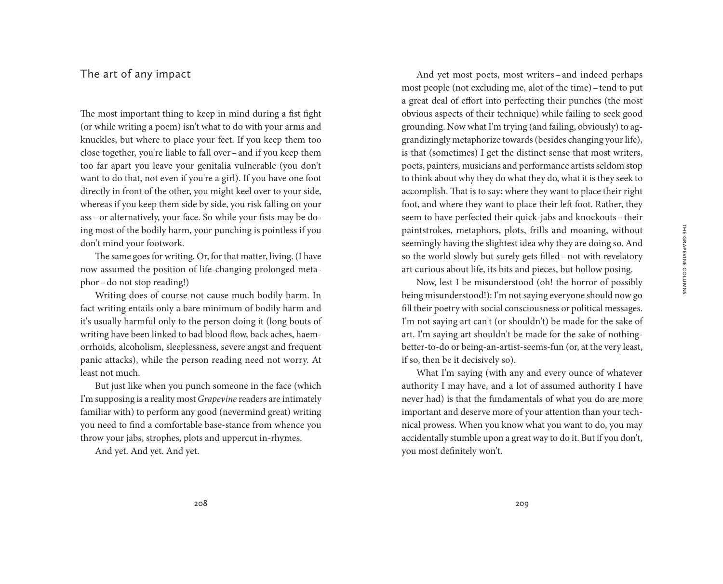## The art of any impact

The most important thing to keep in mind during a fist fight (or while writing a poem) isn't what to do with your arms and knuckles, but where to place your feet. If you keep them too close together, you're liable to fall over–and if you keep them too far apart you leave your genitalia vulnerable (you don't want to do that, not even if you're a girl). If you have one foot directly in front of the other, you might keel over to your side, whereas if you keep them side by side, you risk falling on your ass–or alternatively, your face. So while your fists may be doing most of the bodily harm, your punching is pointless if you don't mind your footwork.

The same goes for writing. Or, for that matter, living. (I have now assumed the position of life-changing prolonged metaphor–do not stop reading!)

Writing does of course not cause much bodily harm. In fact writing entails only a bare minimum of bodily harm and it's usually harmful only to the person doing it (long bouts of writing have been linked to bad blood flow, back aches, haemorrhoids, alcoholism, sleeplessness, severe angst and frequent panic attacks), while the person reading need not worry. At least not much.

But just like when you punch someone in the face (which I'm supposing is a reality most *Grapevine* readers are intimately familiar with) to perform any good (nevermind great) writing you need to find a comfortable base-stance from whence you throw your jabs, strophes, plots and uppercut in-rhymes.

And yet. And yet. And yet.

And yet most poets, most writers – and indeed perhaps most people (not excluding me, alot of the time) – tend to put a great deal of effort into perfecting their punches (the most obvious aspects of their technique) while failing to seek good grounding. Now what I'm trying (and failing, obviously) to aggrandizingly metaphorize towards (besides changing your life), is that (sometimes) I get the distinct sense that most writers, poets, painters, musicians and performance artists seldom stop to think about why they do what they do, what it is they seek to accomplish. That is to say: where they want to place their right foot, and where they want to place their left foot. Rather, they seem to have perfected their quick-jabs and knockouts–their paintstrokes, metaphors, plots, frills and moaning, without seemingly having the slightest idea why they are doing so. And so the world slowly but surely gets filled–not with revelatory art curious about life, its bits and pieces, but hollow posing.

Now, lest I be misunderstood (oh! the horror of possibly being misunderstood!): I'm not saying everyone should now go fill their poetry with social consciousness or political messages. I'm not saying art can't (or shouldn't) be made for the sake of art. I'm saying art shouldn't be made for the sake of nothingbetter-to-do or being-an-artist-seems-fun (or, at the very least, if so, then be it decisively so).

What I'm saying (with any and every ounce of whatever authority I may have, and a lot of assumed authority I have never had) is that the fundamentals of what you do are more important and deserve more of your attention than your technical prowess. When you know what you want to do, you may accidentally stumble upon a great way to do it. But if you don't, you most definitely won't.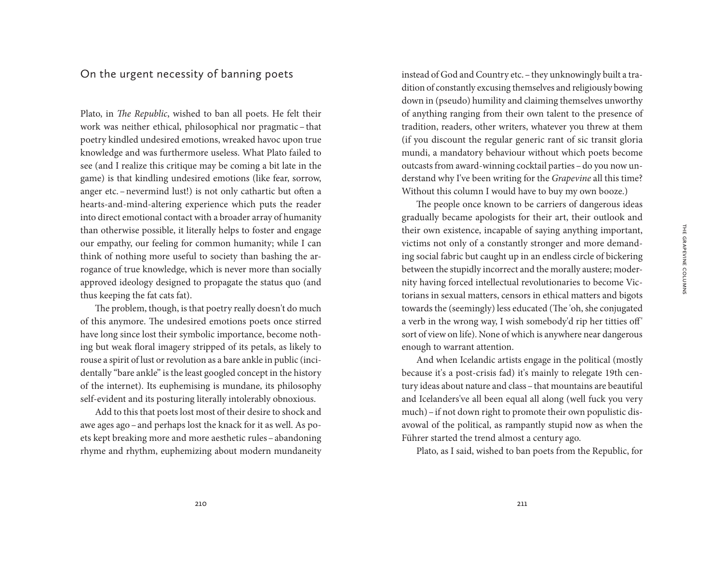### On the urgent necessity of banning poets

Plato, in *The Republic*, wished to ban all poets. He felt their work was neither ethical, philosophical nor pragmatic– that poetry kindled undesired emotions, wreaked havoc upon true knowledge and was furthermore useless. What Plato failed to see (and I realize this critique may be coming a bit late in the game) is that kindling undesired emotions (like fear, sorrow, anger etc.–nevermind lust!) is not only cathartic but often a hearts-and-mind-altering experience which puts the reader into direct emotional contact with a broader array of humanity than otherwise possible, it literally helps to foster and engage our empathy, our feeling for common humanity; while I can think of nothing more useful to society than bashing the arrogance of true knowledge, which is never more than socially approved ideology designed to propagate the status quo (and thus keeping the fat cats fat).

The problem, though, is that poetry really doesn't do much of this anymore. The undesired emotions poets once stirred have long since lost their symbolic importance, become nothing but weak floral imagery stripped of its petals, as likely to rouse a spirit of lust or revolution as a bare ankle in public (incidentally "bare ankle" is the least googled concept in the history of the internet). Its euphemising is mundane, its philosophy self-evident and its posturing literally intolerably obnoxious.

Add to this that poets lost most of their desire to shock and awe ages ago–and perhaps lost the knack for it as well. As poets kept breaking more and more aesthetic rules–abandoning rhyme and rhythm, euphemizing about modern mundaneity

instead of God and Country etc.–they unknowingly built a tradition of constantly excusing themselves and religiously bowing down in (pseudo) humility and claiming themselves unworthy of anything ranging from their own talent to the presence of tradition, readers, other writers, whatever you threw at them (if you discount the regular generic rant of sic transit gloria mundi, a mandatory behaviour without which poets become outcasts from award-winning cocktail parties - do you now understand why I've been writing for the *Grapevine* all this time? Without this column I would have to buy my own booze.)

The people once known to be carriers of dangerous ideas gradually became apologists for their art, their outlook and their own existence, incapable of saying anything important, victims not only of a constantly stronger and more demanding social fabric but caught up in an endless circle of bickering between the stupidly incorrect and the morally austere; modernity having forced intellectual revolutionaries to become Victorians in sexual matters, censors in ethical matters and bigots towards the (seemingly) less educated (The 'oh, she conjugated a verb in the wrong way, I wish somebody'd rip her titties off' sort of view on life). None of which is anywhere near dangerous enough to warrant attention.

And when Icelandic artists engage in the political (mostly because it's a post-crisis fad) it's mainly to relegate 19th century ideas about nature and class–that mountains are beautiful and Icelanders've all been equal all along (well fuck you very much)–if not down right to promote their own populistic disavowal of the political, as rampantly stupid now as when the Führer started the trend almost a century ago.

Plato, as I said, wished to ban poets from the Republic, for